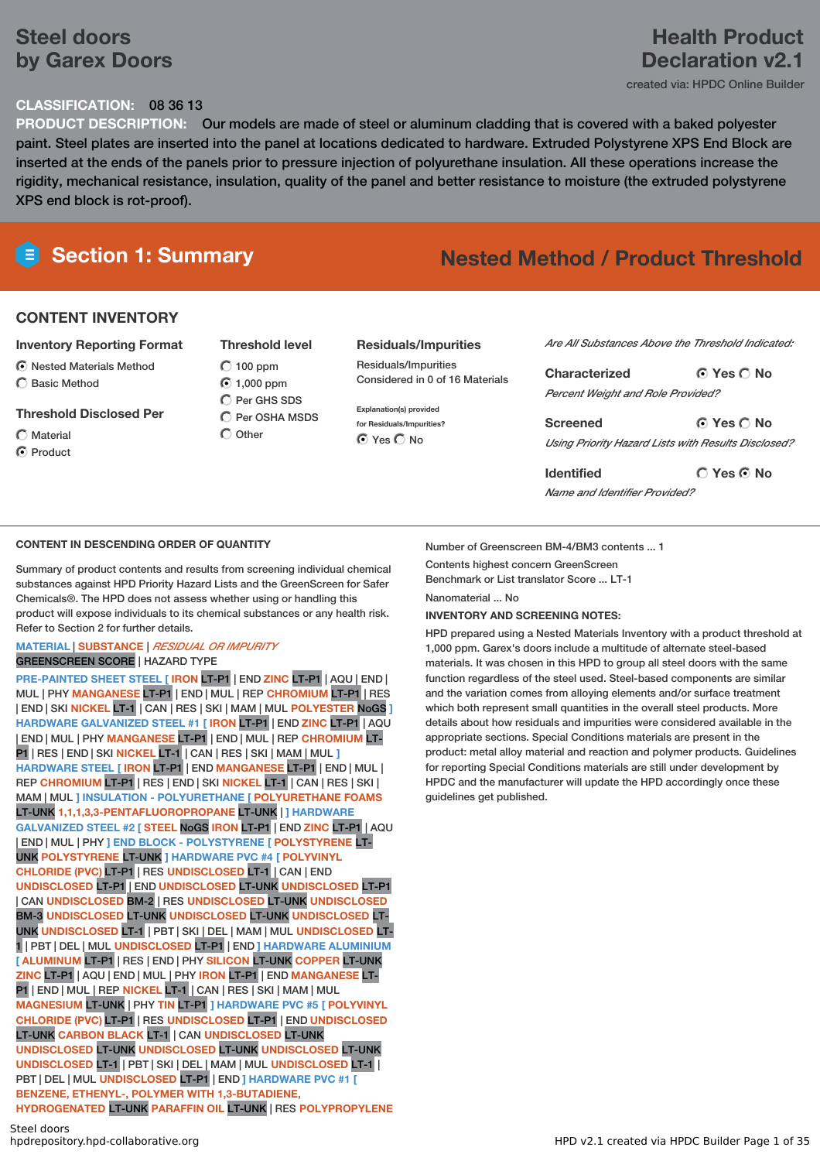# **Steel doors by Garex Doors**

#### **CLASSIFICATION:** 08 36 13

**PRODUCT DESCRIPTION:** Our models are made of steel or aluminum cladding that is covered with a baked polyester paint. Steel plates are inserted into the panel at locations dedicated to hardware. Extruded Polystyrene XPS End Block are inserted at the ends of the panels prior to pressure injection of polyurethane insulation. All these operations increase the rigidity, mechanical resistance, insulation, quality of the panel and better resistance to moisture (the extruded polystyrene XPS end block is rot-proof).

# **Section 1: Summary Nested Method / Product Threshold**

#### **CONTENT INVENTORY**

#### **Inventory Reporting Format**

Nested Materials Method  $\bigcap$  Basic Method

#### **Threshold Disclosed Per**

- Material
- C Product

 $O$  100 ppm ◯ 1,000 ppm  $\bigcap$  Per GHS SDS  $\bigcirc$  Per OSHA MSDS  $\bigcap$  Other

**Threshold level**

#### **Residuals/Impurities**

Residuals/Impurities Considered in 0 of 16 Materials

**Explanation(s) provided for Residuals/Impurities?** O Yes O No

*Are All Substances Above the Threshold Indicated:*

**Yes No Characterized** *Percent Weight and Role Provided?*

**Yes No Screened** *Using Priority Hazard Lists with Results Disclosed?*

**Yes No Identified** *Name and Identifier Provided?*

#### **CONTENT IN DESCENDING ORDER OF QUANTITY**

Summary of product contents and results from screening individual chemical substances against HPD Priority Hazard Lists and the GreenScreen for Safer Chemicals®. The HPD does not assess whether using or handling this product will expose individuals to its chemical substances or any health risk. Refer to Section 2 for further details.

#### **MATERIAL** | **SUBSTANCE** | *RESIDUAL OR IMPURITY*

#### GREENSCREEN SCORE | HAZARD TYPE

**PRE-PAINTED SHEET STEEL [ IRON** LT-P1 | END **ZINC** LT-P1 | AQU | END | MUL | PHY **MANGANESE** LT-P1 | END | MUL | REP **CHROMIUM** LT-P1 | RES | END | SKI **NICKEL** LT-1 | CAN | RES | SKI | MAM | MUL **POLYESTER** NoGS **] HARDWARE GALVANIZED STEEL #1 [ IRON** LT-P1 | END **ZINC** LT-P1 | AQU | END | MUL | PHY **MANGANESE** LT-P1 | END | MUL | REP **CHROMIUM** LT-P1 | RES | END | SKI **NICKEL** LT-1 | CAN | RES | SKI | MAM | MUL **] HARDWARE STEEL [ IRON** LT-P1 | END **MANGANESE** LT-P1 | END | MUL | REP **CHROMIUM** LT-P1 | RES | END | SKI **NICKEL** LT-1 | CAN | RES | SKI | MAM | MUL **] INSULATION - POLYURETHANE [ POLYURETHANE FOAMS** LT-UNK **1,1,1,3,3-PENTAFLUOROPROPANE** LT-UNK | **] HARDWARE GALVANIZED STEEL #2 [ STEEL** NoGS **IRON** LT-P1 | END **ZINC** LT-P1 | AQU | END | MUL | PHY **] END BLOCK - POLYSTYRENE [ POLYSTYRENE** LT-UNK **POLYSTYRENE** LT-UNK **] HARDWARE PVC #4 [ POLYVINYL CHLORIDE (PVC)** LT-P1 | RES **UNDISCLOSED** LT-1 | CAN | END **UNDISCLOSED** LT-P1 | END **UNDISCLOSED** LT-UNK **UNDISCLOSED** LT-P1 | CAN **UNDISCLOSED** BM-2 | RES **UNDISCLOSED** LT-UNK **UNDISCLOSED** BM-3 **UNDISCLOSED** LT-UNK **UNDISCLOSED** LT-UNK **UNDISCLOSED** LT-UNK **UNDISCLOSED** LT-1 | PBT | SKI | DEL | MAM | MUL **UNDISCLOSED** LT-1 | PBT | DEL | MUL **UNDISCLOSED** LT-P1 | END **] HARDWARE ALUMINIUM [ ALUMINUM** LT-P1 | RES | END | PHY **SILICON** LT-UNK **COPPER** LT-UNK **ZINC** LT-P1 | AQU | END | MUL | PHY **IRON** LT-P1 | END **MANGANESE** LT-P1 | END | MUL | REP **NICKEL** LT-1 | CAN | RES | SKI | MAM | MUL **MAGNESIUM** LT-UNK | PHY **TIN** LT-P1 **] HARDWARE PVC #5 [ POLYVINYL CHLORIDE (PVC)** LT-P1 | RES **UNDISCLOSED** LT-P1 | END **UNDISCLOSED** LT-UNK **CARBON BLACK** LT-1 | CAN **UNDISCLOSED** LT-UNK **UNDISCLOSED** LT-UNK **UNDISCLOSED** LT-UNK **UNDISCLOSED** LT-UNK **UNDISCLOSED** LT-1 | PBT | SKI | DEL | MAM | MUL **UNDISCLOSED** LT-1 | PBT | DEL | MUL **UNDISCLOSED** LT-P1 | END **] HARDWARE PVC #1 [ BENZENE, ETHENYL-, POLYMER WITH 1,3-BUTADIENE, HYDROGENATED** LT-UNK **PARAFFIN OIL** LT-UNK | RES **POLYPROPYLENE**

#### Number of Greenscreen BM-4/BM3 contents ... 1 Contents highest concern GreenScreen

Benchmark or List translator Score ... LT-1

Nanomaterial No

#### **INVENTORY AND SCREENING NOTES:**

HPD prepared using a Nested Materials Inventory with a product threshold at 1,000 ppm. Garex's doors include a multitude of alternate steel-based materials. It was chosen in this HPD to group all steel doors with the same function regardless of the steel used. Steel-based components are similar and the variation comes from alloying elements and/or surface treatment which both represent small quantities in the overall steel products. More details about how residuals and impurities were considered available in the appropriate sections. Special Conditions materials are present in the product: metal alloy material and reaction and polymer products. Guidelines for reporting Special Conditions materials are still under development by HPDC and the manufacturer will update the HPD accordingly once these guidelines get published.

**Health Product**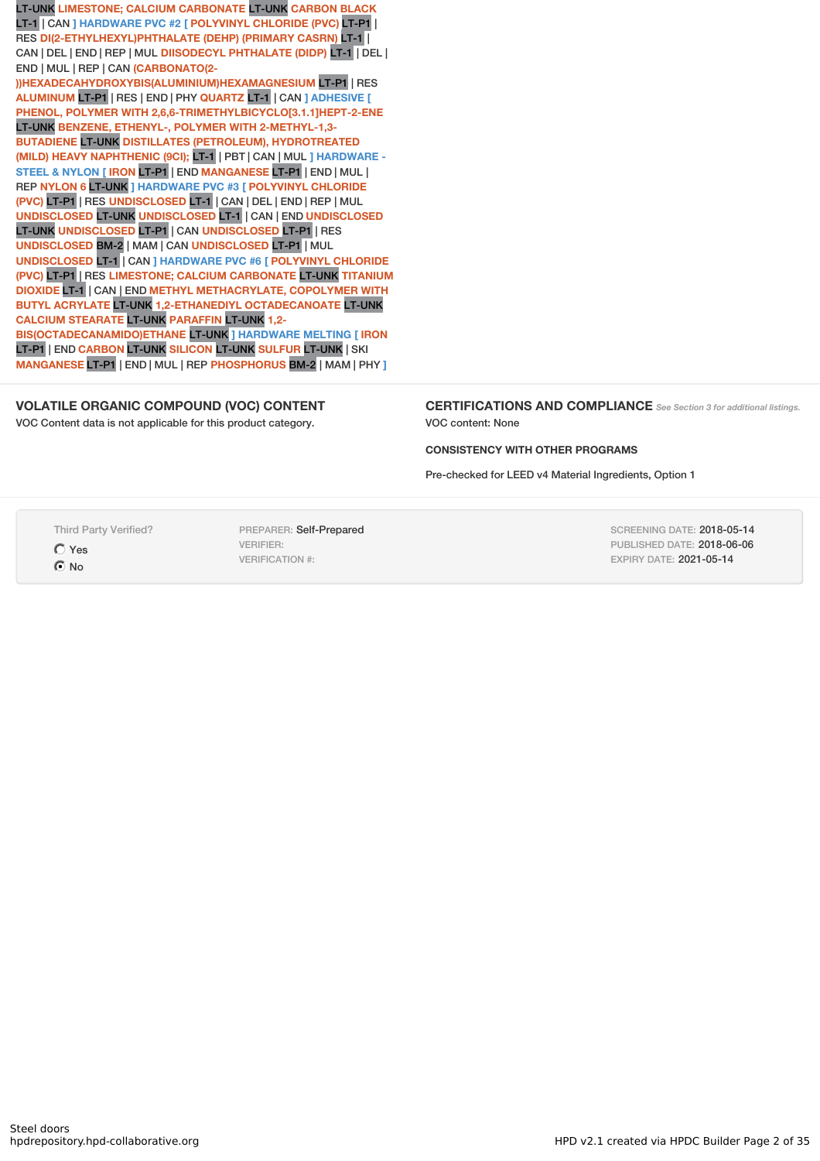LT-UNK **LIMESTONE; CALCIUM CARBONATE** LT-UNK **CARBON BLACK** LT-1 | CAN **] HARDWARE PVC #2 [ POLYVINYL CHLORIDE (PVC)** LT-P1 | RES **DI(2-ETHYLHEXYL)PHTHALATE (DEHP) (PRIMARY CASRN)** LT-1 | CAN | DEL | END | REP | MUL **DIISODECYL PHTHALATE (DIDP)** LT-1 | DEL | END | MUL | REP | CAN **(CARBONATO(2-**

**))HEXADECAHYDROXYBIS(ALUMINIUM)HEXAMAGNESIUM** LT-P1 | RES **ALUMINUM** LT-P1 | RES | END | PHY **QUARTZ** LT-1 | CAN **] ADHESIVE [ PHENOL, POLYMER WITH 2,6,6-TRIMETHYLBICYCLO[3.1.1]HEPT-2-ENE** LT-UNK **BENZENE, ETHENYL-, POLYMER WITH 2-METHYL-1,3- BUTADIENE** LT-UNK **DISTILLATES (PETROLEUM), HYDROTREATED (MILD) HEAVY NAPHTHENIC (9CI);** LT-1 | PBT | CAN | MUL **] HARDWARE - STEEL & NYLON [ IRON** LT-P1 | END **MANGANESE** LT-P1 | END | MUL | REP **NYLON 6** LT-UNK **] HARDWARE PVC #3 [ POLYVINYL CHLORIDE (PVC)** LT-P1 | RES **UNDISCLOSED** LT-1 | CAN | DEL | END | REP | MUL **UNDISCLOSED** LT-UNK **UNDISCLOSED** LT-1 | CAN | END **UNDISCLOSED** LT-UNK **UNDISCLOSED** LT-P1 | CAN **UNDISCLOSED** LT-P1 | RES **UNDISCLOSED** BM-2 | MAM | CAN **UNDISCLOSED** LT-P1 | MUL **UNDISCLOSED** LT-1 | CAN **] HARDWARE PVC #6 [ POLYVINYL CHLORIDE (PVC)** LT-P1 | RES **LIMESTONE; CALCIUM CARBONATE** LT-UNK **TITANIUM DIOXIDE** LT-1 | CAN | END **METHYL METHACRYLATE, COPOLYMER WITH BUTYL ACRYLATE** LT-UNK **1,2-ETHANEDIYL OCTADECANOATE** LT-UNK **CALCIUM STEARATE** LT-UNK **PARAFFIN** LT-UNK **1,2- BIS(OCTADECANAMIDO)ETHANE** LT-UNK **] HARDWARE MELTING [ IRON** LT-P1 | END **CARBON** LT-UNK **SILICON** LT-UNK **SULFUR** LT-UNK | SKI **MANGANESE** LT-P1 | END | MUL | REP **PHOSPHORUS** BM-2 | MAM | PHY **]**

#### **VOLATILE ORGANIC COMPOUND (VOC) CONTENT**

VOC Content data is not applicable for this product category.

**CERTIFICATIONS AND COMPLIANCE** *See Section <sup>3</sup> for additional listings.* VOC content: None

#### **CONSISTENCY WITH OTHER PROGRAMS**

Pre-checked for LEED v4 Material Ingredients, Option 1

Third Party Verified?

Yes  $\odot$  No

PREPARER: Self-Prepared VERIFIER: VERIFICATION #:

SCREENING DATE: 2018-05-14 PUBLISHED DATE: 2018-06-06 EXPIRY DATE: 2021-05-14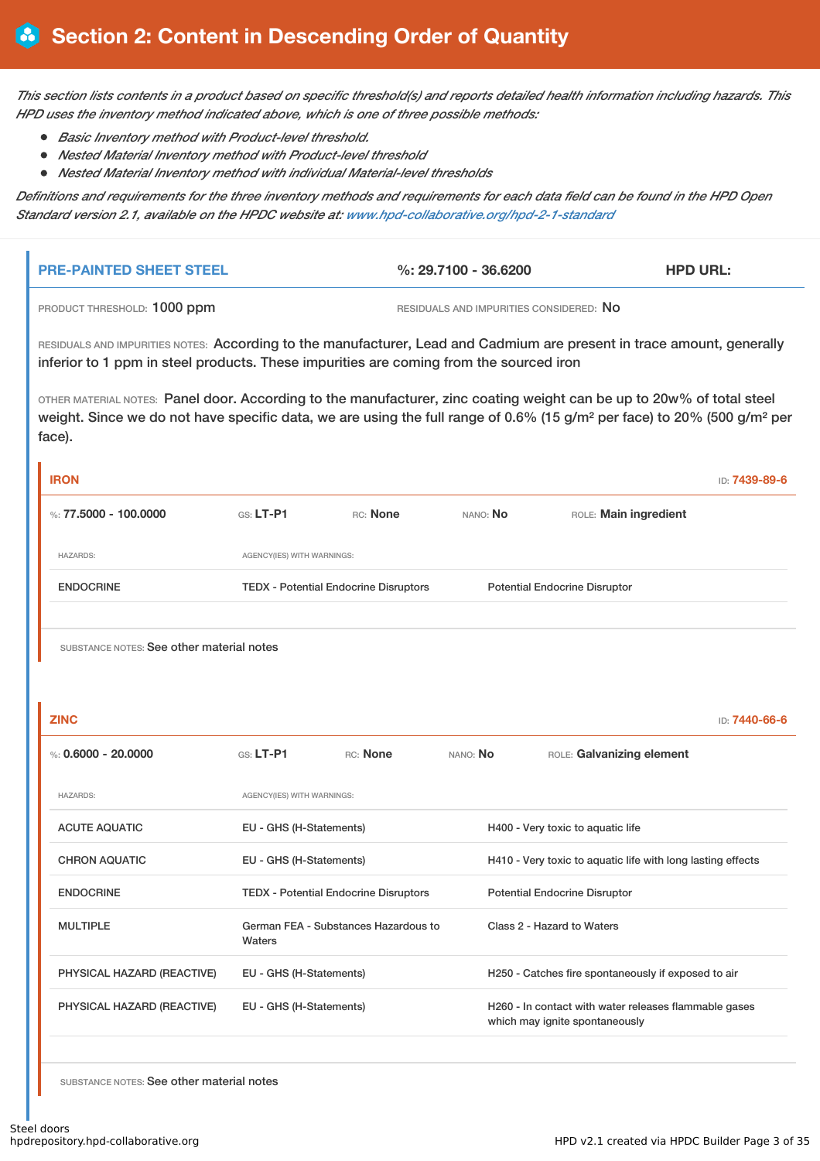This section lists contents in a product based on specific threshold(s) and reports detailed health information including hazards. This *HPD uses the inventory method indicated above, which is one of three possible methods:*

- *Basic Inventory method with Product-level threshold.*
- *Nested Material Inventory method with Product-level threshold*
- *Nested Material Inventory method with individual Material-level thresholds*

Definitions and requirements for the three inventory methods and requirements for each data field can be found in the HPD Open *Standard version 2.1, available on the HPDC website at: www.hpd-collaborative.org/hpd-2-1-standard*

| <b>I PRE-PAINTED SHEET STEEL</b> | %: 29.7100 - 36.6200                    | <b>HPD URL:</b> |
|----------------------------------|-----------------------------------------|-----------------|
| PRODUCT THRESHOLD: 1000 ppm      | RESIDUALS AND IMPURITIES CONSIDERED: NO |                 |

RESIDUALS AND IMPURITIES NOTES: According to the manufacturer, Lead and Cadmium are present in trace amount, generally inferior to 1 ppm in steel products. These impurities are coming from the sourced iron

OTHER MATERIAL NOTES: Panel door. According to the manufacturer, zinc coating weight can be up to 20w% of total steel weight. Since we do not have specific data, we are using the full range of 0.6% (15 g/m² per face) to 20% (500 g/m² per face).

| <b>IRON</b>                               |                            |                                              |          |                                      | ID: 7439-89-6 |
|-------------------------------------------|----------------------------|----------------------------------------------|----------|--------------------------------------|---------------|
| %: 77,5000 - 100,0000                     | $GS: LT-P1$                | RC: None                                     | NANO: No | ROLE: Main ingredient                |               |
| <b>HAZARDS:</b>                           | AGENCY(IES) WITH WARNINGS: |                                              |          |                                      |               |
| <b>ENDOCRINE</b>                          |                            | <b>TEDX - Potential Endocrine Disruptors</b> |          | <b>Potential Endocrine Disruptor</b> |               |
|                                           |                            |                                              |          |                                      |               |
| SUBSTANCE NOTES: See other material notes |                            |                                              |          |                                      |               |
|                                           |                            |                                              |          |                                      |               |
| <b>ZINC</b>                               |                            |                                              |          |                                      | ID: 7440-66-6 |

| %: $0.6000 - 20.0000$      | $G.S. LT-P1$               | RC: None                                     | NANO: No | ROLE: Galvanizing element                                                               |
|----------------------------|----------------------------|----------------------------------------------|----------|-----------------------------------------------------------------------------------------|
| <b>HAZARDS:</b>            | AGENCY(IES) WITH WARNINGS: |                                              |          |                                                                                         |
| <b>ACUTE AQUATIC</b>       | EU - GHS (H-Statements)    |                                              |          | H400 - Very toxic to aquatic life                                                       |
| <b>CHRON AQUATIC</b>       | EU - GHS (H-Statements)    |                                              |          | H410 - Very toxic to aquatic life with long lasting effects                             |
| <b>ENDOCRINE</b>           |                            | <b>TEDX - Potential Endocrine Disruptors</b> |          | <b>Potential Endocrine Disruptor</b>                                                    |
| <b>MULTIPLE</b>            | Waters                     | German FEA - Substances Hazardous to         |          | Class 2 - Hazard to Waters                                                              |
| PHYSICAL HAZARD (REACTIVE) | EU - GHS (H-Statements)    |                                              |          | H250 - Catches fire spontaneously if exposed to air                                     |
| PHYSICAL HAZARD (REACTIVE) | EU - GHS (H-Statements)    |                                              |          | H260 - In contact with water releases flammable gases<br>which may ignite spontaneously |
|                            |                            |                                              |          |                                                                                         |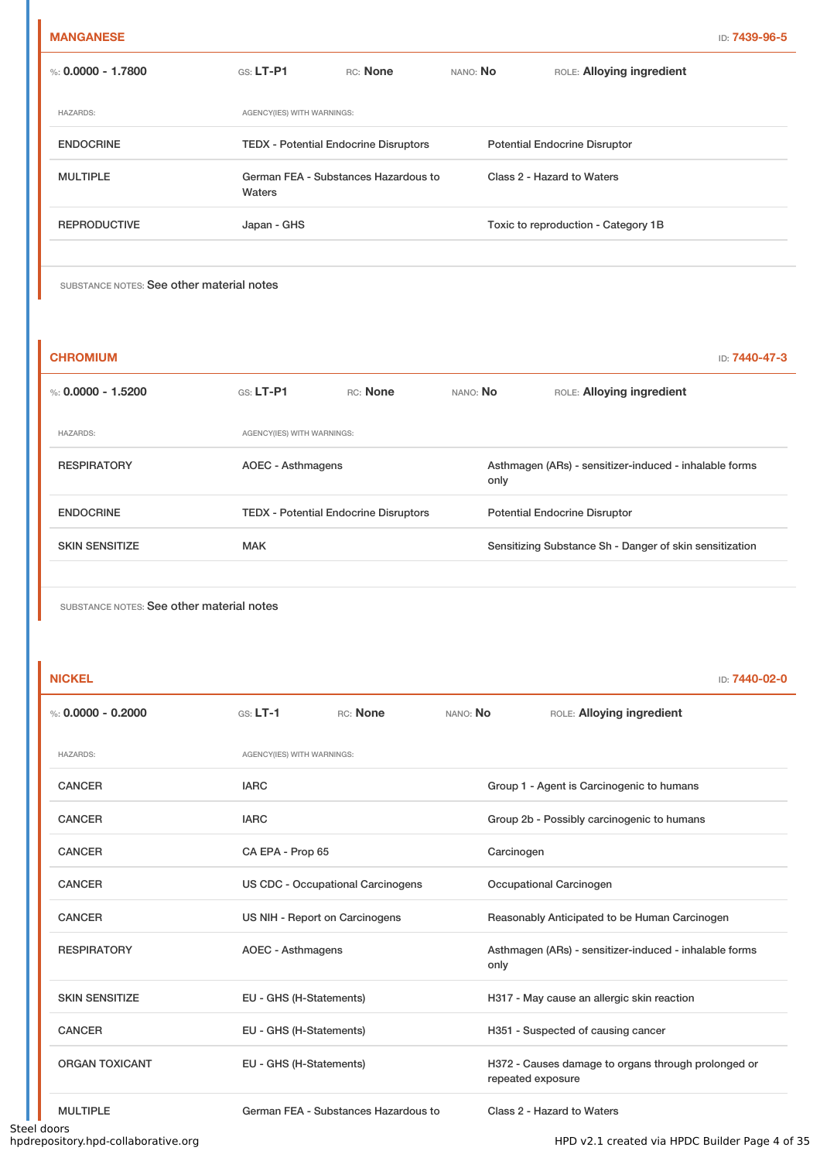| %: 0.0000 - 1.7800  | $GS: LT-PI$                                    | RC: None                                     | NANO: No | ROLE: Alloying ingredient            |
|---------------------|------------------------------------------------|----------------------------------------------|----------|--------------------------------------|
| <b>HAZARDS:</b>     | AGENCY(IES) WITH WARNINGS:                     |                                              |          |                                      |
| <b>ENDOCRINE</b>    |                                                | <b>TEDX</b> - Potential Endocrine Disruptors |          | <b>Potential Endocrine Disruptor</b> |
| <b>MULTIPLE</b>     | German FEA - Substances Hazardous to<br>Waters |                                              |          | Class 2 - Hazard to Waters           |
| <b>REPRODUCTIVE</b> | Japan - GHS                                    |                                              |          | Toxic to reproduction - Category 1B  |
|                     |                                                |                                              |          |                                      |

| <b>CHROMIUM</b>       |                                              |          |          | <b>ID: 7440-47-3</b>                                           |  |
|-----------------------|----------------------------------------------|----------|----------|----------------------------------------------------------------|--|
| %: $0.0000 - 1.5200$  | $GS: LT-PI$                                  | RC: None | NANO: No | ROLE: Alloying ingredient                                      |  |
| <b>HAZARDS:</b>       | AGENCY(IES) WITH WARNINGS:                   |          |          |                                                                |  |
| <b>RESPIRATORY</b>    | AOEC - Asthmagens                            |          |          | Asthmagen (ARs) - sensitizer-induced - inhalable forms<br>only |  |
| <b>ENDOCRINE</b>      | <b>TEDX - Potential Endocrine Disruptors</b> |          |          | <b>Potential Endocrine Disruptor</b>                           |  |
| <b>SKIN SENSITIZE</b> | <b>MAK</b>                                   |          |          | Sensitizing Substance Sh - Danger of skin sensitization        |  |
|                       |                                              |          |          |                                                                |  |

| <b>NICKEL</b>         |                            |                                          |            | ID: 7440-02-0                                                            |  |  |
|-----------------------|----------------------------|------------------------------------------|------------|--------------------------------------------------------------------------|--|--|
| %: $0.0000 - 0.2000$  | $GS: LT-1$                 | RC: None                                 | NANO: No   | ROLE: Alloying ingredient                                                |  |  |
| <b>HAZARDS:</b>       | AGENCY(IES) WITH WARNINGS: |                                          |            |                                                                          |  |  |
| <b>CANCER</b>         | <b>IARC</b>                |                                          |            | Group 1 - Agent is Carcinogenic to humans                                |  |  |
| <b>CANCER</b>         | <b>IARC</b>                |                                          |            | Group 2b - Possibly carcinogenic to humans                               |  |  |
| <b>CANCER</b>         | CA EPA - Prop 65           |                                          | Carcinogen |                                                                          |  |  |
| <b>CANCER</b>         |                            | <b>US CDC - Occupational Carcinogens</b> |            | Occupational Carcinogen                                                  |  |  |
| <b>CANCER</b>         |                            | US NIH - Report on Carcinogens           |            | Reasonably Anticipated to be Human Carcinogen                            |  |  |
| <b>RESPIRATORY</b>    |                            | <b>AOEC - Asthmagens</b>                 |            | Asthmagen (ARs) - sensitizer-induced - inhalable forms                   |  |  |
| <b>SKIN SENSITIZE</b> |                            | EU - GHS (H-Statements)                  |            | H317 - May cause an allergic skin reaction                               |  |  |
| <b>CANCER</b>         |                            | EU - GHS (H-Statements)                  |            | H351 - Suspected of causing cancer                                       |  |  |
| <b>ORGAN TOXICANT</b> | EU - GHS (H-Statements)    |                                          |            | H372 - Causes damage to organs through prolonged or<br>repeated exposure |  |  |
| <b>MULTIPLE</b>       |                            | German FEA - Substances Hazardous to     |            | Class 2 - Hazard to Waters                                               |  |  |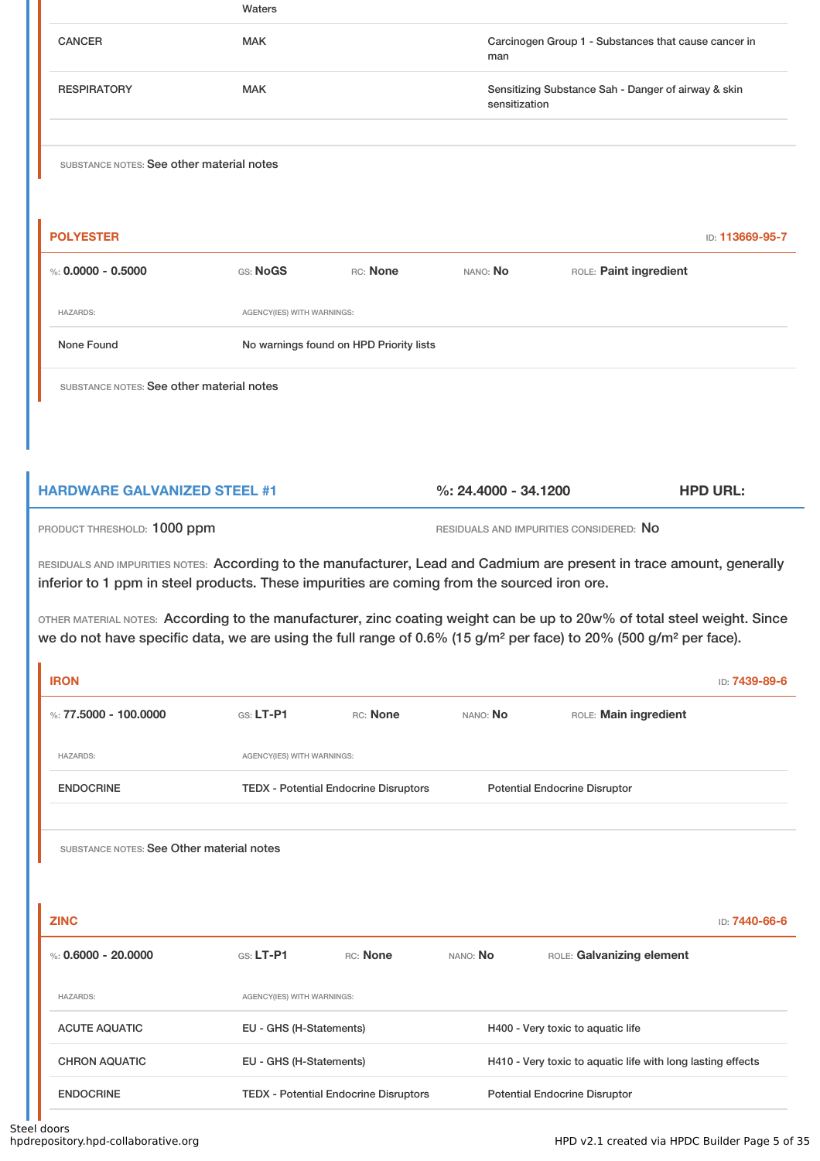|                                           | Waters                     |                                         |               |                                                      |                 |
|-------------------------------------------|----------------------------|-----------------------------------------|---------------|------------------------------------------------------|-----------------|
| <b>CANCER</b>                             | <b>MAK</b>                 |                                         | man           | Carcinogen Group 1 - Substances that cause cancer in |                 |
| <b>RESPIRATORY</b>                        | <b>MAK</b>                 |                                         | sensitization | Sensitizing Substance Sah - Danger of airway & skin  |                 |
| SUBSTANCE NOTES: See other material notes |                            |                                         |               |                                                      |                 |
| <b>POLYESTER</b>                          |                            |                                         |               |                                                      | ID: 113669-95-7 |
| %: $0.0000 - 0.5000$                      | GS: NoGS                   | RC: None                                | NANO: No      | ROLE: Paint ingredient                               |                 |
| <b>HAZARDS:</b>                           | AGENCY(IES) WITH WARNINGS: |                                         |               |                                                      |                 |
| None Found                                |                            | No warnings found on HPD Priority lists |               |                                                      |                 |
| SUBSTANCE NOTES: See other material notes |                            |                                         |               |                                                      |                 |

| <b>HARDWARE GALVANIZED STEEL #1</b> | $\%$ : 24.4000 - 34.1200 | <b>HPD URL:</b> |
|-------------------------------------|--------------------------|-----------------|
|                                     |                          |                 |

PRODUCT THRESHOLD: 1000 ppm RESIDUALS AND IMPURITIES CONSIDERED: No

RESIDUALS AND IMPURITIES NOTES: According to the manufacturer, Lead and Cadmium are present in trace amount, generally inferior to 1 ppm in steel products. These impurities are coming from the sourced iron ore.

OTHER MATERIAL NOTES: According to the manufacturer, zinc coating weight can be up to 20w% of total steel weight. Since we do not have specific data, we are using the full range of 0.6% (15 g/m<sup>2</sup> per face) to 20% (500 g/m<sup>2</sup> per face).

| <b>IRON</b>                               |                            |                                              |          |                                                             | ID: 7439-89-6 |
|-------------------------------------------|----------------------------|----------------------------------------------|----------|-------------------------------------------------------------|---------------|
| %: 77.5000 - 100.0000                     | $GS: LT-P1$                | RC: None                                     | NANO: No | ROLE: Main ingredient                                       |               |
| <b>HAZARDS:</b>                           | AGENCY(IES) WITH WARNINGS: |                                              |          |                                                             |               |
| <b>ENDOCRINE</b>                          |                            | <b>TEDX - Potential Endocrine Disruptors</b> |          | <b>Potential Endocrine Disruptor</b>                        |               |
| SUBSTANCE NOTES: See Other material notes |                            |                                              |          |                                                             |               |
| <b>ZINC</b>                               |                            |                                              |          |                                                             | ID: 7440-66-6 |
| %: $0.6000 - 20.0000$                     | GS: LT-P1                  | RC: None                                     | NANO: No | ROLE: Galvanizing element                                   |               |
| <b>HAZARDS:</b>                           | AGENCY(IES) WITH WARNINGS: |                                              |          |                                                             |               |
| <b>ACUTE AQUATIC</b>                      | EU - GHS (H-Statements)    |                                              |          | H400 - Very toxic to aquatic life                           |               |
| <b>CHRON AQUATIC</b>                      | EU - GHS (H-Statements)    |                                              |          | H410 - Very toxic to aquatic life with long lasting effects |               |
| <b>ENDOCRINE</b>                          |                            | <b>TEDX - Potential Endocrine Disruptors</b> |          | <b>Potential Endocrine Disruptor</b>                        |               |
|                                           |                            |                                              |          |                                                             |               |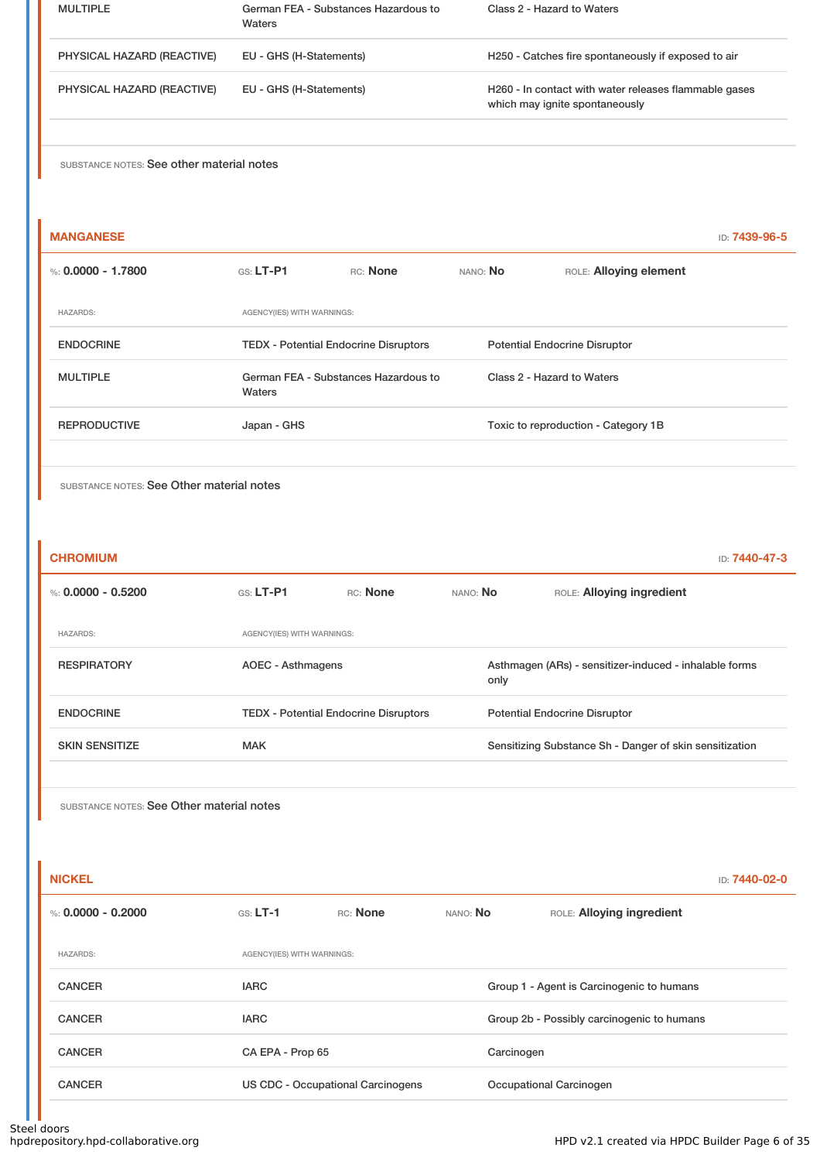| <b>MULTIPLE</b>            | German FEA - Substances Hazardous to<br>Waters | Class 2 - Hazard to Waters                                                              |
|----------------------------|------------------------------------------------|-----------------------------------------------------------------------------------------|
| PHYSICAL HAZARD (REACTIVE) | EU - GHS (H-Statements)                        | H250 - Catches fire spontaneously if exposed to air                                     |
| PHYSICAL HAZARD (REACTIVE) | EU - GHS (H-Statements)                        | H260 - In contact with water releases flammable gases<br>which may ignite spontaneously |

| <b>MANGANESE</b>    |                                                |          |                                      |                                     | ID: <b>7439-96-5</b> |
|---------------------|------------------------------------------------|----------|--------------------------------------|-------------------------------------|----------------------|
| %: 0.0000 - 1.7800  | $GS: LT-PI$                                    | RC: None | NANO: No                             | ROLE: Alloying element              |                      |
| <b>HAZARDS:</b>     | AGENCY(IES) WITH WARNINGS:                     |          |                                      |                                     |                      |
| <b>ENDOCRINE</b>    | <b>TEDX - Potential Endocrine Disruptors</b>   |          | <b>Potential Endocrine Disruptor</b> |                                     |                      |
| <b>MULTIPLE</b>     | German FEA - Substances Hazardous to<br>Waters |          |                                      | Class 2 - Hazard to Waters          |                      |
| <b>REPRODUCTIVE</b> | Japan - GHS                                    |          |                                      | Toxic to reproduction - Category 1B |                      |
|                     |                                                |          |                                      |                                     |                      |

SUBSTANCE NOTES: See Other material notes

| <b>CHROMIUM</b>       |                            |                                              |          | ID: 7440-47-3                                           |
|-----------------------|----------------------------|----------------------------------------------|----------|---------------------------------------------------------|
| %: $0.0000 - 0.5200$  | $GS: LT-P1$                | RC: None                                     | NANO: No | ROLE: Alloying ingredient                               |
| <b>HAZARDS:</b>       | AGENCY(IES) WITH WARNINGS: |                                              |          |                                                         |
| <b>RESPIRATORY</b>    | AOEC - Asthmagens          |                                              | only     | Asthmagen (ARs) - sensitizer-induced - inhalable forms  |
| <b>ENDOCRINE</b>      |                            | <b>TEDX</b> - Potential Endocrine Disruptors |          | <b>Potential Endocrine Disruptor</b>                    |
| <b>SKIN SENSITIZE</b> | <b>MAK</b>                 |                                              |          | Sensitizing Substance Sh - Danger of skin sensitization |
|                       |                            |                                              |          |                                                         |

| <b>NICKEL</b>        |                                   |          |            |                                            | ID: 7440-02-0 |  |
|----------------------|-----------------------------------|----------|------------|--------------------------------------------|---------------|--|
| %: $0.0000 - 0.2000$ | $GS: LT-1$                        | RC: None | NANO: No   | ROLE: Alloying ingredient                  |               |  |
| <b>HAZARDS:</b>      | AGENCY(IES) WITH WARNINGS:        |          |            |                                            |               |  |
| <b>CANCER</b>        | <b>IARC</b>                       |          |            | Group 1 - Agent is Carcinogenic to humans  |               |  |
| <b>CANCER</b>        | <b>IARC</b>                       |          |            | Group 2b - Possibly carcinogenic to humans |               |  |
| <b>CANCER</b>        | CA EPA - Prop 65                  |          | Carcinogen |                                            |               |  |
| <b>CANCER</b>        | US CDC - Occupational Carcinogens |          |            | Occupational Carcinogen                    |               |  |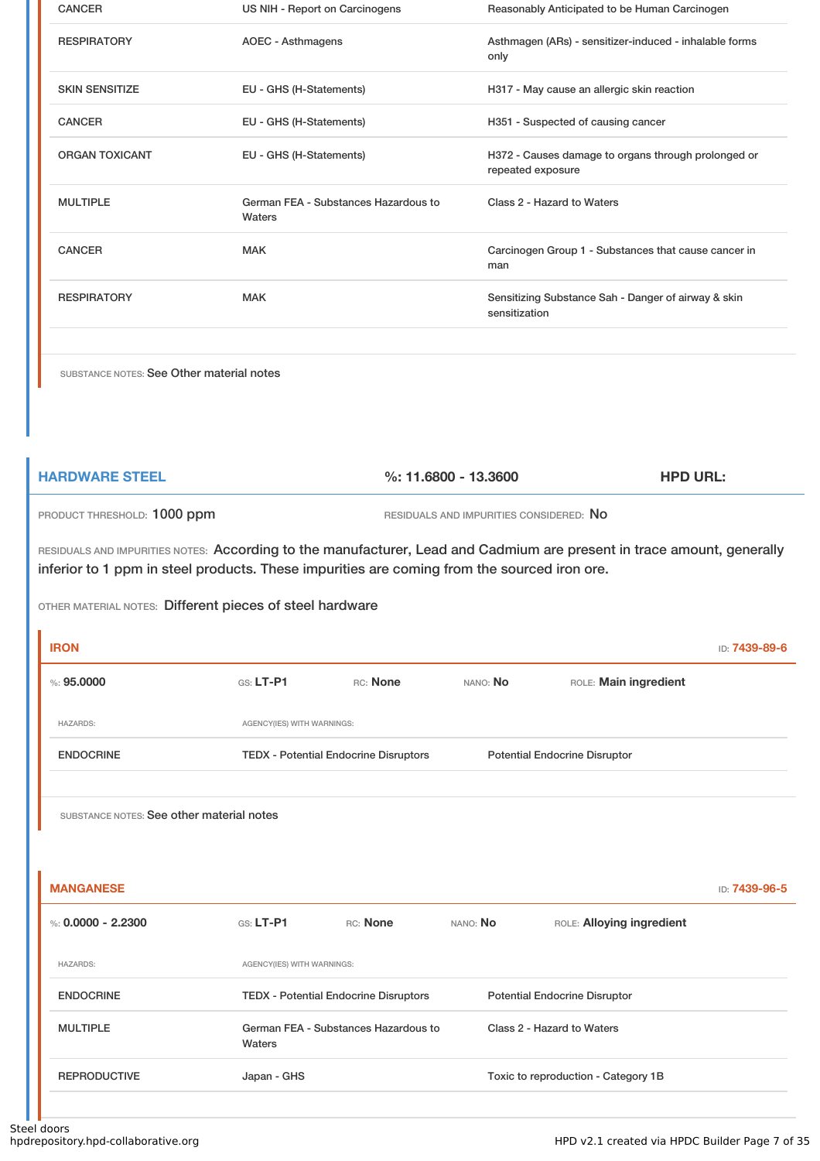| <b>CANCER</b>         | US NIH - Report on Carcinogens                 | Reasonably Anticipated to be Human Carcinogen                            |
|-----------------------|------------------------------------------------|--------------------------------------------------------------------------|
| <b>RESPIRATORY</b>    | AOEC - Asthmagens                              | Asthmagen (ARs) - sensitizer-induced - inhalable forms<br>only           |
| <b>SKIN SENSITIZE</b> | EU - GHS (H-Statements)                        | H317 - May cause an allergic skin reaction                               |
| <b>CANCER</b>         | EU - GHS (H-Statements)                        | H351 - Suspected of causing cancer                                       |
| <b>ORGAN TOXICANT</b> | EU - GHS (H-Statements)                        | H372 - Causes damage to organs through prolonged or<br>repeated exposure |
| <b>MULTIPLE</b>       | German FEA - Substances Hazardous to<br>Waters | Class 2 - Hazard to Waters                                               |
| <b>CANCER</b>         | <b>MAK</b>                                     | Carcinogen Group 1 - Substances that cause cancer in<br>man              |
| <b>RESPIRATORY</b>    | <b>MAK</b>                                     | Sensitizing Substance Sah - Danger of airway & skin<br>sensitization     |

**HARDWARE STEEL %: 11.6800 - 13.3600 HPD URL:** PRODUCT THRESHOLD: 1000 ppm RESIDUALS AND IMPURITIES CONSIDERED: No

RESIDUALS AND IMPURITIES NOTES: According to the manufacturer, Lead and Cadmium are present in trace amount, generally inferior to 1 ppm in steel products. These impurities are coming from the sourced iron ore.

#### OTHER MATERIAL NOTES: Different pieces of steel hardware

| <b>IRON</b>                               |                                              |                                      |          |                                      | ID: 7439-89-6 |
|-------------------------------------------|----------------------------------------------|--------------------------------------|----------|--------------------------------------|---------------|
| %: 95,0000                                | $G.S. LT-P1$                                 | RC: None                             | NANO: No | ROLE: Main ingredient                |               |
| <b>HAZARDS:</b>                           | AGENCY(IES) WITH WARNINGS:                   |                                      |          |                                      |               |
| <b>ENDOCRINE</b>                          | <b>TEDX - Potential Endocrine Disruptors</b> |                                      |          | <b>Potential Endocrine Disruptor</b> |               |
|                                           |                                              |                                      |          |                                      |               |
| SUBSTANCE NOTES: See other material notes |                                              |                                      |          |                                      |               |
|                                           |                                              |                                      |          |                                      |               |
|                                           |                                              |                                      |          |                                      |               |
| <b>MANGANESE</b>                          |                                              |                                      |          |                                      | ID: 7439-96-5 |
| %: $0.0000 - 2.2300$                      | $GS: LT-P1$                                  | RC: None                             | NANO: No | ROLE: Alloying ingredient            |               |
| <b>HAZARDS:</b>                           | AGENCY(IES) WITH WARNINGS:                   |                                      |          |                                      |               |
| <b>ENDOCRINE</b>                          | <b>TEDX - Potential Endocrine Disruptors</b> |                                      |          | <b>Potential Endocrine Disruptor</b> |               |
| <b>MULTIPLE</b>                           | Waters                                       | German FEA - Substances Hazardous to |          | Class 2 - Hazard to Waters           |               |
| <b>REPRODUCTIVE</b>                       | Japan - GHS                                  |                                      |          | Toxic to reproduction - Category 1B  |               |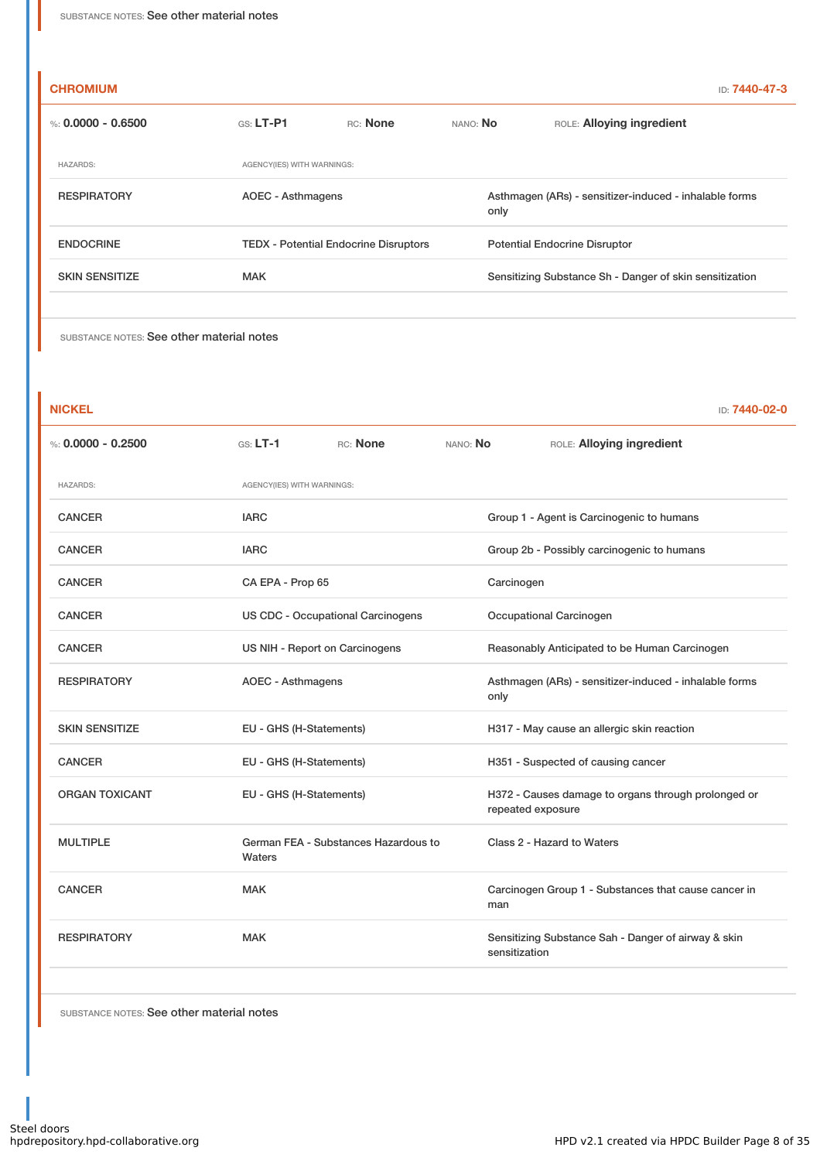#### **CHROMIUM** ID: **7440-47-3**

| %: $0.0000 - 0.6500$  | $GS: LT-P1$                | RC: None                                     | NANO: No                                                       | ROLE: Alloying ingredient                               |  |
|-----------------------|----------------------------|----------------------------------------------|----------------------------------------------------------------|---------------------------------------------------------|--|
| <b>HAZARDS:</b>       | AGENCY(IES) WITH WARNINGS: |                                              |                                                                |                                                         |  |
| <b>RESPIRATORY</b>    | AOEC - Asthmagens          |                                              | Asthmagen (ARs) - sensitizer-induced - inhalable forms<br>only |                                                         |  |
| <b>ENDOCRINE</b>      |                            | <b>TEDX</b> - Potential Endocrine Disruptors |                                                                | <b>Potential Endocrine Disruptor</b>                    |  |
| <b>SKIN SENSITIZE</b> | <b>MAK</b>                 |                                              |                                                                | Sensitizing Substance Sh - Danger of skin sensitization |  |
|                       |                            |                                              |                                                                |                                                         |  |

SUBSTANCE NOTES: See other material notes

| <b>NICKEL</b>         |                                   |                                      |          | ID: 7440-02-0                                                            |  |  |
|-----------------------|-----------------------------------|--------------------------------------|----------|--------------------------------------------------------------------------|--|--|
| %: $0.0000 - 0.2500$  | $GS: LT-1$                        | RC: None                             | NANO: No | ROLE: Alloying ingredient                                                |  |  |
| <b>HAZARDS:</b>       | AGENCY(IES) WITH WARNINGS:        |                                      |          |                                                                          |  |  |
| <b>CANCER</b>         | <b>IARC</b>                       |                                      |          | Group 1 - Agent is Carcinogenic to humans                                |  |  |
| <b>CANCER</b>         | <b>IARC</b>                       |                                      |          | Group 2b - Possibly carcinogenic to humans                               |  |  |
| <b>CANCER</b>         | CA EPA - Prop 65                  |                                      |          | Carcinogen                                                               |  |  |
| <b>CANCER</b>         | US CDC - Occupational Carcinogens |                                      |          | Occupational Carcinogen                                                  |  |  |
| <b>CANCER</b>         | US NIH - Report on Carcinogens    |                                      |          | Reasonably Anticipated to be Human Carcinogen                            |  |  |
| <b>RESPIRATORY</b>    | <b>AOEC - Asthmagens</b>          |                                      |          | Asthmagen (ARs) - sensitizer-induced - inhalable forms<br>only           |  |  |
| <b>SKIN SENSITIZE</b> | EU - GHS (H-Statements)           |                                      |          | H317 - May cause an allergic skin reaction                               |  |  |
| <b>CANCER</b>         | EU - GHS (H-Statements)           |                                      |          | H351 - Suspected of causing cancer                                       |  |  |
| <b>ORGAN TOXICANT</b> | EU - GHS (H-Statements)           |                                      |          | H372 - Causes damage to organs through prolonged or<br>repeated exposure |  |  |
| <b>MULTIPLE</b>       | Waters                            | German FEA - Substances Hazardous to |          | Class 2 - Hazard to Waters                                               |  |  |
| <b>CANCER</b>         | <b>MAK</b>                        |                                      | man      | Carcinogen Group 1 - Substances that cause cancer in                     |  |  |
| <b>RESPIRATORY</b>    | <b>MAK</b>                        |                                      |          | Sensitizing Substance Sah - Danger of airway & skin<br>sensitization     |  |  |
|                       |                                   |                                      |          |                                                                          |  |  |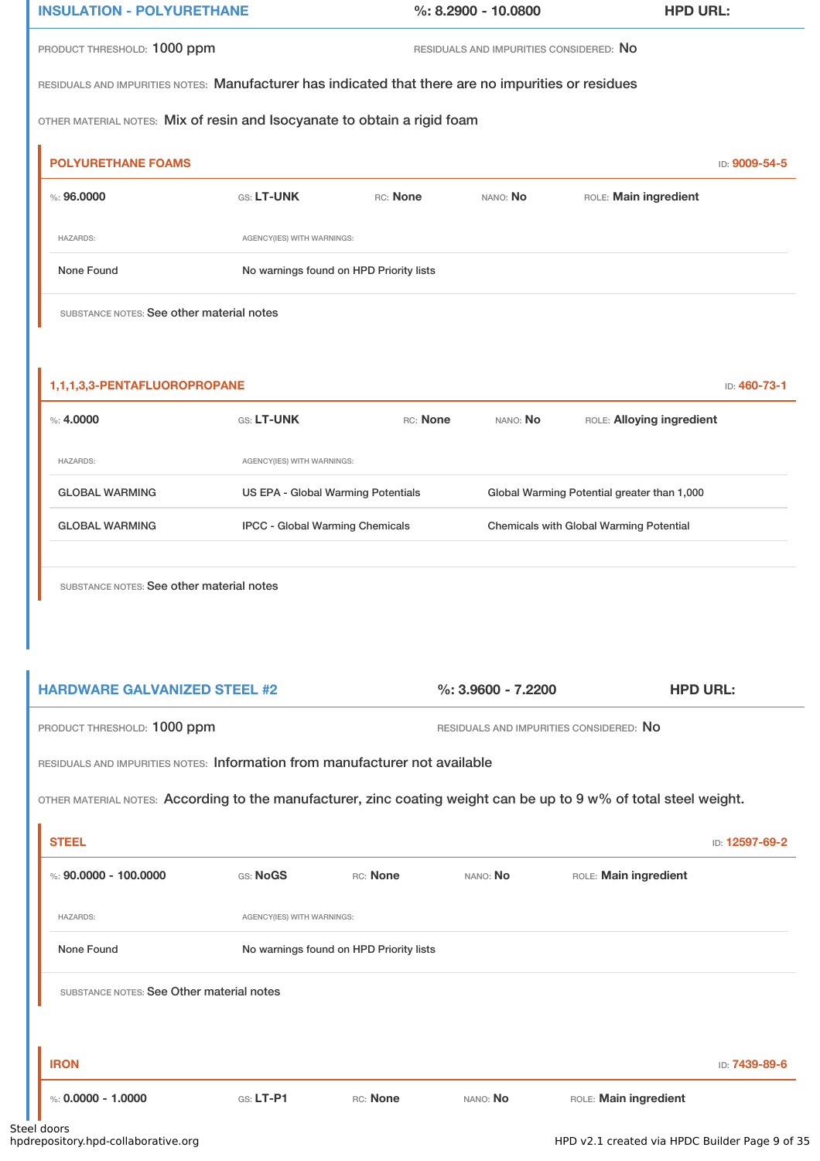| <b>INSULATION - POLYURETHANE</b>                                                                    |                            |                                         | $\%$ : 8.2900 - 10.0800                 | <b>HPD URL:</b>       |               |  |  |
|-----------------------------------------------------------------------------------------------------|----------------------------|-----------------------------------------|-----------------------------------------|-----------------------|---------------|--|--|
| PRODUCT THRESHOLD: 1000 ppm                                                                         |                            |                                         | RESIDUALS AND IMPURITIES CONSIDERED: NO |                       |               |  |  |
| RESIDUALS AND IMPURITIES NOTES: Manufacturer has indicated that there are no impurities or residues |                            |                                         |                                         |                       |               |  |  |
| OTHER MATERIAL NOTES: Mix of resin and Isocyanate to obtain a rigid foam                            |                            |                                         |                                         |                       |               |  |  |
| <b>POLYURETHANE FOAMS</b>                                                                           |                            |                                         |                                         |                       | ID: 9009-54-5 |  |  |
| % : 96,0000                                                                                         | <b>GS: LT-UNK</b>          | RC: None                                | NANO: <b>No</b>                         | ROLE: Main ingredient |               |  |  |
|                                                                                                     |                            |                                         |                                         |                       |               |  |  |
| <b>HAZARDS:</b>                                                                                     | AGENCY(IES) WITH WARNINGS: |                                         |                                         |                       |               |  |  |
| None Found                                                                                          |                            | No warnings found on HPD Priority lists |                                         |                       |               |  |  |

| 1,1,1,3,3-PENTAFLUOROPROPANE<br><b>ID: 460-73-1</b> |                            |                                        |          |                                                |  |
|-----------------------------------------------------|----------------------------|----------------------------------------|----------|------------------------------------------------|--|
| $\%: 4.0000$                                        | <b>GS: LT-UNK</b>          | RC: None                               | NANO: No | ROLE: Alloying ingredient                      |  |
| <b>HAZARDS:</b>                                     | AGENCY(IES) WITH WARNINGS: |                                        |          |                                                |  |
| <b>GLOBAL WARMING</b>                               |                            | US EPA - Global Warming Potentials     |          | Global Warming Potential greater than 1,000    |  |
| <b>GLOBAL WARMING</b>                               |                            | <b>IPCC - Global Warming Chemicals</b> |          | <b>Chemicals with Global Warming Potential</b> |  |
|                                                     |                            |                                        |          |                                                |  |

SUBSTANCE NOTES: See other material notes

| <b>HARDWARE GALVANIZED STEEL #2</b> |  |  |  |  |
|-------------------------------------|--|--|--|--|
|-------------------------------------|--|--|--|--|

**HARDWARE GALVANIZED STEEL #2 %: 3.9600 - 7.2200 HPD URL:**

 $\overline{\mathbb{R}}$ 

PRODUCT THRESHOLD: 1000 ppm RESIDUALS AND IMPURITIES CONSIDERED: No

RESIDUALS AND IMPURITIES NOTES: Information from manufacturer not available

OTHER MATERIAL NOTES: According to the manufacturer, zinc coating weight can be up to 9 w% of total steel weight.

|                                           |          |                                                                       |                       | ID: 12597-69-2 |  |  |  |
|-------------------------------------------|----------|-----------------------------------------------------------------------|-----------------------|----------------|--|--|--|
| GS: NoGS                                  | RC: None | NANO: No                                                              | ROLE: Main ingredient |                |  |  |  |
|                                           |          |                                                                       |                       |                |  |  |  |
|                                           |          |                                                                       |                       |                |  |  |  |
| SUBSTANCE NOTES: See Other material notes |          |                                                                       |                       |                |  |  |  |
|                                           |          |                                                                       |                       |                |  |  |  |
|                                           |          |                                                                       |                       | ID: 7439-89-6  |  |  |  |
| $Gs: LT-P1$                               | RC: None | NANO: No                                                              | ROLE: Main ingredient |                |  |  |  |
|                                           |          | AGENCY(IES) WITH WARNINGS:<br>No warnings found on HPD Priority lists |                       |                |  |  |  |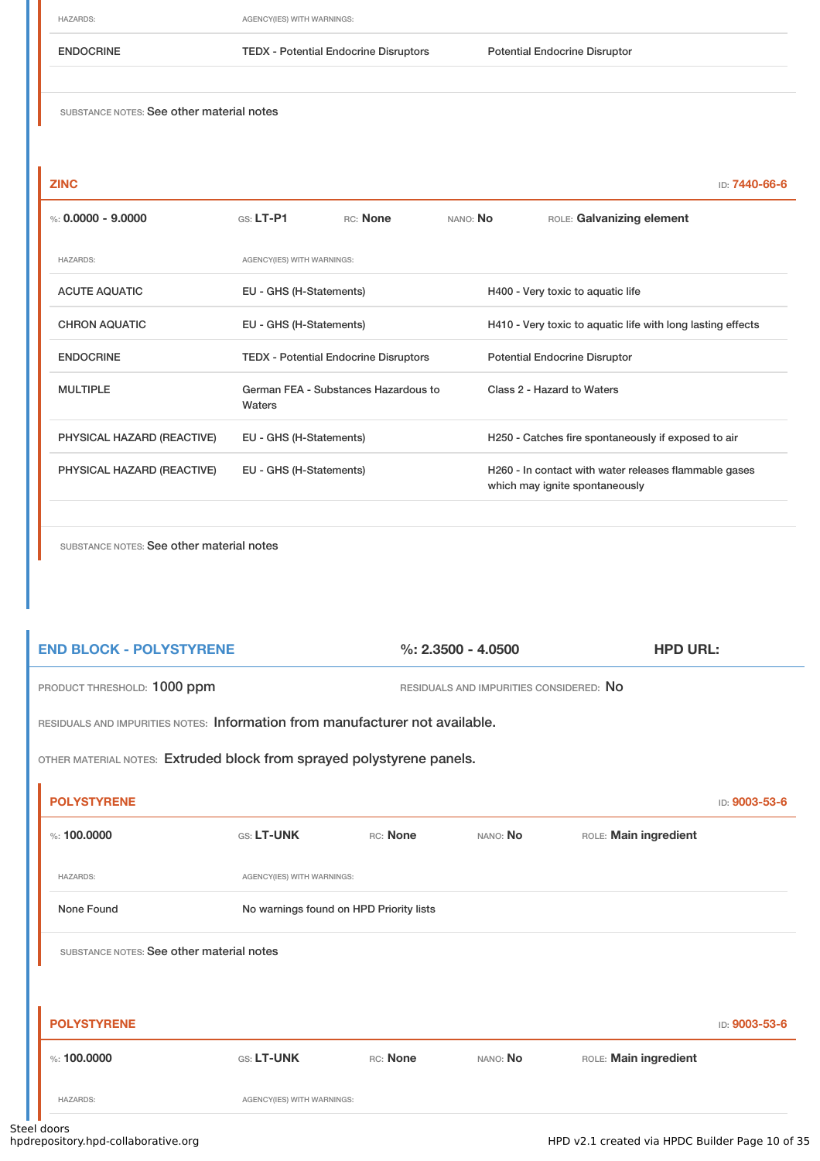HAZARDS: AGENCY(IES) WITH WARNINGS:

ENDOCRINE TEDX - Potential Endocrine Disruptors Potential Endocrine Disruptor

SUBSTANCE NOTES: See other material notes

| <b>ZINC</b>                |                            |                                              |          | ID: 7440-66-6                                                                           |
|----------------------------|----------------------------|----------------------------------------------|----------|-----------------------------------------------------------------------------------------|
| %: $0.0000 - 9.0000$       | $G.S.$ LT-P1               | RC: None                                     | NANO: No | ROLE: Galvanizing element                                                               |
| <b>HAZARDS:</b>            | AGENCY(IES) WITH WARNINGS: |                                              |          |                                                                                         |
| <b>ACUTE AQUATIC</b>       | EU - GHS (H-Statements)    |                                              |          | H400 - Very toxic to aquatic life                                                       |
| <b>CHRON AQUATIC</b>       | EU - GHS (H-Statements)    |                                              |          | H410 - Very toxic to aquatic life with long lasting effects                             |
| <b>ENDOCRINE</b>           |                            | <b>TEDX - Potential Endocrine Disruptors</b> |          | <b>Potential Endocrine Disruptor</b>                                                    |
| <b>MULTIPLE</b>            | Waters                     | German FEA - Substances Hazardous to         |          | Class 2 - Hazard to Waters                                                              |
| PHYSICAL HAZARD (REACTIVE) | EU - GHS (H-Statements)    |                                              |          | H250 - Catches fire spontaneously if exposed to air                                     |
| PHYSICAL HAZARD (REACTIVE) | EU - GHS (H-Statements)    |                                              |          | H260 - In contact with water releases flammable gases<br>which may ignite spontaneously |
|                            |                            |                                              |          |                                                                                         |

| <b>END BLOCK - POLYSTYRENE</b>                                               |                                         |          | $\%: 2.3500 - 4.0500$                   | <b>HPD URL:</b>       |               |  |  |
|------------------------------------------------------------------------------|-----------------------------------------|----------|-----------------------------------------|-----------------------|---------------|--|--|
| PRODUCT THRESHOLD: 1000 ppm                                                  |                                         |          | RESIDUALS AND IMPURITIES CONSIDERED: NO |                       |               |  |  |
| RESIDUALS AND IMPURITIES NOTES: Information from manufacturer not available. |                                         |          |                                         |                       |               |  |  |
| OTHER MATERIAL NOTES: Extruded block from sprayed polystyrene panels.        |                                         |          |                                         |                       |               |  |  |
| <b>POLYSTYRENE</b>                                                           |                                         |          |                                         |                       | ID: 9003-53-6 |  |  |
| %: 100,0000                                                                  | GS: LT-UNK                              | RC: None | NANO: No                                | ROLE: Main ingredient |               |  |  |
| <b>HAZARDS:</b>                                                              | AGENCY(IES) WITH WARNINGS:              |          |                                         |                       |               |  |  |
| None Found                                                                   | No warnings found on HPD Priority lists |          |                                         |                       |               |  |  |
| SUBSTANCE NOTES: See other material notes                                    |                                         |          |                                         |                       |               |  |  |
|                                                                              |                                         |          |                                         |                       |               |  |  |
| <b>POLYSTYRENE</b>                                                           |                                         |          |                                         |                       | ID: 9003-53-6 |  |  |
| %: 100,0000                                                                  | GS: LT-UNK                              | RC: None | NANO: No                                | ROLE: Main ingredient |               |  |  |
| <b>HAZARDS:</b>                                                              | AGENCY(IES) WITH WARNINGS:              |          |                                         |                       |               |  |  |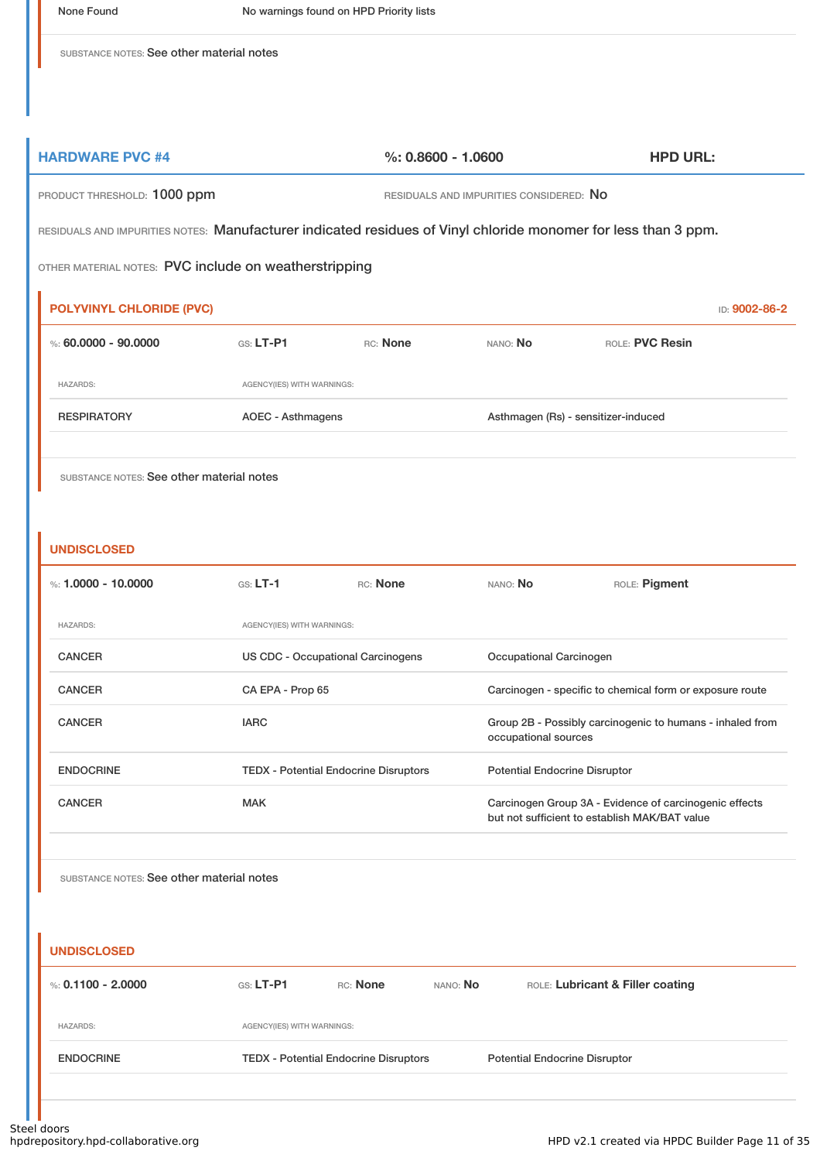**HARDWARE PVC #4 %: 0.8600 - 1.0600 HPD URL:**

| PRODUCT THRESHOLD: 1000 ppm                                                                                    |                                              |          |          | RESIDUALS AND IMPURITIES CONSIDERED: NO                                                                 |                                     |               |
|----------------------------------------------------------------------------------------------------------------|----------------------------------------------|----------|----------|---------------------------------------------------------------------------------------------------------|-------------------------------------|---------------|
| RESIDUALS AND IMPURITIES NOTES: Manufacturer indicated residues of Vinyl chloride monomer for less than 3 ppm. |                                              |          |          |                                                                                                         |                                     |               |
| OTHER MATERIAL NOTES: PVC include on weatherstripping                                                          |                                              |          |          |                                                                                                         |                                     |               |
| <b>POLYVINYL CHLORIDE (PVC)</b>                                                                                |                                              |          |          |                                                                                                         |                                     | ID: 9002-86-2 |
| %: $60.0000 - 90.0000$                                                                                         | $G.S. LT-P1$                                 | RC: None |          | NANO: No                                                                                                | ROLE: PVC Resin                     |               |
| <b>HAZARDS:</b>                                                                                                | AGENCY(IES) WITH WARNINGS:                   |          |          |                                                                                                         |                                     |               |
| <b>RESPIRATORY</b>                                                                                             | <b>AOEC - Asthmagens</b>                     |          |          |                                                                                                         | Asthmagen (Rs) - sensitizer-induced |               |
| SUBSTANCE NOTES: See other material notes<br><b>UNDISCLOSED</b>                                                |                                              |          |          |                                                                                                         |                                     |               |
| %: $1.0000 - 10.0000$                                                                                          | $GS: LT-1$                                   | RC: None |          | NANO: No                                                                                                | ROLE: Pigment                       |               |
| <b>HAZARDS:</b>                                                                                                | AGENCY(IES) WITH WARNINGS:                   |          |          |                                                                                                         |                                     |               |
| <b>CANCER</b>                                                                                                  | US CDC - Occupational Carcinogens            |          |          | Occupational Carcinogen                                                                                 |                                     |               |
| <b>CANCER</b>                                                                                                  | CA EPA - Prop 65                             |          |          | Carcinogen - specific to chemical form or exposure route                                                |                                     |               |
| <b>CANCER</b>                                                                                                  | <b>IARC</b>                                  |          |          | Group 2B - Possibly carcinogenic to humans - inhaled from<br>occupational sources                       |                                     |               |
| <b>ENDOCRINE</b>                                                                                               | <b>TEDX - Potential Endocrine Disruptors</b> |          |          | <b>Potential Endocrine Disruptor</b>                                                                    |                                     |               |
| <b>CANCER</b>                                                                                                  | <b>MAK</b>                                   |          |          | Carcinogen Group 3A - Evidence of carcinogenic effects<br>but not sufficient to establish MAK/BAT value |                                     |               |
| SUBSTANCE NOTES: See other material notes<br><b>UNDISCLOSED</b>                                                |                                              |          |          |                                                                                                         |                                     |               |
| %: $0.1100 - 2.0000$                                                                                           | GS: LT-P1                                    | RC: None | NANO: No |                                                                                                         | ROLE: Lubricant & Filler coating    |               |
| <b>HAZARDS:</b>                                                                                                | AGENCY(IES) WITH WARNINGS:                   |          |          |                                                                                                         |                                     |               |

L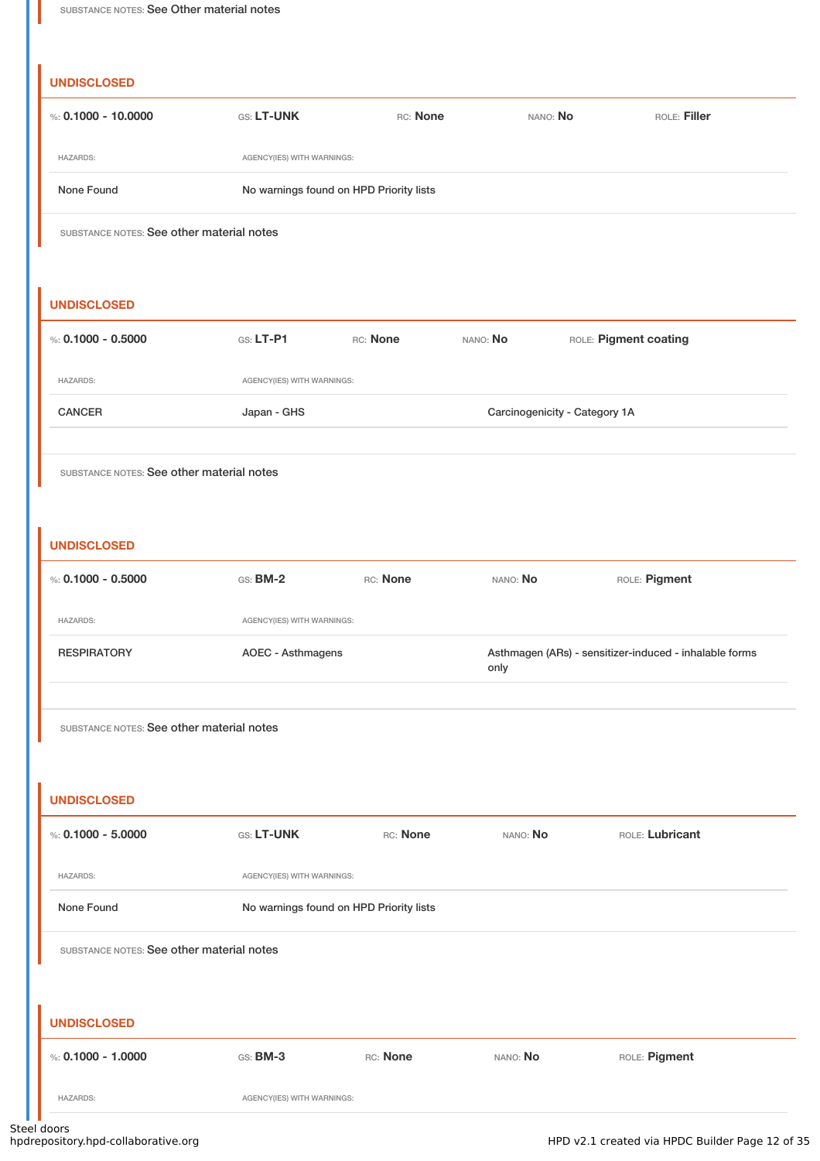## **USCLOSED**

| <b>UNDISCLOSED</b>                        |                                         |          |                               |                                                        |
|-------------------------------------------|-----------------------------------------|----------|-------------------------------|--------------------------------------------------------|
| %: $0.1000 - 10.0000$                     | GS: LT-UNK                              | RC: None | NANO: No                      | ROLE: Filler                                           |
| <b>HAZARDS:</b>                           | AGENCY(IES) WITH WARNINGS:              |          |                               |                                                        |
| None Found                                | No warnings found on HPD Priority lists |          |                               |                                                        |
| SUBSTANCE NOTES: See other material notes |                                         |          |                               |                                                        |
|                                           |                                         |          |                               |                                                        |
| <b>UNDISCLOSED</b>                        |                                         |          |                               |                                                        |
| %: $0.1000 - 0.5000$                      | GS: LT-P1                               | RC: None | NANO: No                      | ROLE: Pigment coating                                  |
| <b>HAZARDS:</b>                           | AGENCY(IES) WITH WARNINGS:              |          |                               |                                                        |
| <b>CANCER</b>                             | Japan - GHS                             |          | Carcinogenicity - Category 1A |                                                        |
|                                           |                                         |          |                               |                                                        |
| SUBSTANCE NOTES: See other material notes |                                         |          |                               |                                                        |
|                                           |                                         |          |                               |                                                        |
| <b>UNDISCLOSED</b>                        |                                         |          |                               |                                                        |
| %: $0.1000 - 0.5000$                      | $GS: BM-2$                              | RC: None | NANO: No                      | ROLE: Pigment                                          |
| <b>HAZARDS:</b>                           | AGENCY(IES) WITH WARNINGS:              |          |                               |                                                        |
| <b>RESPIRATORY</b>                        | AOEC - Asthmagens                       |          | only                          | Asthmagen (ARs) - sensitizer-induced - inhalable forms |
|                                           |                                         |          |                               |                                                        |
| SUBSTANCE NOTES: See other material notes |                                         |          |                               |                                                        |
|                                           |                                         |          |                               |                                                        |
| <b>UNDISCLOSED</b>                        |                                         |          |                               |                                                        |
| %: $0.1000 - 5.0000$                      | GS: LT-UNK                              | RC: None | NANO: No                      | ROLE: Lubricant                                        |
| <b>HAZARDS:</b>                           | AGENCY(IES) WITH WARNINGS:              |          |                               |                                                        |
| None Found                                | No warnings found on HPD Priority lists |          |                               |                                                        |
| SUBSTANCE NOTES: See other material notes |                                         |          |                               |                                                        |
|                                           |                                         |          |                               |                                                        |
| <b>UNDISCLOSED</b>                        |                                         |          |                               |                                                        |
| %: $0.1000 - 1.0000$                      | GS: BM-3                                | RC: None | NANO: No                      | ROLE: Pigment                                          |

HAZARDS: AGENCY(IES) WITH WARNINGS: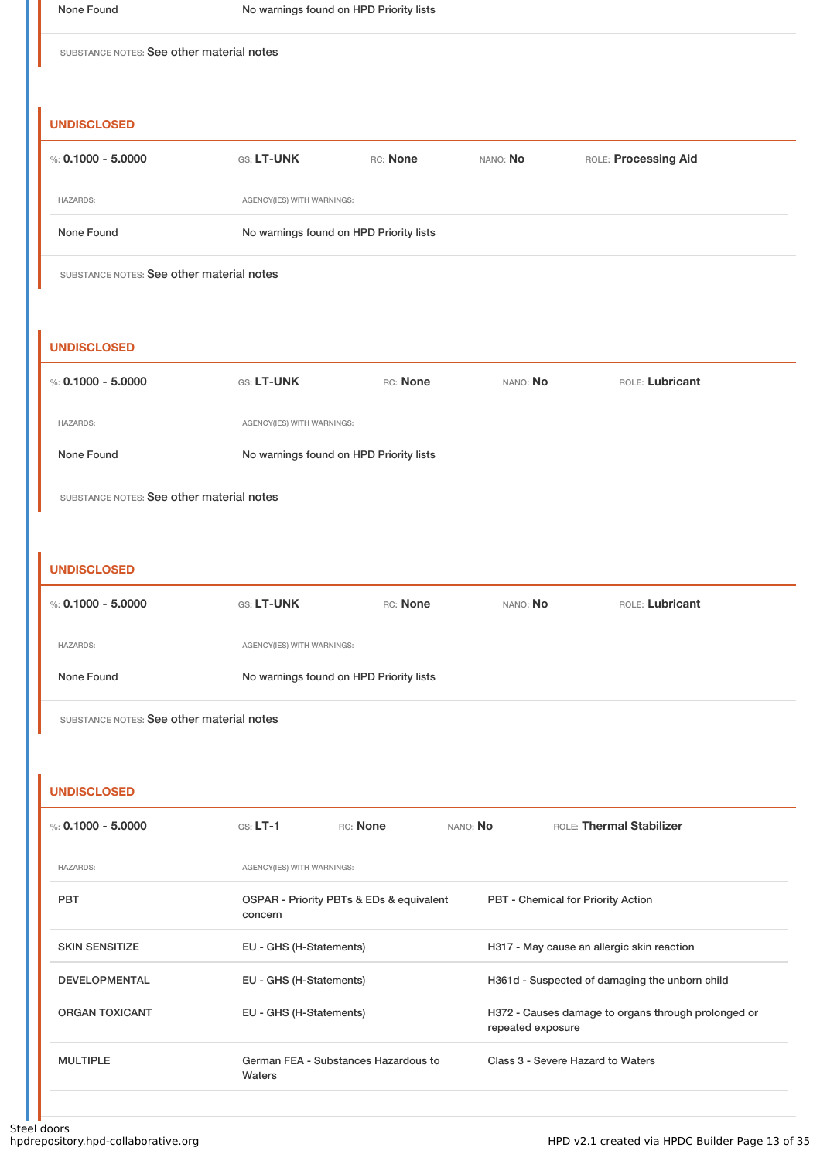#### **UNDISCLOSED**

| %: $0.1000 - 5.0000$ | <b>GS: LT-UNK</b>                       | RC: None | NANO: No | ROLE: Processing Aid |  |  |
|----------------------|-----------------------------------------|----------|----------|----------------------|--|--|
| <b>HAZARDS:</b>      | AGENCY(IES) WITH WARNINGS:              |          |          |                      |  |  |
| None Found           | No warnings found on HPD Priority lists |          |          |                      |  |  |

SUBSTANCE NOTES: See other material notes

#### **UNDISCLOSED**

| %: 0.1000 - 5.0000 | <b>GS: LT-UNK</b>                       | RC: None | NANO: <b>No</b> | ROLE: Lubricant |  |
|--------------------|-----------------------------------------|----------|-----------------|-----------------|--|
| <b>HAZARDS:</b>    | AGENCY(IES) WITH WARNINGS:              |          |                 |                 |  |
| None Found         | No warnings found on HPD Priority lists |          |                 |                 |  |

SUBSTANCE NOTES: See other material notes

#### **UNDISCLOSED**

| %: 0.1000 - 5.0000 | <b>GS: LT-UNK</b>                       | RC: None | NANO: <b>No</b> | ROLE: Lubricant |  |
|--------------------|-----------------------------------------|----------|-----------------|-----------------|--|
| <b>HAZARDS:</b>    | AGENCY(IES) WITH WARNINGS:              |          |                 |                 |  |
| None Found         | No warnings found on HPD Priority lists |          |                 |                 |  |

SUBSTANCE NOTES: See other material notes

#### **UNDISCLOSED**

| %: $0.1000 - 5.0000$  | $GS: LT-1$                 | RC: None                                 | NANO: No | ROLE: Thermal Stabilizer                                                 |  |  |
|-----------------------|----------------------------|------------------------------------------|----------|--------------------------------------------------------------------------|--|--|
| <b>HAZARDS:</b>       | AGENCY(IES) WITH WARNINGS: |                                          |          |                                                                          |  |  |
| <b>PBT</b>            | concern                    | OSPAR - Priority PBTs & EDs & equivalent |          | <b>PBT</b> - Chemical for Priority Action                                |  |  |
| <b>SKIN SENSITIZE</b> | EU - GHS (H-Statements)    |                                          |          | H317 - May cause an allergic skin reaction                               |  |  |
| <b>DEVELOPMENTAL</b>  | EU - GHS (H-Statements)    |                                          |          | H361d - Suspected of damaging the unborn child                           |  |  |
| <b>ORGAN TOXICANT</b> |                            | EU - GHS (H-Statements)                  |          | H372 - Causes damage to organs through prolonged or<br>repeated exposure |  |  |
| <b>MULTIPLE</b>       | Waters                     | German FEA - Substances Hazardous to     |          | Class 3 - Severe Hazard to Waters                                        |  |  |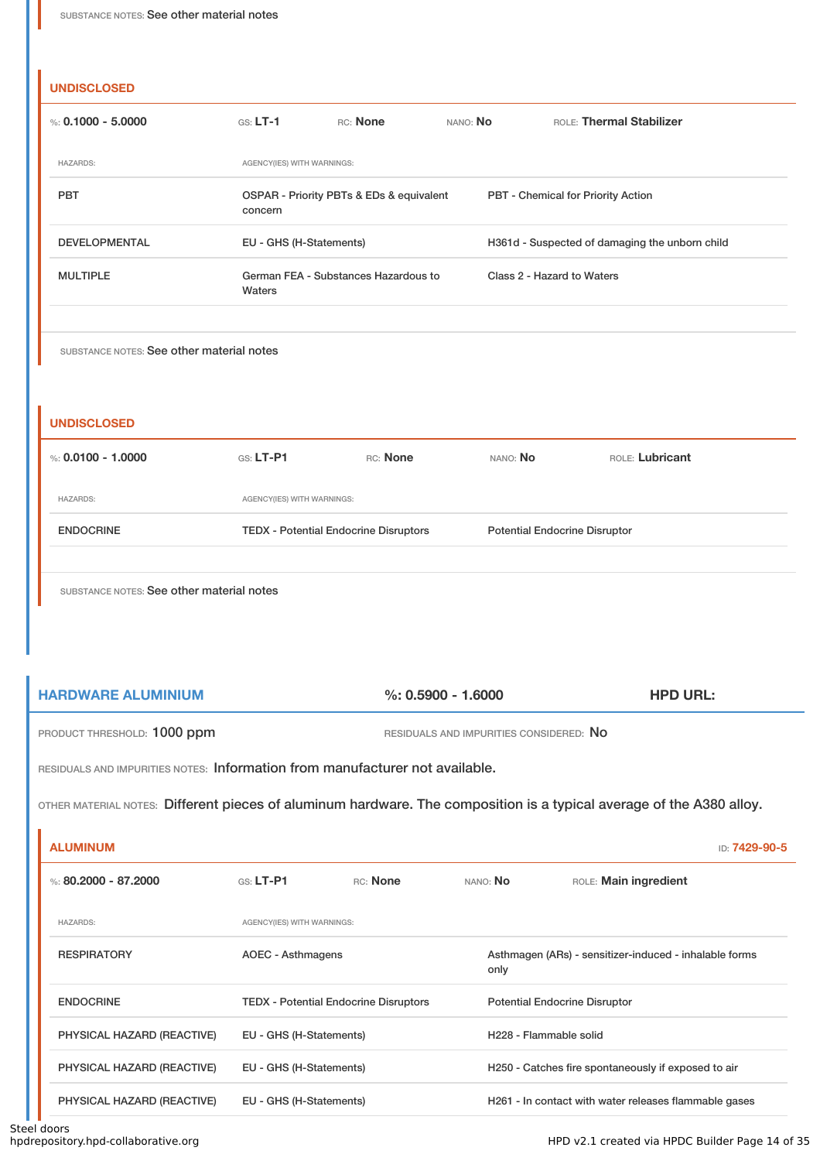| %: $0.1000 - 5.0000$                                          | $GS: LT-1$                 | RC: None                                 | NANO: No | ROLE: Thermal Stabilizer                       |  |
|---------------------------------------------------------------|----------------------------|------------------------------------------|----------|------------------------------------------------|--|
| <b>HAZARDS:</b>                                               | AGENCY(IES) WITH WARNINGS: |                                          |          |                                                |  |
| <b>PBT</b>                                                    | concern                    | OSPAR - Priority PBTs & EDs & equivalent |          | PBT - Chemical for Priority Action             |  |
| <b>DEVELOPMENTAL</b>                                          | EU - GHS (H-Statements)    |                                          |          | H361d - Suspected of damaging the unborn child |  |
| <b>MULTIPLE</b>                                               | Waters                     | German FEA - Substances Hazardous to     |          | Class 2 - Hazard to Waters                     |  |
| SUBSTANCE NOTES: See other material notes                     |                            |                                          |          |                                                |  |
|                                                               | GS: LT-P1                  | RC: None                                 | NANO: No | ROLE: Lubricant                                |  |
| <b>UNDISCLOSED</b><br>%: $0.0100 - 1.0000$<br><b>HAZARDS:</b> | AGENCY(IES) WITH WARNINGS: |                                          |          |                                                |  |

| <b>HARDWARE ALUMINIUM</b>   | $\%$ : 0.5900 - 1.6000                  | <b>HPD URL:</b> |
|-----------------------------|-----------------------------------------|-----------------|
| PRODUCT THRESHOLD: 1000 ppm | RESIDUALS AND IMPURITIES CONSIDERED: NO |                 |

RESIDUALS AND IMPURITIES NOTES: Information from manufacturer not available.

OTHER MATERIAL NOTES: Different pieces of aluminum hardware. The composition is a typical average of the A380 alloy.

| <b>ALUMINUM</b>            |                                              |                         |                                                                | ID: 7429-90-5                                         |  |
|----------------------------|----------------------------------------------|-------------------------|----------------------------------------------------------------|-------------------------------------------------------|--|
| %: $80.2000 - 87.2000$     | $G.S.$ LT-P1                                 | RC: None                | NANO: No                                                       | ROLE: Main ingredient                                 |  |
| <b>HAZARDS:</b>            | AGENCY(IES) WITH WARNINGS:                   |                         |                                                                |                                                       |  |
| <b>RESPIRATORY</b>         | <b>AOEC - Asthmagens</b>                     |                         | Asthmagen (ARs) - sensitizer-induced - inhalable forms<br>only |                                                       |  |
| <b>ENDOCRINE</b>           | <b>TEDX</b> - Potential Endocrine Disruptors |                         |                                                                | <b>Potential Endocrine Disruptor</b>                  |  |
| PHYSICAL HAZARD (REACTIVE) |                                              | EU - GHS (H-Statements) |                                                                | H228 - Flammable solid                                |  |
| PHYSICAL HAZARD (REACTIVE) | EU - GHS (H-Statements)                      |                         |                                                                | H250 - Catches fire spontaneously if exposed to air   |  |
| PHYSICAL HAZARD (REACTIVE) | EU - GHS (H-Statements)                      |                         |                                                                | H261 - In contact with water releases flammable gases |  |

Î.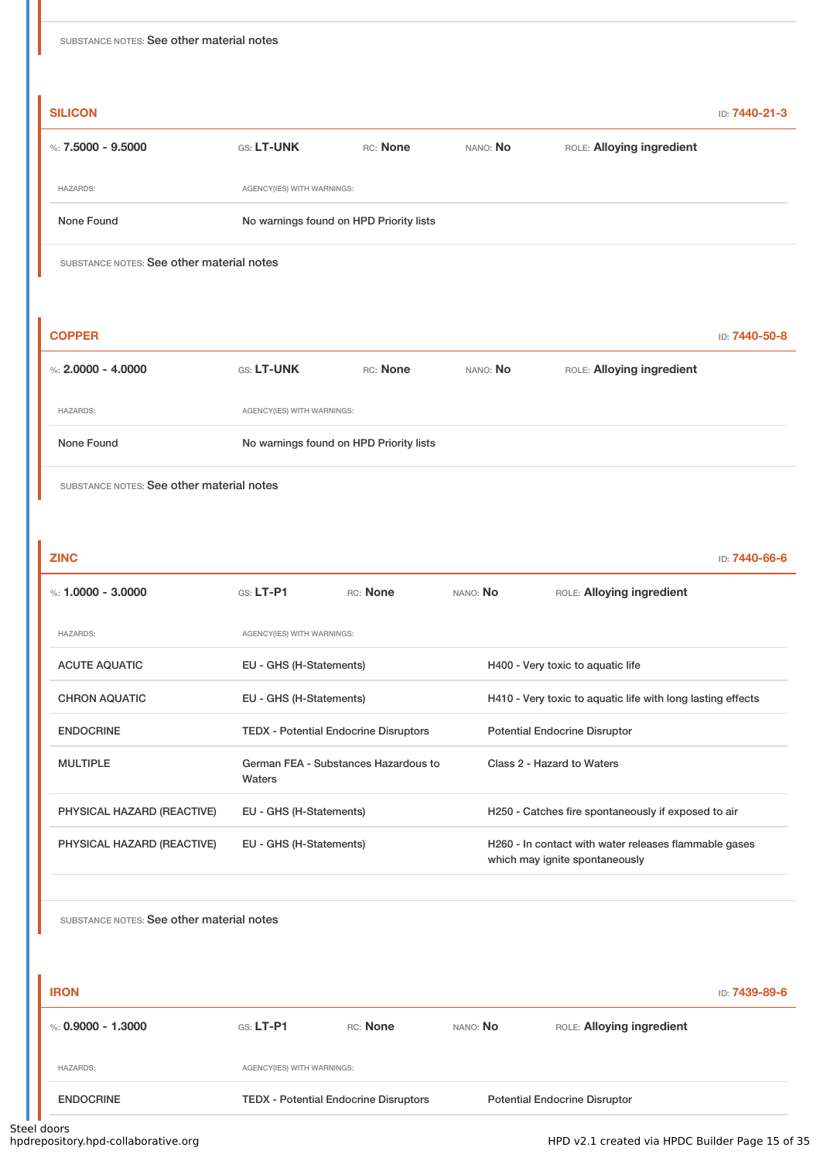| SUBSTANCE NOTES: See other material notes |                                           |                                         |          |                           |               |  |
|-------------------------------------------|-------------------------------------------|-----------------------------------------|----------|---------------------------|---------------|--|
| <b>SILICON</b>                            |                                           |                                         |          |                           | ID: 7440-21-3 |  |
| %: $7.5000 - 9.5000$                      | GS: LT-UNK                                | RC: None                                | NANO: No | ROLE: Alloying ingredient |               |  |
| <b>HAZARDS:</b>                           | AGENCY(IES) WITH WARNINGS:                |                                         |          |                           |               |  |
| None Found                                |                                           | No warnings found on HPD Priority lists |          |                           |               |  |
|                                           | SUBSTANCE NOTES: See other material notes |                                         |          |                           |               |  |

| <b>COPPER</b>        |                   |                                         |          |                           | ID: 7440-50-8 |  |
|----------------------|-------------------|-----------------------------------------|----------|---------------------------|---------------|--|
| %: $2,0000 - 4,0000$ | <b>GS: LT-UNK</b> | RC: None                                | NANO: No | ROLE: Alloying ingredient |               |  |
| <b>HAZARDS:</b>      |                   | AGENCY(IES) WITH WARNINGS:              |          |                           |               |  |
| None Found           |                   | No warnings found on HPD Priority lists |          |                           |               |  |
|                      |                   |                                         |          |                           |               |  |

| <b>ZINC</b>                |                                              |                                      |                                                     | ID: 7440-66-6                                                                           |  |  |
|----------------------------|----------------------------------------------|--------------------------------------|-----------------------------------------------------|-----------------------------------------------------------------------------------------|--|--|
| %: 1.0000 - 3.0000         | $GS: LT-P1$                                  | <b>RC:</b> None                      | NANO: No                                            | ROLE: Alloying ingredient                                                               |  |  |
| <b>HAZARDS:</b>            | AGENCY(IES) WITH WARNINGS:                   |                                      |                                                     |                                                                                         |  |  |
| <b>ACUTE AQUATIC</b>       | EU - GHS (H-Statements)                      |                                      | H400 - Very toxic to aquatic life                   |                                                                                         |  |  |
| <b>CHRON AQUATIC</b>       | EU - GHS (H-Statements)                      |                                      |                                                     | H410 - Very toxic to aquatic life with long lasting effects                             |  |  |
| <b>ENDOCRINE</b>           | <b>TEDX - Potential Endocrine Disruptors</b> |                                      |                                                     | <b>Potential Endocrine Disruptor</b>                                                    |  |  |
| <b>MULTIPLE</b>            | Waters                                       | German FEA - Substances Hazardous to |                                                     | Class 2 - Hazard to Waters                                                              |  |  |
| PHYSICAL HAZARD (REACTIVE) | EU - GHS (H-Statements)                      |                                      | H250 - Catches fire spontaneously if exposed to air |                                                                                         |  |  |
| PHYSICAL HAZARD (REACTIVE) | EU - GHS (H-Statements)                      |                                      |                                                     | H260 - In contact with water releases flammable gases<br>which may ignite spontaneously |  |  |

| <b>IRON</b>          |                                              |          |          |                                      | ID: 7439-89-6 |
|----------------------|----------------------------------------------|----------|----------|--------------------------------------|---------------|
| %: $0.9000 - 1.3000$ | $G.S.$ LT-P1                                 | RC: None | NANO: No | ROLE: Alloying ingredient            |               |
| <b>HAZARDS:</b>      | AGENCY(IES) WITH WARNINGS:                   |          |          |                                      |               |
| <b>ENDOCRINE</b>     | <b>TEDX - Potential Endocrine Disruptors</b> |          |          | <b>Potential Endocrine Disruptor</b> |               |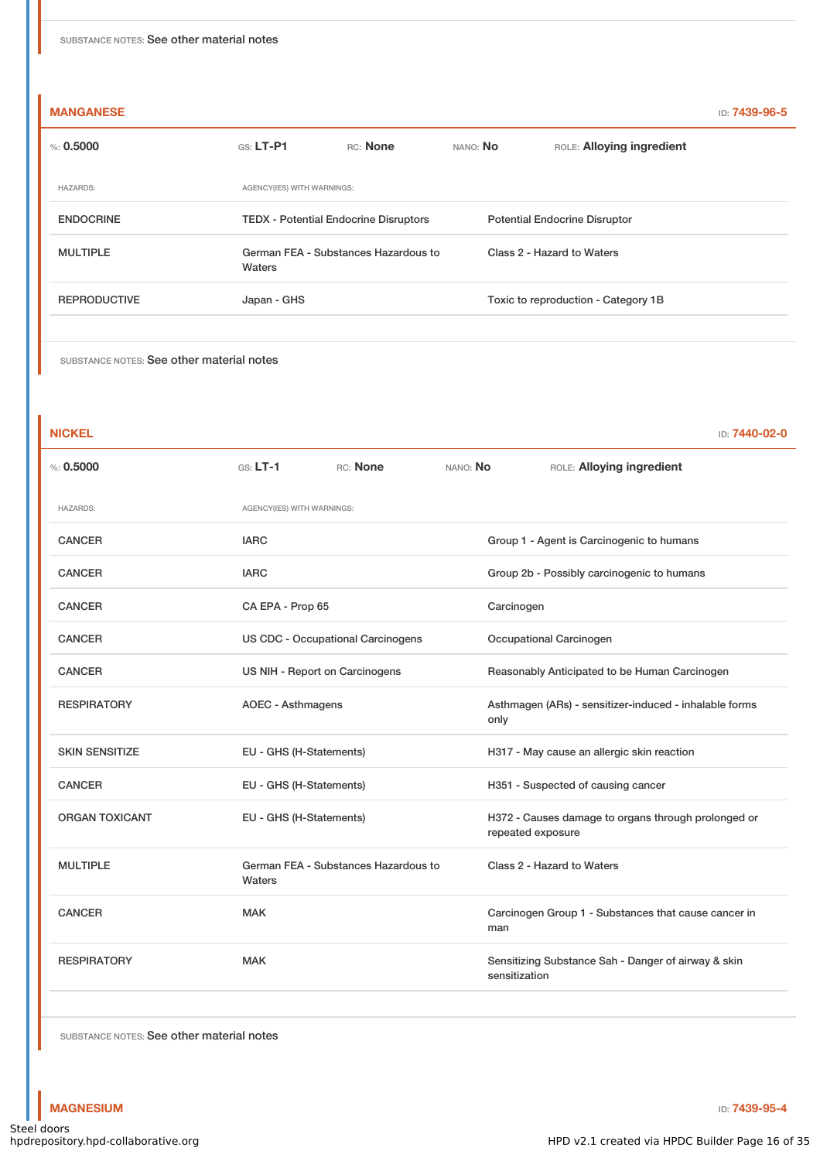| <b>MANGANESE</b>    |                                                |          |          |                                      | ID: 7439-96-5 |
|---------------------|------------------------------------------------|----------|----------|--------------------------------------|---------------|
| $\%: 0.5000$        | $GS: LT-P1$                                    | RC: None | NANO: No | ROLE: Alloying ingredient            |               |
| <b>HAZARDS:</b>     | AGENCY(IES) WITH WARNINGS:                     |          |          |                                      |               |
| <b>ENDOCRINE</b>    | <b>TEDX</b> - Potential Endocrine Disruptors   |          |          | <b>Potential Endocrine Disruptor</b> |               |
| <b>MULTIPLE</b>     | German FEA - Substances Hazardous to<br>Waters |          |          | Class 2 - Hazard to Waters           |               |
| <b>REPRODUCTIVE</b> | Japan - GHS                                    |          |          | Toxic to reproduction - Category 1B  |               |
|                     |                                                |          |          |                                      |               |

| <b>NICKEL</b>         |                                                |          |          | ID: 7440-02-0                                                            |  |                            |
|-----------------------|------------------------------------------------|----------|----------|--------------------------------------------------------------------------|--|----------------------------|
| %: 0.5000             | $GS: LT-1$                                     | RC: None | NANO: No | ROLE: Alloying ingredient                                                |  |                            |
| <b>HAZARDS:</b>       | AGENCY(IES) WITH WARNINGS:                     |          |          |                                                                          |  |                            |
| <b>CANCER</b>         | <b>IARC</b>                                    |          |          | Group 1 - Agent is Carcinogenic to humans                                |  |                            |
| <b>CANCER</b>         | <b>IARC</b>                                    |          |          | Group 2b - Possibly carcinogenic to humans                               |  |                            |
| <b>CANCER</b>         | CA EPA - Prop 65                               |          |          | Carcinogen                                                               |  |                            |
| <b>CANCER</b>         | <b>US CDC - Occupational Carcinogens</b>       |          |          | Occupational Carcinogen                                                  |  |                            |
| <b>CANCER</b>         | US NIH - Report on Carcinogens                 |          |          | Reasonably Anticipated to be Human Carcinogen                            |  |                            |
| <b>RESPIRATORY</b>    | AOEC - Asthmagens                              |          |          | Asthmagen (ARs) - sensitizer-induced - inhalable forms<br>only           |  |                            |
| <b>SKIN SENSITIZE</b> | EU - GHS (H-Statements)                        |          |          | H317 - May cause an allergic skin reaction                               |  |                            |
| <b>CANCER</b>         | EU - GHS (H-Statements)                        |          |          | H351 - Suspected of causing cancer                                       |  |                            |
| <b>ORGAN TOXICANT</b> | EU - GHS (H-Statements)                        |          |          | H372 - Causes damage to organs through prolonged or<br>repeated exposure |  |                            |
| <b>MULTIPLE</b>       | German FEA - Substances Hazardous to<br>Waters |          |          |                                                                          |  | Class 2 - Hazard to Waters |
| <b>CANCER</b>         | <b>MAK</b>                                     |          | man      | Carcinogen Group 1 - Substances that cause cancer in                     |  |                            |
| <b>RESPIRATORY</b>    | <b>MAK</b>                                     |          |          | Sensitizing Substance Sah - Danger of airway & skin<br>sensitization     |  |                            |
|                       |                                                |          |          |                                                                          |  |                            |

SUBSTANCE NOTES: See other material notes

**MAGNESIUM** ID: **7439-95-4**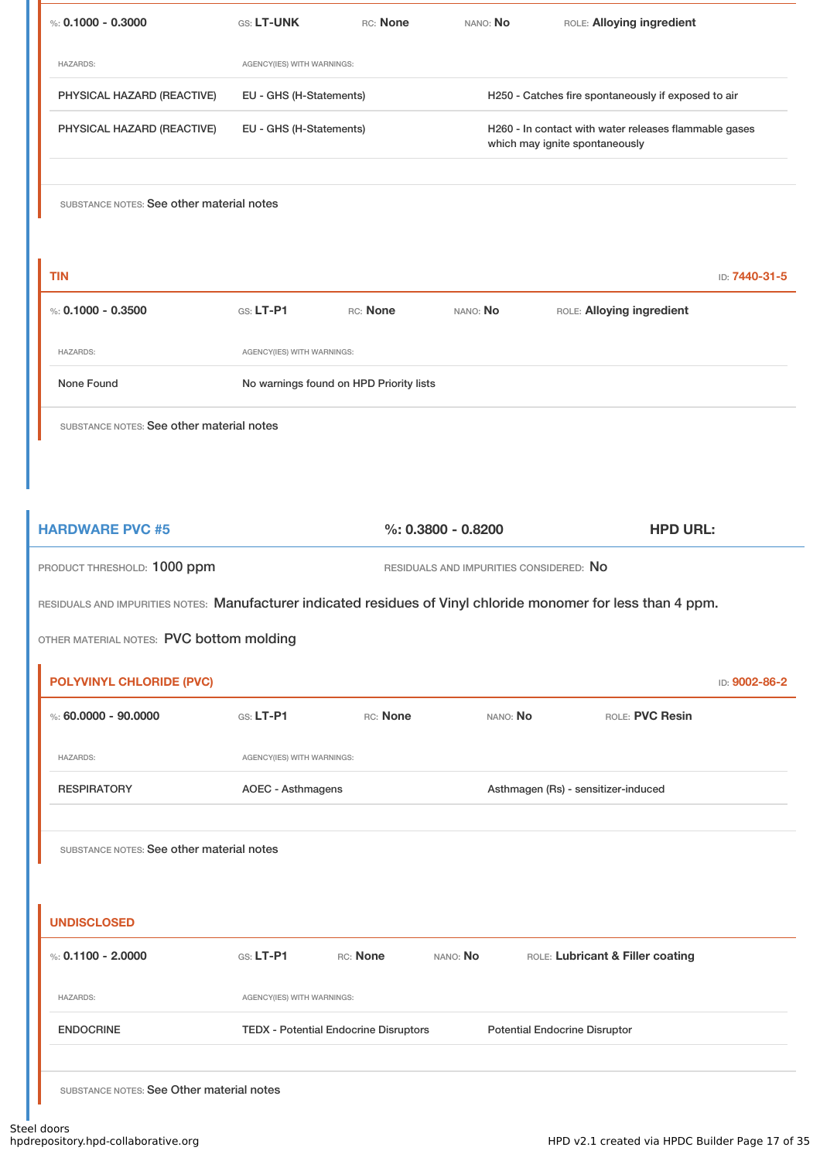| %: $0.1000 - 0.3000$                      | GS: LT-UNK                 | RC: None                                                                       | NANO: No                                | ROLE: Alloying ingredient                                                                                      |               |
|-------------------------------------------|----------------------------|--------------------------------------------------------------------------------|-----------------------------------------|----------------------------------------------------------------------------------------------------------------|---------------|
| <b>HAZARDS:</b>                           | AGENCY(IES) WITH WARNINGS: |                                                                                |                                         |                                                                                                                |               |
| PHYSICAL HAZARD (REACTIVE)                |                            | EU - GHS (H-Statements)<br>H250 - Catches fire spontaneously if exposed to air |                                         |                                                                                                                |               |
| PHYSICAL HAZARD (REACTIVE)                | EU - GHS (H-Statements)    |                                                                                |                                         | H260 - In contact with water releases flammable gases<br>which may ignite spontaneously                        |               |
| SUBSTANCE NOTES: See other material notes |                            |                                                                                |                                         |                                                                                                                |               |
| <b>TIN</b>                                |                            |                                                                                |                                         |                                                                                                                | ID: 7440-31-5 |
| %: $0.1000 - 0.3500$                      | $GS: LT-P1$                | RC: None                                                                       | NANO: No                                | ROLE: Alloying ingredient                                                                                      |               |
| <b>HAZARDS:</b>                           | AGENCY(IES) WITH WARNINGS: |                                                                                |                                         |                                                                                                                |               |
| None Found                                |                            | No warnings found on HPD Priority lists                                        |                                         |                                                                                                                |               |
| SUBSTANCE NOTES: See other material notes |                            |                                                                                |                                         |                                                                                                                |               |
|                                           |                            |                                                                                |                                         |                                                                                                                |               |
|                                           |                            |                                                                                |                                         |                                                                                                                |               |
| <b>HARDWARE PVC #5</b>                    |                            |                                                                                | $\%$ : 0.3800 - 0.8200                  | <b>HPD URL:</b>                                                                                                |               |
| PRODUCT THRESHOLD: 1000 ppm               |                            |                                                                                | RESIDUALS AND IMPURITIES CONSIDERED: NO |                                                                                                                |               |
|                                           |                            |                                                                                |                                         | RESIDUALS AND IMPURITIES NOTES: Manufacturer indicated residues of Vinyl chloride monomer for less than 4 ppm. |               |
| OTHER MATERIAL NOTES: PVC bottom molding  |                            |                                                                                |                                         |                                                                                                                |               |
| <b>POLYVINYL CHLORIDE (PVC)</b>           |                            |                                                                                |                                         |                                                                                                                | ID: 9002-86-2 |
| %: $60.0000 - 90.0000$                    | $G.S. LT-P1$               | RC: None                                                                       | NANO: No                                | ROLE: PVC Resin                                                                                                |               |
| <b>HAZARDS:</b>                           | AGENCY(IES) WITH WARNINGS: |                                                                                |                                         |                                                                                                                |               |
| <b>RESPIRATORY</b>                        | <b>AOEC - Asthmagens</b>   |                                                                                |                                         | Asthmagen (Rs) - sensitizer-induced                                                                            |               |
|                                           |                            |                                                                                |                                         |                                                                                                                |               |
| SUBSTANCE NOTES: See other material notes |                            |                                                                                |                                         |                                                                                                                |               |
|                                           |                            |                                                                                |                                         |                                                                                                                |               |
| <b>UNDISCLOSED</b>                        |                            |                                                                                |                                         |                                                                                                                |               |
| %: $0.1100 - 2.0000$                      | GS: LT-P1                  | RC: None                                                                       | NANO: No                                | ROLE: Lubricant & Filler coating                                                                               |               |
| <b>HAZARDS:</b>                           | AGENCY(IES) WITH WARNINGS: |                                                                                |                                         |                                                                                                                |               |
| <b>ENDOCRINE</b>                          |                            |                                                                                |                                         | <b>Potential Endocrine Disruptor</b>                                                                           |               |
|                                           |                            | <b>TEDX - Potential Endocrine Disruptors</b>                                   |                                         |                                                                                                                |               |
|                                           |                            |                                                                                |                                         |                                                                                                                |               |

a ser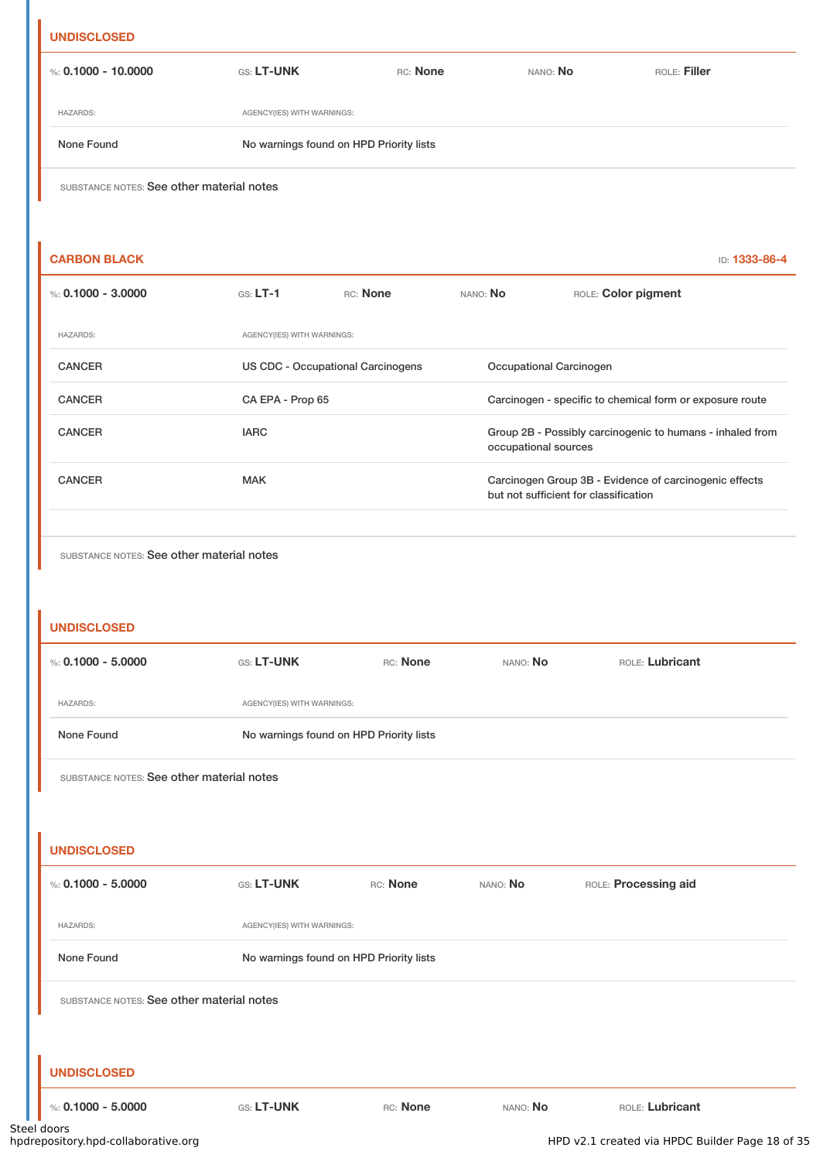# **UNDISCLOSED** %: **0.1000 - 10.0000** GS: **LT-UNK** RC: **None** NANO: **No** ROLE: **Filler** HAZARDS: AGENCY(IES) WITH WARNINGS: None Found No warnings found on HPD Priority lists SUBSTANCE NOTES: See other material notes

| <b>CARBON BLACK</b>  |                            |                                   |                         | ID: 1333-86-4                                                                                   |  |
|----------------------|----------------------------|-----------------------------------|-------------------------|-------------------------------------------------------------------------------------------------|--|
| %: $0.1000 - 3.0000$ | $GS: LT-1$                 | RC: None                          | NANO: No                | ROLE: Color pigment                                                                             |  |
| <b>HAZARDS:</b>      | AGENCY(IES) WITH WARNINGS: |                                   |                         |                                                                                                 |  |
| <b>CANCER</b>        |                            | US CDC - Occupational Carcinogens | Occupational Carcinogen |                                                                                                 |  |
| <b>CANCER</b>        | CA EPA - Prop 65           |                                   |                         | Carcinogen - specific to chemical form or exposure route                                        |  |
| <b>CANCER</b>        | <b>IARC</b>                |                                   |                         | Group 2B - Possibly carcinogenic to humans - inhaled from<br>occupational sources               |  |
| <b>CANCER</b>        | <b>MAK</b>                 |                                   |                         | Carcinogen Group 3B - Evidence of carcinogenic effects<br>but not sufficient for classification |  |
|                      |                            |                                   |                         |                                                                                                 |  |

SUBSTANCE NOTES: See other material notes

### **UNDISCLOSED**

| %: $0.1000 - 5.0000$                      | <b>GS: LT-UNK</b>                       | RC: None                                | NANO: No | ROLE: Lubricant      |  |  |
|-------------------------------------------|-----------------------------------------|-----------------------------------------|----------|----------------------|--|--|
| <b>HAZARDS:</b>                           | AGENCY(IES) WITH WARNINGS:              |                                         |          |                      |  |  |
| None Found                                |                                         | No warnings found on HPD Priority lists |          |                      |  |  |
| SUBSTANCE NOTES: See other material notes |                                         |                                         |          |                      |  |  |
|                                           |                                         |                                         |          |                      |  |  |
| <b>UNDISCLOSED</b>                        |                                         |                                         |          |                      |  |  |
| %: $0.1000 - 5.0000$                      | GS: LT-UNK                              | RC: None                                | NANO: No | ROLE: Processing aid |  |  |
| <b>HAZARDS:</b>                           | AGENCY(IES) WITH WARNINGS:              |                                         |          |                      |  |  |
| None Found                                | No warnings found on HPD Priority lists |                                         |          |                      |  |  |
| SUBSTANCE NOTES: See other material notes |                                         |                                         |          |                      |  |  |
|                                           |                                         |                                         |          |                      |  |  |
| <b>UNDISCLOSED</b>                        |                                         |                                         |          |                      |  |  |
| %: $0.1000 - 5.0000$                      | GS: LT-UNK                              | RC: None                                | NANO: No | ROLE: Lubricant      |  |  |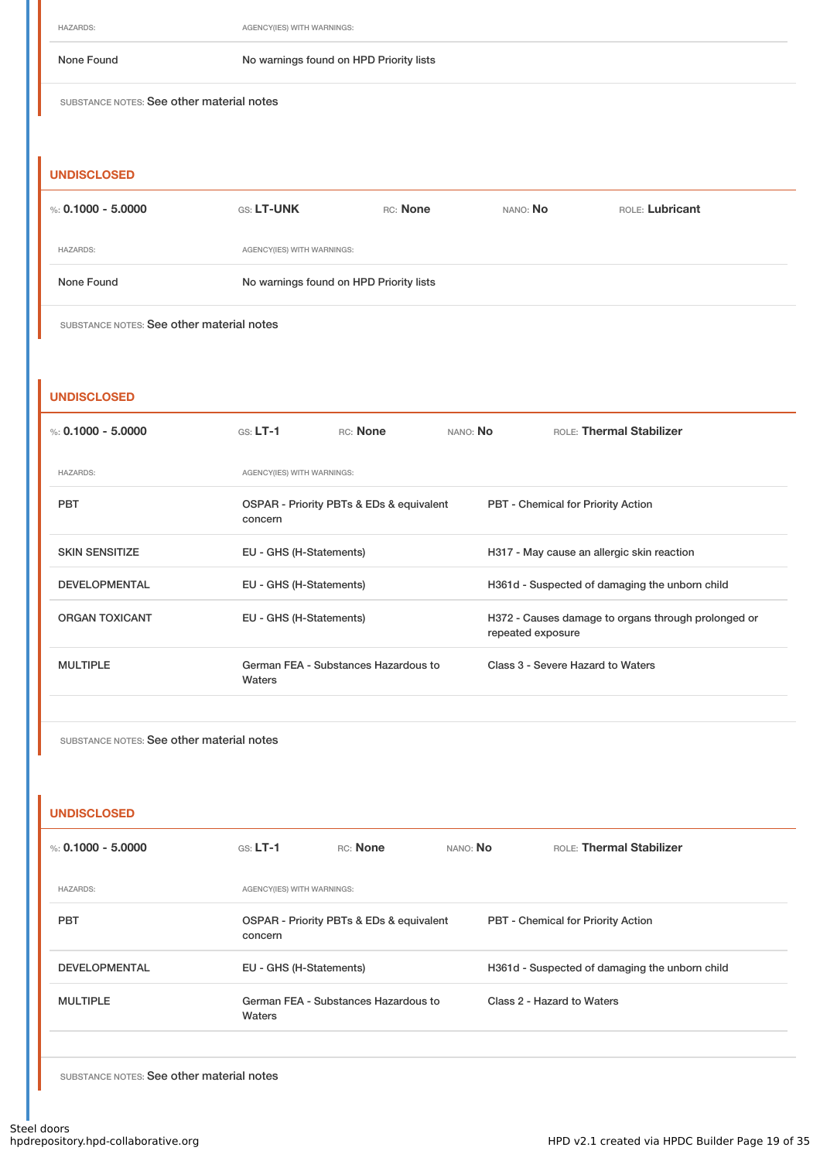HAZARDS: AGENCY(IES) WITH WARNINGS:

#### None Found No warnings found on HPD Priority lists

SUBSTANCE NOTES: See other material notes

### **UNDISCLOSED**

| %: 0.1000 - 5.0000 | <b>GS: LT-UNK</b>                       | RC: None | NANO: No | ROLE: Lubricant |
|--------------------|-----------------------------------------|----------|----------|-----------------|
| <b>HAZARDS:</b>    | AGENCY(IES) WITH WARNINGS:              |          |          |                 |
| None Found         | No warnings found on HPD Priority lists |          |          |                 |

SUBSTANCE NOTES: See other material notes

#### **UNDISCLOSED**

| %: 0.1000 - 5.0000    | $GS: LT-1$                                     | <b>RC:</b> None                          | NANO: No | <b>ROLE:</b> Thermal Stabilizer                                          |  |  |
|-----------------------|------------------------------------------------|------------------------------------------|----------|--------------------------------------------------------------------------|--|--|
| <b>HAZARDS:</b>       | AGENCY(IES) WITH WARNINGS:                     |                                          |          |                                                                          |  |  |
| <b>PBT</b>            | concern                                        | OSPAR - Priority PBTs & EDs & equivalent |          | <b>PBT</b> - Chemical for Priority Action                                |  |  |
| <b>SKIN SENSITIZE</b> | EU - GHS (H-Statements)                        |                                          |          | H317 - May cause an allergic skin reaction                               |  |  |
| <b>DEVELOPMENTAL</b>  | EU - GHS (H-Statements)                        |                                          |          | H361d - Suspected of damaging the unborn child                           |  |  |
| <b>ORGAN TOXICANT</b> | EU - GHS (H-Statements)                        |                                          |          | H372 - Causes damage to organs through prolonged or<br>repeated exposure |  |  |
| <b>MULTIPLE</b>       | German FEA - Substances Hazardous to<br>Waters |                                          |          | Class 3 - Severe Hazard to Waters                                        |  |  |

SUBSTANCE NOTES: See other material notes

#### **UNDISCLOSED**

| %: 0.1000 - 5.0000   | $GS: LT-1$                 | RC: None                                 | NANO: No | ROLE: Thermal Stabilizer                       |  |  |
|----------------------|----------------------------|------------------------------------------|----------|------------------------------------------------|--|--|
| <b>HAZARDS:</b>      | AGENCY(IES) WITH WARNINGS: |                                          |          |                                                |  |  |
| <b>PBT</b>           | concern                    | OSPAR - Priority PBTs & EDs & equivalent |          | <b>PBT</b> - Chemical for Priority Action      |  |  |
| <b>DEVELOPMENTAL</b> | EU - GHS (H-Statements)    |                                          |          | H361d - Suspected of damaging the unborn child |  |  |
| <b>MULTIPLE</b>      | Waters                     | German FEA - Substances Hazardous to     |          | Class 2 - Hazard to Waters                     |  |  |
|                      |                            |                                          |          |                                                |  |  |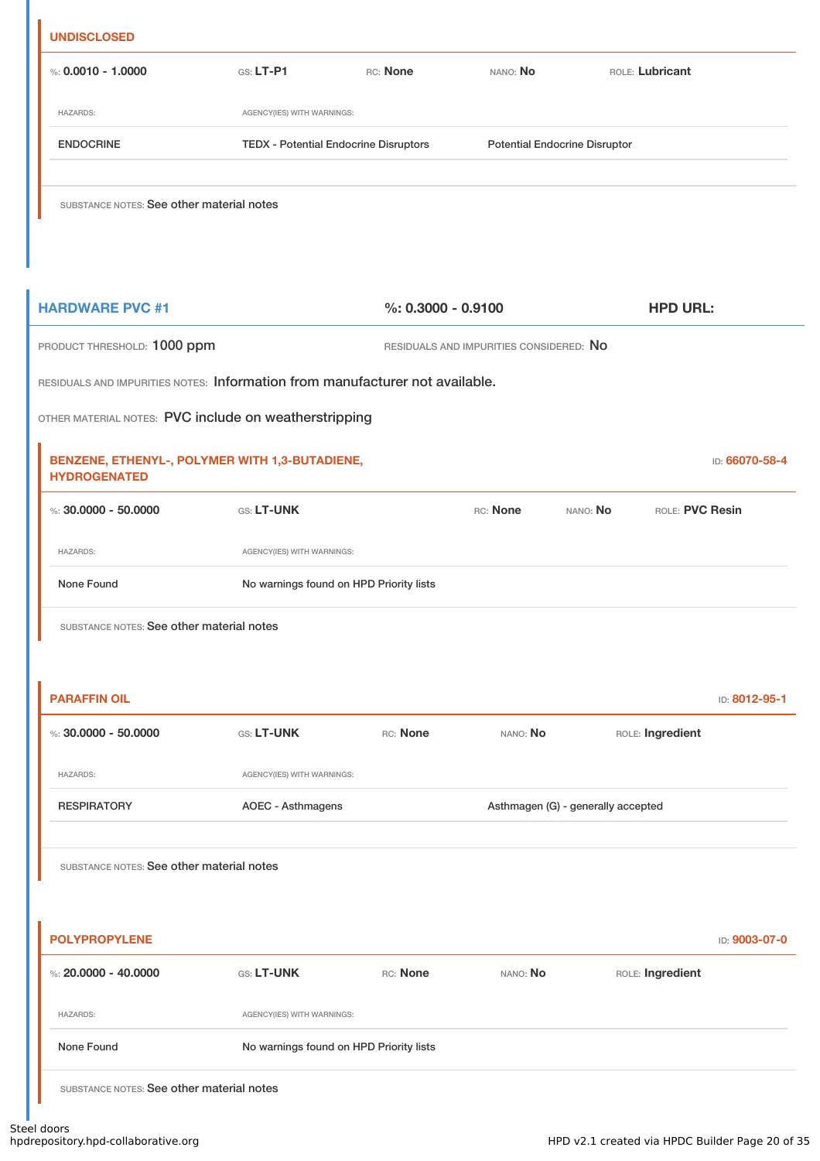| %: $0.0010 - 1.0000$<br><b>HAZARDS:</b><br><b>ENDOCRINE</b><br>SUBSTANCE NOTES: See other material notes<br><b>HARDWARE PVC #1</b><br>PRODUCT THRESHOLD: 1000 ppm<br>RESIDUALS AND IMPURITIES NOTES: Information from manufacturer not available.<br>OTHER MATERIAL NOTES: PVC include on weatherstripping<br>BENZENE, ETHENYL-, POLYMER WITH 1,3-BUTADIENE,<br><b>HYDROGENATED</b> | GS: LT-P1<br>AGENCY(IES) WITH WARNINGS:<br><b>TEDX - Potential Endocrine Disruptors</b> | RC: None<br>$%: 0.3000 - 0.9100$ | NANO: No<br><b>Potential Endocrine Disruptor</b><br>RESIDUALS AND IMPURITIES CONSIDERED: NO | ROLE: Lubricant<br><b>HPD URL:</b> |                 |
|-------------------------------------------------------------------------------------------------------------------------------------------------------------------------------------------------------------------------------------------------------------------------------------------------------------------------------------------------------------------------------------|-----------------------------------------------------------------------------------------|----------------------------------|---------------------------------------------------------------------------------------------|------------------------------------|-----------------|
|                                                                                                                                                                                                                                                                                                                                                                                     |                                                                                         |                                  |                                                                                             |                                    |                 |
|                                                                                                                                                                                                                                                                                                                                                                                     |                                                                                         |                                  |                                                                                             |                                    |                 |
|                                                                                                                                                                                                                                                                                                                                                                                     |                                                                                         |                                  |                                                                                             |                                    |                 |
|                                                                                                                                                                                                                                                                                                                                                                                     |                                                                                         |                                  |                                                                                             |                                    |                 |
|                                                                                                                                                                                                                                                                                                                                                                                     |                                                                                         |                                  |                                                                                             |                                    |                 |
|                                                                                                                                                                                                                                                                                                                                                                                     |                                                                                         |                                  |                                                                                             |                                    |                 |
|                                                                                                                                                                                                                                                                                                                                                                                     |                                                                                         |                                  |                                                                                             |                                    |                 |
|                                                                                                                                                                                                                                                                                                                                                                                     |                                                                                         |                                  |                                                                                             |                                    |                 |
|                                                                                                                                                                                                                                                                                                                                                                                     |                                                                                         |                                  |                                                                                             |                                    | ID: 66070-58-4  |
| %: $30,0000 - 50,0000$                                                                                                                                                                                                                                                                                                                                                              | GS: LT-UNK                                                                              |                                  | RC: None                                                                                    | NANO: No                           | ROLE: PVC Resin |
| <b>HAZARDS:</b>                                                                                                                                                                                                                                                                                                                                                                     | AGENCY(IES) WITH WARNINGS:                                                              |                                  |                                                                                             |                                    |                 |
| None Found                                                                                                                                                                                                                                                                                                                                                                          | No warnings found on HPD Priority lists                                                 |                                  |                                                                                             |                                    |                 |
| SUBSTANCE NOTES: See other material notes                                                                                                                                                                                                                                                                                                                                           |                                                                                         |                                  |                                                                                             |                                    |                 |
| <b>PARAFFIN OIL</b>                                                                                                                                                                                                                                                                                                                                                                 |                                                                                         |                                  |                                                                                             |                                    | ID: 8012-95-1   |
| %: $30,0000 - 50,0000$                                                                                                                                                                                                                                                                                                                                                              | GS: LT-UNK                                                                              | RC: None                         | NANO: No                                                                                    | ROLE: Ingredient                   |                 |
| <b>HAZARDS:</b>                                                                                                                                                                                                                                                                                                                                                                     | AGENCY(IES) WITH WARNINGS:                                                              |                                  |                                                                                             |                                    |                 |
| <b>RESPIRATORY</b>                                                                                                                                                                                                                                                                                                                                                                  | <b>AOEC - Asthmagens</b>                                                                |                                  |                                                                                             | Asthmagen (G) - generally accepted |                 |
| SUBSTANCE NOTES: See other material notes                                                                                                                                                                                                                                                                                                                                           |                                                                                         |                                  |                                                                                             |                                    |                 |
| <b>POLYPROPYLENE</b>                                                                                                                                                                                                                                                                                                                                                                |                                                                                         |                                  |                                                                                             |                                    | ID: 9003-07-0   |
| %: $20.0000 - 40.0000$                                                                                                                                                                                                                                                                                                                                                              | GS: LT-UNK                                                                              | RC: None                         | NANO: No                                                                                    | ROLE: Ingredient                   |                 |
| <b>HAZARDS:</b>                                                                                                                                                                                                                                                                                                                                                                     | AGENCY(IES) WITH WARNINGS:                                                              |                                  |                                                                                             |                                    |                 |
| None Found                                                                                                                                                                                                                                                                                                                                                                          | No warnings found on HPD Priority lists                                                 |                                  |                                                                                             |                                    |                 |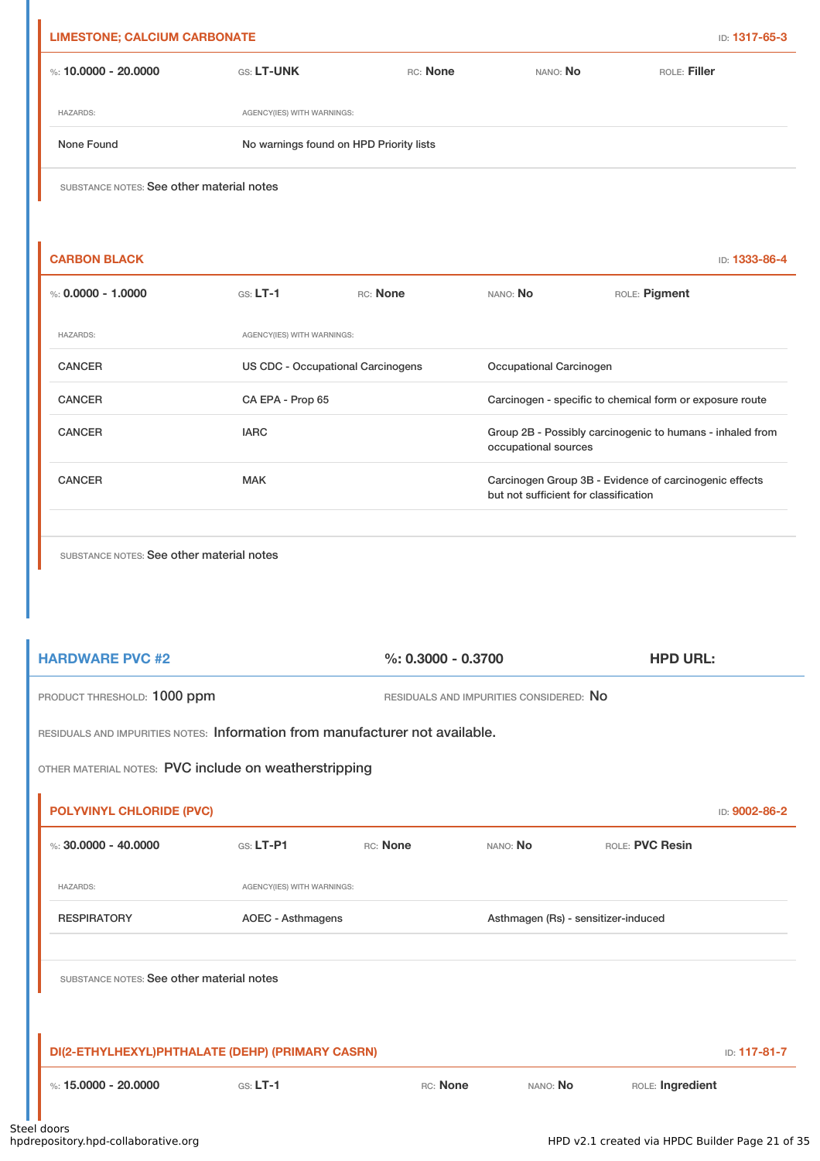| %: 10,0000 - 20,0000                      | GS: LT-UNK                 | RC: None                                | NANO: No                              | ROLE: Filler                                              |
|-------------------------------------------|----------------------------|-----------------------------------------|---------------------------------------|-----------------------------------------------------------|
| <b>HAZARDS:</b>                           | AGENCY(IES) WITH WARNINGS: |                                         |                                       |                                                           |
| None Found                                |                            | No warnings found on HPD Priority lists |                                       |                                                           |
| SUBSTANCE NOTES: See other material notes |                            |                                         |                                       |                                                           |
|                                           |                            |                                         |                                       |                                                           |
| <b>CARBON BLACK</b>                       |                            |                                         |                                       | ID: 1333-86-4                                             |
| %: $0.0000 - 1.0000$                      | $GS: LT-1$                 | RC: None                                | NANO: No                              | ROLE: Pigment                                             |
| <b>HAZARDS:</b>                           | AGENCY(IES) WITH WARNINGS: |                                         |                                       |                                                           |
| <b>CANCER</b>                             |                            | US CDC - Occupational Carcinogens       | Occupational Carcinogen               |                                                           |
| <b>CANCER</b>                             | CA EPA - Prop 65           |                                         |                                       | Carcinogen - specific to chemical form or exposure route  |
| <b>CANCER</b>                             | <b>IARC</b>                |                                         | occupational sources                  | Group 2B - Possibly carcinogenic to humans - inhaled from |
| <b>CANCER</b>                             | <b>MAK</b>                 |                                         | but not sufficient for classification | Carcinogen Group 3B - Evidence of carcinogenic effects    |
|                                           |                            |                                         |                                       |                                                           |

| <b>HARDWARE PVC #2</b>                                                       | %: $0.3000 - 0.3700$        |          |                                     | <b>HPD URL:</b>                         |               |  |
|------------------------------------------------------------------------------|-----------------------------|----------|-------------------------------------|-----------------------------------------|---------------|--|
|                                                                              | PRODUCT THRESHOLD: 1000 ppm |          |                                     | RESIDUALS AND IMPURITIES CONSIDERED: NO |               |  |
| RESIDUALS AND IMPURITIES NOTES: Information from manufacturer not available. |                             |          |                                     |                                         |               |  |
| OTHER MATERIAL NOTES: PVC include on weatherstripping                        |                             |          |                                     |                                         |               |  |
| <b>POLYVINYL CHLORIDE (PVC)</b>                                              |                             |          |                                     |                                         | ID: 9002-86-2 |  |
| %: $30.0000 - 40.0000$                                                       | $G.S. LT-P1$                | RC: None | NANO: No                            | ROLE: PVC Resin                         |               |  |
| <b>HAZARDS:</b>                                                              | AGENCY(IES) WITH WARNINGS:  |          |                                     |                                         |               |  |
| <b>RESPIRATORY</b>                                                           | <b>AOEC - Asthmagens</b>    |          | Asthmagen (Rs) - sensitizer-induced |                                         |               |  |
| SUBSTANCE NOTES: See other material notes                                    |                             |          |                                     |                                         |               |  |
| DI(2-ETHYLHEXYL)PHTHALATE (DEHP) (PRIMARY CASRN)                             |                             |          |                                     |                                         | ID: 117-81-7  |  |
| %: $15,0000 - 20,0000$                                                       | $GS: LT-1$                  | RC: None | NANO: No                            | ROLE: Ingredient                        |               |  |
| al doors.                                                                    |                             |          |                                     |                                         |               |  |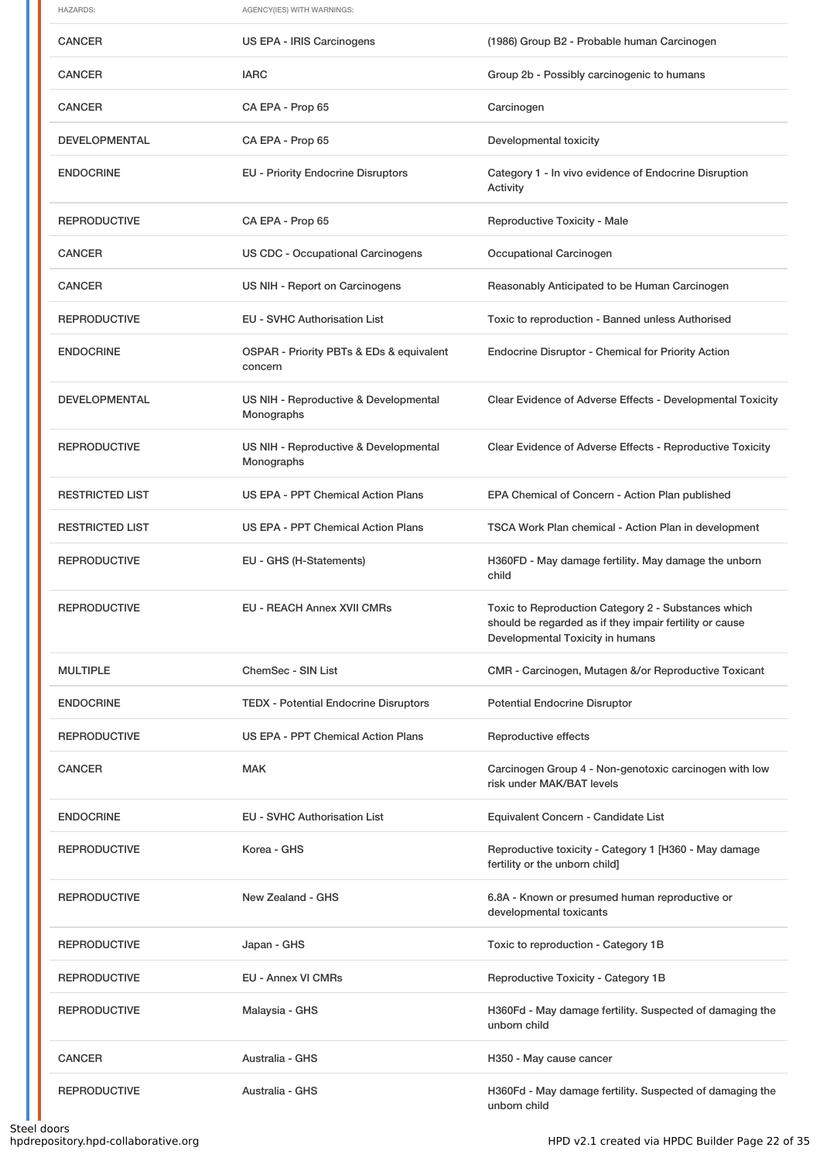| <b>HAZARDS:</b>        | AGENCY(IES) WITH WARNINGS:                          |                                                                                                                                                    |  |  |
|------------------------|-----------------------------------------------------|----------------------------------------------------------------------------------------------------------------------------------------------------|--|--|
| <b>CANCER</b>          | US EPA - IRIS Carcinogens                           | (1986) Group B2 - Probable human Carcinogen                                                                                                        |  |  |
| <b>CANCER</b>          | <b>IARC</b>                                         | Group 2b - Possibly carcinogenic to humans                                                                                                         |  |  |
| <b>CANCER</b>          | CA EPA - Prop 65                                    | Carcinogen                                                                                                                                         |  |  |
| <b>DEVELOPMENTAL</b>   | CA EPA - Prop 65                                    | Developmental toxicity                                                                                                                             |  |  |
| <b>ENDOCRINE</b>       | <b>EU - Priority Endocrine Disruptors</b>           | Category 1 - In vivo evidence of Endocrine Disruption<br>Activity                                                                                  |  |  |
| <b>REPRODUCTIVE</b>    | CA EPA - Prop 65                                    | Reproductive Toxicity - Male                                                                                                                       |  |  |
| <b>CANCER</b>          | <b>US CDC - Occupational Carcinogens</b>            | Occupational Carcinogen                                                                                                                            |  |  |
| <b>CANCER</b>          | US NIH - Report on Carcinogens                      | Reasonably Anticipated to be Human Carcinogen                                                                                                      |  |  |
| <b>REPRODUCTIVE</b>    | <b>EU - SVHC Authorisation List</b>                 | Toxic to reproduction - Banned unless Authorised                                                                                                   |  |  |
| <b>ENDOCRINE</b>       | OSPAR - Priority PBTs & EDs & equivalent<br>concern | Endocrine Disruptor - Chemical for Priority Action                                                                                                 |  |  |
| <b>DEVELOPMENTAL</b>   | US NIH - Reproductive & Developmental<br>Monographs | Clear Evidence of Adverse Effects - Developmental Toxicity                                                                                         |  |  |
| <b>REPRODUCTIVE</b>    | US NIH - Reproductive & Developmental<br>Monographs | Clear Evidence of Adverse Effects - Reproductive Toxicity                                                                                          |  |  |
| <b>RESTRICTED LIST</b> | <b>US EPA - PPT Chemical Action Plans</b>           | EPA Chemical of Concern - Action Plan published                                                                                                    |  |  |
| <b>RESTRICTED LIST</b> | US EPA - PPT Chemical Action Plans                  | TSCA Work Plan chemical - Action Plan in development                                                                                               |  |  |
| <b>REPRODUCTIVE</b>    | EU - GHS (H-Statements)                             | H360FD - May damage fertility. May damage the unborn<br>child                                                                                      |  |  |
| <b>REPRODUCTIVE</b>    | <b>EU - REACH Annex XVII CMRs</b>                   | Toxic to Reproduction Category 2 - Substances which<br>should be regarded as if they impair fertility or cause<br>Developmental Toxicity in humans |  |  |
| <b>MULTIPLE</b>        | ChemSec - SIN List                                  | CMR - Carcinogen, Mutagen &/or Reproductive Toxicant                                                                                               |  |  |
| <b>ENDOCRINE</b>       | <b>TEDX - Potential Endocrine Disruptors</b>        | <b>Potential Endocrine Disruptor</b>                                                                                                               |  |  |
| <b>REPRODUCTIVE</b>    | US EPA - PPT Chemical Action Plans                  | Reproductive effects                                                                                                                               |  |  |
| <b>CANCER</b>          | <b>MAK</b>                                          | Carcinogen Group 4 - Non-genotoxic carcinogen with low<br>risk under MAK/BAT levels                                                                |  |  |
| <b>ENDOCRINE</b>       | <b>EU - SVHC Authorisation List</b>                 | Equivalent Concern - Candidate List                                                                                                                |  |  |
| <b>REPRODUCTIVE</b>    | Korea - GHS                                         | Reproductive toxicity - Category 1 [H360 - May damage<br>fertility or the unborn child]                                                            |  |  |
| <b>REPRODUCTIVE</b>    | New Zealand - GHS                                   | 6.8A - Known or presumed human reproductive or<br>developmental toxicants                                                                          |  |  |
| <b>REPRODUCTIVE</b>    | Japan - GHS                                         | Toxic to reproduction - Category 1B                                                                                                                |  |  |
| <b>REPRODUCTIVE</b>    | EU - Annex VI CMRs                                  | Reproductive Toxicity - Category 1B                                                                                                                |  |  |
| <b>REPRODUCTIVE</b>    | Malaysia - GHS                                      | H360Fd - May damage fertility. Suspected of damaging the<br>unborn child                                                                           |  |  |
| <b>CANCER</b>          | Australia - GHS                                     | H350 - May cause cancer                                                                                                                            |  |  |
| <b>REPRODUCTIVE</b>    | Australia - GHS                                     | H360Fd - May damage fertility. Suspected of damaging the<br>unborn child                                                                           |  |  |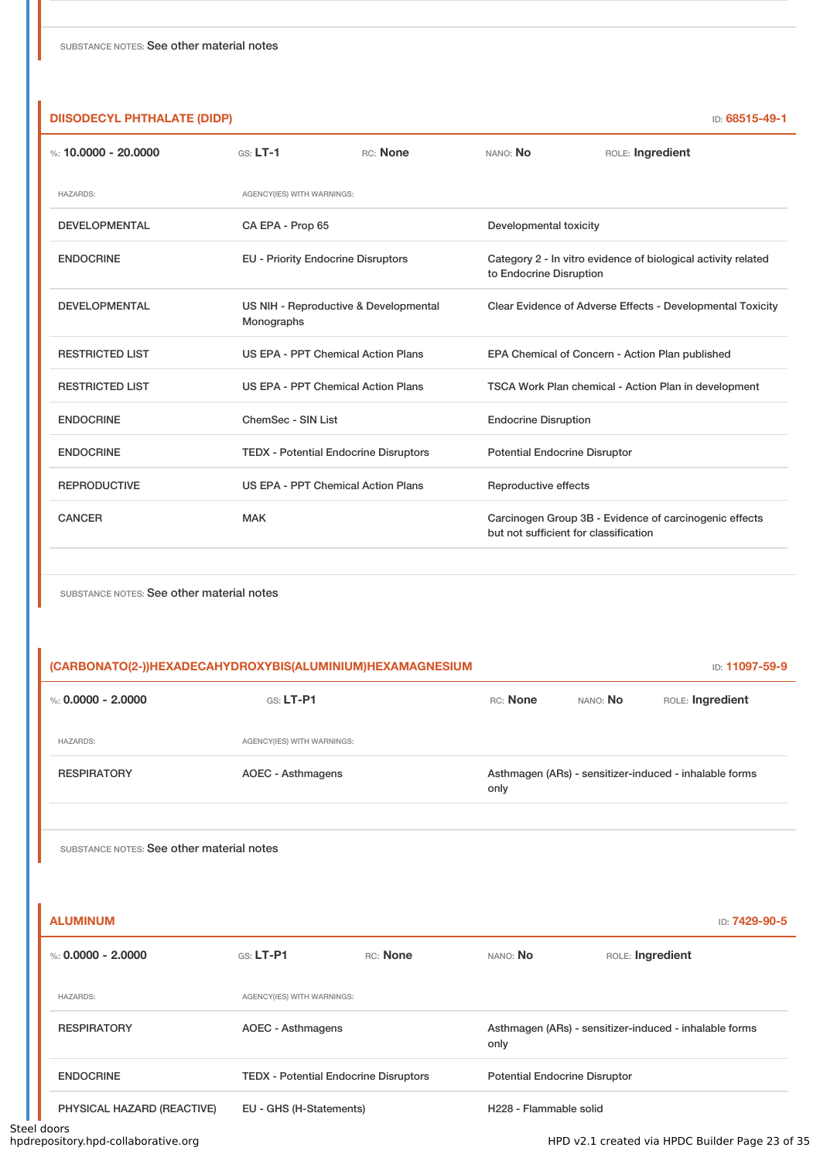| <b>DIISODECYL PHTHALATE (DIDP)</b> |                                                     |          |                                                                                                 | ID: 68515-49-1                                             |  |
|------------------------------------|-----------------------------------------------------|----------|-------------------------------------------------------------------------------------------------|------------------------------------------------------------|--|
| %: 10.0000 - 20.0000               | $GS: LT-1$                                          | RC: None | NANO: No                                                                                        | ROLE: Ingredient                                           |  |
| <b>HAZARDS:</b>                    | AGENCY(IES) WITH WARNINGS:                          |          |                                                                                                 |                                                            |  |
| <b>DEVELOPMENTAL</b>               | CA EPA - Prop 65                                    |          | Developmental toxicity                                                                          |                                                            |  |
| <b>ENDOCRINE</b>                   | <b>EU - Priority Endocrine Disruptors</b>           |          | Category 2 - In vitro evidence of biological activity related<br>to Endocrine Disruption        |                                                            |  |
| <b>DEVELOPMENTAL</b>               | US NIH - Reproductive & Developmental<br>Monographs |          |                                                                                                 | Clear Evidence of Adverse Effects - Developmental Toxicity |  |
| <b>RESTRICTED LIST</b>             | US EPA - PPT Chemical Action Plans                  |          |                                                                                                 | EPA Chemical of Concern - Action Plan published            |  |
| <b>RESTRICTED LIST</b>             | US EPA - PPT Chemical Action Plans                  |          | TSCA Work Plan chemical - Action Plan in development                                            |                                                            |  |
| <b>ENDOCRINE</b>                   | ChemSec - SIN List                                  |          | <b>Endocrine Disruption</b>                                                                     |                                                            |  |
| <b>ENDOCRINE</b>                   | <b>TEDX - Potential Endocrine Disruptors</b>        |          | <b>Potential Endocrine Disruptor</b>                                                            |                                                            |  |
| <b>REPRODUCTIVE</b>                | <b>US EPA - PPT Chemical Action Plans</b>           |          | Reproductive effects                                                                            |                                                            |  |
| <b>CANCER</b>                      | <b>MAK</b>                                          |          | Carcinogen Group 3B - Evidence of carcinogenic effects<br>but not sufficient for classification |                                                            |  |

| (CARBONATO(2-))HEXADECAHYDROXYBIS(ALUMINIUM)HEXAMAGNESIUM |                            |          | <b>ID: 11097-59-9</b> |                                                        |
|-----------------------------------------------------------|----------------------------|----------|-----------------------|--------------------------------------------------------|
| %: $0.0000 - 2.0000$                                      | $GS: LT-PI$                | RC: None | NANO: <b>No</b>       | ROLE: Ingredient                                       |
| <b>HAZARDS:</b>                                           | AGENCY(IES) WITH WARNINGS: |          |                       |                                                        |
| <b>RESPIRATORY</b>                                        | AOEC - Asthmagens          | only     |                       | Asthmagen (ARs) - sensitizer-induced - inhalable forms |
|                                                           |                            |          |                       |                                                        |

SUBSTANCE NOTES: See other material notes

l.

| %: $0.0000 - 2.0000$       | GS: LT-P1                  | RC: None                                     | NANO: No                                                       | ROLE: Ingredient |
|----------------------------|----------------------------|----------------------------------------------|----------------------------------------------------------------|------------------|
| <b>HAZARDS:</b>            | AGENCY(IES) WITH WARNINGS: |                                              |                                                                |                  |
| <b>RESPIRATORY</b>         | AOEC - Asthmagens          |                                              | Asthmagen (ARs) - sensitizer-induced - inhalable forms<br>only |                  |
| <b>ENDOCRINE</b>           |                            | <b>TEDX</b> - Potential Endocrine Disruptors | <b>Potential Endocrine Disruptor</b>                           |                  |
| PHYSICAL HAZARD (REACTIVE) | EU - GHS (H-Statements)    |                                              | H228 - Flammable solid                                         |                  |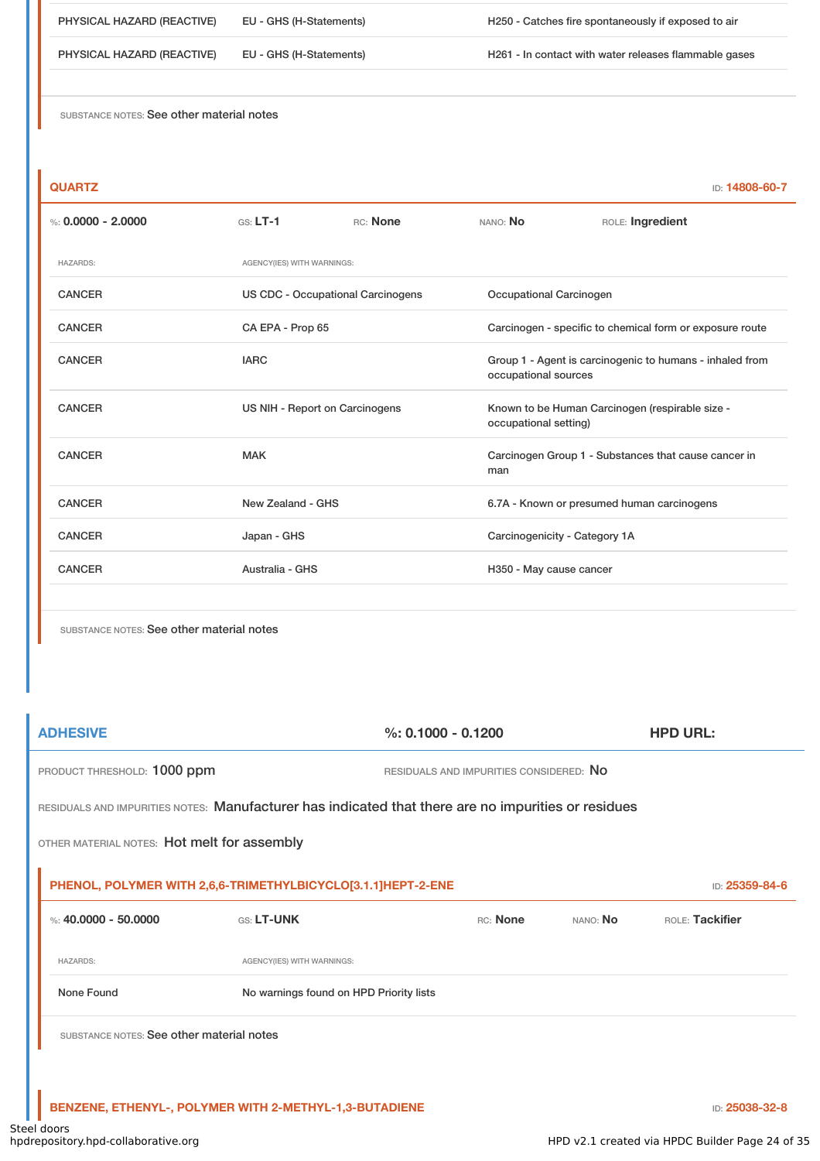PHYSICAL HAZARD (REACTIVE) EU - GHS (H-Statements) H250 - Catches fire spontaneously if exposed to air

PHYSICAL HAZARD (REACTIVE) EU - GHS (H-Statements) H261 - In contact with water releases flammable gases

SUBSTANCE NOTES: See other material notes

| × | × |  |  |
|---|---|--|--|

**QUARTZ** ID: **14808-60-7**

| %: $0.0000 - 2.0000$ | $GS: LT-1$                               | RC: None                       | NANO: No                | ROLE: Ingredient                                                                 |  |  |
|----------------------|------------------------------------------|--------------------------------|-------------------------|----------------------------------------------------------------------------------|--|--|
| <b>HAZARDS:</b>      | AGENCY(IES) WITH WARNINGS:               |                                |                         |                                                                                  |  |  |
| <b>CANCER</b>        | <b>US CDC - Occupational Carcinogens</b> |                                | Occupational Carcinogen |                                                                                  |  |  |
| <b>CANCER</b>        | CA EPA - Prop 65                         |                                |                         | Carcinogen - specific to chemical form or exposure route                         |  |  |
| <b>CANCER</b>        | <b>IARC</b>                              |                                |                         | Group 1 - Agent is carcinogenic to humans - inhaled from<br>occupational sources |  |  |
| <b>CANCER</b>        |                                          | US NIH - Report on Carcinogens |                         | Known to be Human Carcinogen (respirable size -<br>occupational setting)         |  |  |
| <b>CANCER</b>        | <b>MAK</b>                               |                                |                         | Carcinogen Group 1 - Substances that cause cancer in                             |  |  |
| <b>CANCER</b>        | New Zealand - GHS                        |                                |                         | 6.7A - Known or presumed human carcinogens                                       |  |  |
| <b>CANCER</b>        | Japan - GHS                              |                                |                         | Carcinogenicity - Category 1A                                                    |  |  |
| <b>CANCER</b>        | Australia - GHS                          |                                | H350 - May cause cancer |                                                                                  |  |  |
|                      |                                          |                                |                         |                                                                                  |  |  |

SUBSTANCE NOTES: See other material notes

**ADHESIVE %: 0.1000 - 0.1200 HPD URL:** PRODUCT THRESHOLD: 1000 ppm RESIDUALS AND IMPURITIES CONSIDERED: No RESIDUALS AND IMPURITIES NOTES: Manufacturer has indicated that there are no impurities or residues OTHER MATERIAL NOTES: Hot melt for assembly **PHENOL, POLYMER WITH 2,6,6-TRIMETHYLBICYCLO[3.1.1]HEPT-2-ENE** ID: **25359-84-6 12.0000 - 50.0000 GS: LT-UNK** RC: **None** NANO: **No** ROLE: Tackifier HAZARDS: AGENCY(IES) WITH WARNINGS: None Found Nowarnings found on HPD Priority lists SUBSTANCE NOTES: See other material notes

**BENZENE, ETHENYL-, POLYMER WITH 2-METHYL-1,3-BUTADIENE** ID: **25038-32-8**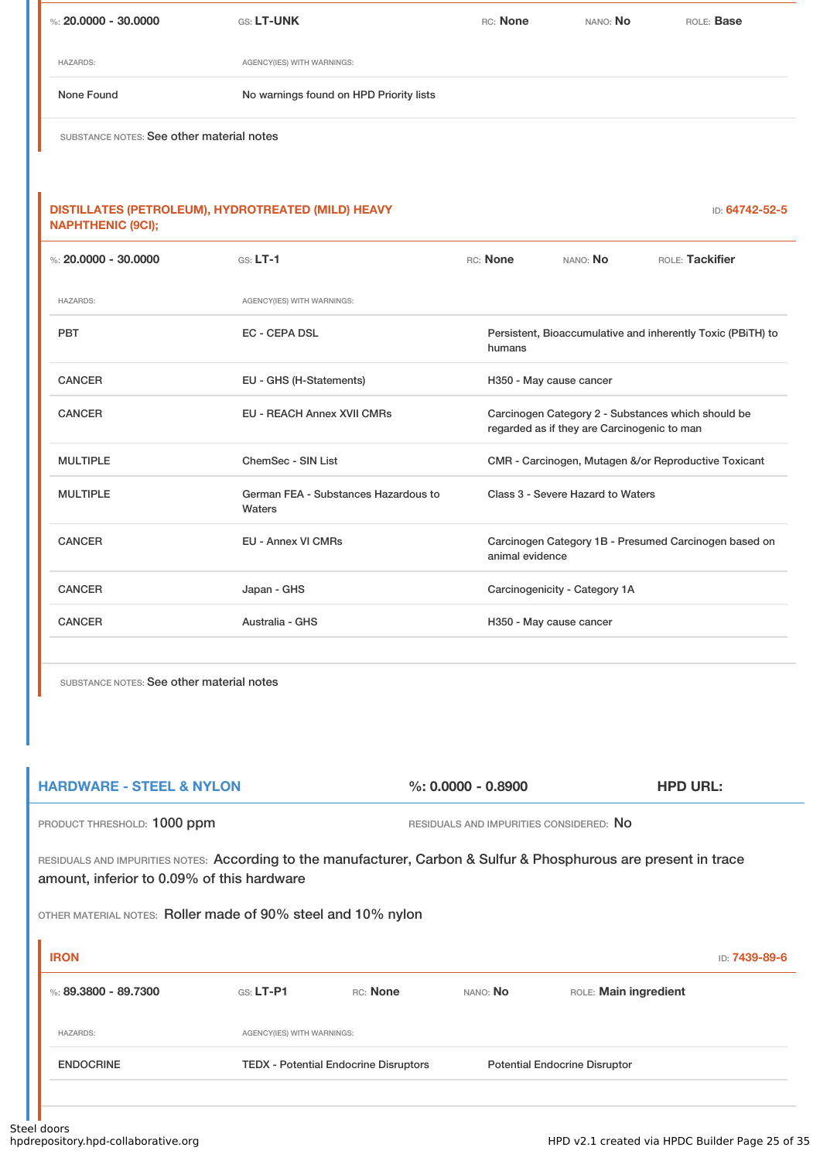| %: $20.0000 - 30.0000$                                                         | GS: LT-UNK                                     | RC: None        | NANO: No                                    | ROLE: Base                                                  |
|--------------------------------------------------------------------------------|------------------------------------------------|-----------------|---------------------------------------------|-------------------------------------------------------------|
| <b>HAZARDS:</b>                                                                | AGENCY(IES) WITH WARNINGS:                     |                 |                                             |                                                             |
| None Found                                                                     | No warnings found on HPD Priority lists        |                 |                                             |                                                             |
| SUBSTANCE NOTES: See other material notes                                      |                                                |                 |                                             |                                                             |
|                                                                                |                                                |                 |                                             |                                                             |
| DISTILLATES (PETROLEUM), HYDROTREATED (MILD) HEAVY<br><b>NAPHTHENIC (9CI);</b> |                                                |                 |                                             | ID: 64742-52-5                                              |
| %: $20.0000 - 30.0000$                                                         | GS: LT-1                                       | RC: None        | NANO: No                                    | ROLE: Tackifier                                             |
| <b>HAZARDS:</b>                                                                | AGENCY(IES) WITH WARNINGS:                     |                 |                                             |                                                             |
| <b>PBT</b>                                                                     | <b>EC - CEPA DSL</b>                           | humans          |                                             | Persistent, Bioaccumulative and inherently Toxic (PBiTH) to |
| <b>CANCER</b>                                                                  | EU - GHS (H-Statements)                        |                 | H350 - May cause cancer                     |                                                             |
| <b>CANCER</b>                                                                  | <b>EU - REACH Annex XVII CMRs</b>              |                 | regarded as if they are Carcinogenic to man | Carcinogen Category 2 - Substances which should be          |
| <b>MULTIPLE</b>                                                                | ChemSec - SIN List                             |                 |                                             | CMR - Carcinogen, Mutagen &/or Reproductive Toxicant        |
| <b>MULTIPLE</b>                                                                | German FEA - Substances Hazardous to<br>Waters |                 | Class 3 - Severe Hazard to Waters           |                                                             |
| <b>CANCER</b>                                                                  | <b>EU - Annex VI CMRs</b>                      | animal evidence |                                             | Carcinogen Category 1B - Presumed Carcinogen based on       |
| <b>CANCER</b>                                                                  | Japan - GHS                                    |                 | Carcinogenicity - Category 1A               |                                                             |
| <b>CANCER</b>                                                                  | Australia - GHS                                |                 | H350 - May cause cancer                     |                                                             |
|                                                                                |                                                |                 |                                             |                                                             |

| <b>HARDWARE - STEEL &amp; NYLON</b>                          |                            |                                              | $\%$ : 0.0000 - 0.8900                  | <b>HPD URL:</b>                                                                                                   |               |  |  |
|--------------------------------------------------------------|----------------------------|----------------------------------------------|-----------------------------------------|-------------------------------------------------------------------------------------------------------------------|---------------|--|--|
| PRODUCT THRESHOLD: 1000 ppm                                  |                            |                                              | RESIDUALS AND IMPURITIES CONSIDERED: NO |                                                                                                                   |               |  |  |
| amount, inferior to 0.09% of this hardware                   |                            |                                              |                                         | RESIDUALS AND IMPURITIES NOTES: According to the manufacturer, Carbon & Sulfur & Phosphurous are present in trace |               |  |  |
| OTHER MATERIAL NOTES: Roller made of 90% steel and 10% nylon |                            |                                              |                                         |                                                                                                                   |               |  |  |
| <b>IRON</b>                                                  |                            |                                              |                                         |                                                                                                                   | ID: 7439-89-6 |  |  |
| %: 89.3800 - 89.7300                                         | $G.S.$ LT-P1               | RC: None                                     | NANO: No                                | ROLE: Main ingredient                                                                                             |               |  |  |
| <b>HAZARDS:</b>                                              | AGENCY(IES) WITH WARNINGS: |                                              |                                         |                                                                                                                   |               |  |  |
| <b>ENDOCRINE</b>                                             |                            | <b>TEDX - Potential Endocrine Disruptors</b> |                                         | <b>Potential Endocrine Disruptor</b>                                                                              |               |  |  |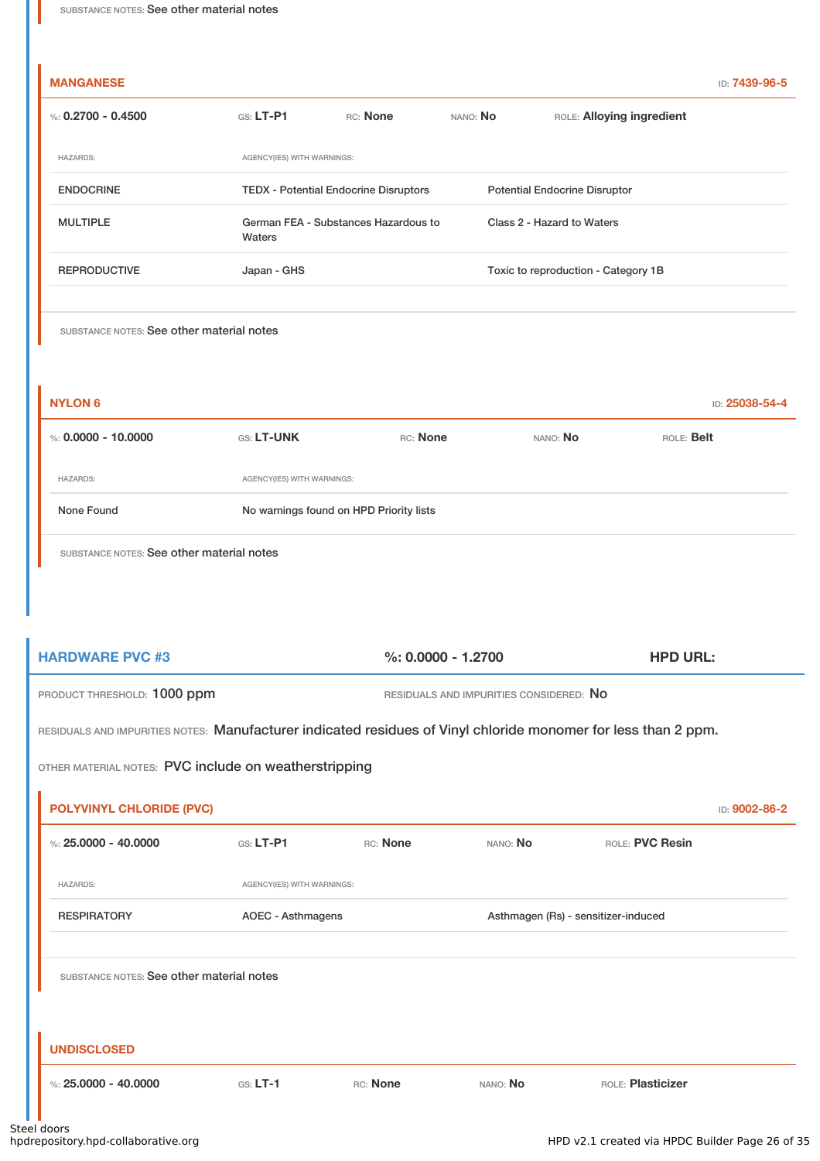| %: 0.2700 - 0.4500  | $GS: LT-P1$                                    | RC: None                                     | NANO: No                            | ROLE: Alloying ingredient            |
|---------------------|------------------------------------------------|----------------------------------------------|-------------------------------------|--------------------------------------|
| <b>HAZARDS:</b>     | AGENCY(IES) WITH WARNINGS:                     |                                              |                                     |                                      |
| <b>ENDOCRINE</b>    |                                                | <b>TEDX</b> - Potential Endocrine Disruptors |                                     | <b>Potential Endocrine Disruptor</b> |
| <b>MULTIPLE</b>     | German FEA - Substances Hazardous to<br>Waters |                                              |                                     | Class 2 - Hazard to Waters           |
| <b>REPRODUCTIVE</b> | Japan - GHS                                    |                                              | Toxic to reproduction - Category 1B |                                      |

| <b>NYLON 6</b>        |                                         |          |          | ID: 25038-54-4 |
|-----------------------|-----------------------------------------|----------|----------|----------------|
| %: $0.0000 - 10.0000$ | <b>GS: LT-UNK</b>                       | RC: None | NANO: No | ROLE: Belt     |
| <b>HAZARDS:</b>       | AGENCY(IES) WITH WARNINGS:              |          |          |                |
| None Found            | No warnings found on HPD Priority lists |          |          |                |
|                       |                                         |          |          |                |

SUBSTANCE NOTES: See other material notes

| <b>HARDWARE PVC #3</b>      | $\%$ : 0.0000 - 1.2700                  | <b>HPD URL:</b> |
|-----------------------------|-----------------------------------------|-----------------|
| PRODUCT THRESHOLD: 1000 ppm | RESIDUALS AND IMPURITIES CONSIDERED: NO |                 |

RESIDUALS AND IMPURITIES NOTES: Manufacturer indicated residues of Vinyl chloride monomer for less than 2 ppm.

OTHER MATERIAL NOTES: PVC include on weatherstripping

| <b>POLYVINYL CHLORIDE (PVC)</b>           |                            |          |                                     |                   | ID: 9002-86-2 |
|-------------------------------------------|----------------------------|----------|-------------------------------------|-------------------|---------------|
| %: $25,0000 - 40,0000$                    | $GS: LT-P1$                | RC: None | NANO: No                            | ROLE: PVC Resin   |               |
| <b>HAZARDS:</b>                           | AGENCY(IES) WITH WARNINGS: |          |                                     |                   |               |
| <b>RESPIRATORY</b>                        | AOEC - Asthmagens          |          | Asthmagen (Rs) - sensitizer-induced |                   |               |
|                                           |                            |          |                                     |                   |               |
| SUBSTANCE NOTES: See other material notes |                            |          |                                     |                   |               |
|                                           |                            |          |                                     |                   |               |
|                                           |                            |          |                                     |                   |               |
| <b>UNDISCLOSED</b>                        |                            |          |                                     |                   |               |
| %: $25,0000 - 40,0000$                    | $GS: LT-1$                 | RC: None | NANO: No                            | ROLE: Plasticizer |               |
|                                           |                            |          |                                     |                   |               |

'n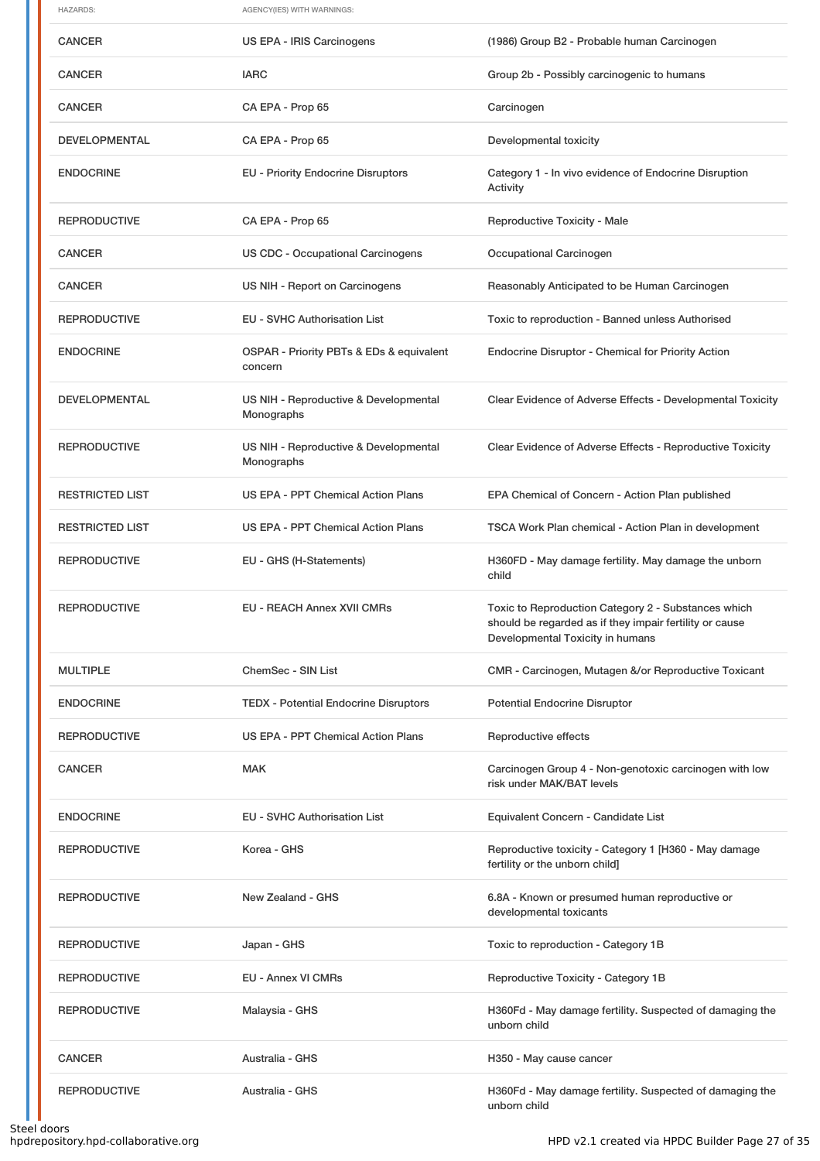| <b>HAZARDS:</b>        | AGENCY(IES) WITH WARNINGS:                          |                                                                                                                                                    |
|------------------------|-----------------------------------------------------|----------------------------------------------------------------------------------------------------------------------------------------------------|
| <b>CANCER</b>          | US EPA - IRIS Carcinogens                           | (1986) Group B2 - Probable human Carcinogen                                                                                                        |
| <b>CANCER</b>          | <b>IARC</b>                                         | Group 2b - Possibly carcinogenic to humans                                                                                                         |
| <b>CANCER</b>          | CA EPA - Prop 65                                    | Carcinogen                                                                                                                                         |
| <b>DEVELOPMENTAL</b>   | CA EPA - Prop 65                                    | Developmental toxicity                                                                                                                             |
| <b>ENDOCRINE</b>       | <b>EU - Priority Endocrine Disruptors</b>           | Category 1 - In vivo evidence of Endocrine Disruption<br>Activity                                                                                  |
| <b>REPRODUCTIVE</b>    | CA EPA - Prop 65                                    | Reproductive Toxicity - Male                                                                                                                       |
| <b>CANCER</b>          | <b>US CDC - Occupational Carcinogens</b>            | Occupational Carcinogen                                                                                                                            |
| <b>CANCER</b>          | US NIH - Report on Carcinogens                      | Reasonably Anticipated to be Human Carcinogen                                                                                                      |
| <b>REPRODUCTIVE</b>    | <b>EU - SVHC Authorisation List</b>                 | Toxic to reproduction - Banned unless Authorised                                                                                                   |
| <b>ENDOCRINE</b>       | OSPAR - Priority PBTs & EDs & equivalent<br>concern | Endocrine Disruptor - Chemical for Priority Action                                                                                                 |
| <b>DEVELOPMENTAL</b>   | US NIH - Reproductive & Developmental<br>Monographs | Clear Evidence of Adverse Effects - Developmental Toxicity                                                                                         |
| <b>REPRODUCTIVE</b>    | US NIH - Reproductive & Developmental<br>Monographs | Clear Evidence of Adverse Effects - Reproductive Toxicity                                                                                          |
| <b>RESTRICTED LIST</b> | <b>US EPA - PPT Chemical Action Plans</b>           | EPA Chemical of Concern - Action Plan published                                                                                                    |
| <b>RESTRICTED LIST</b> | US EPA - PPT Chemical Action Plans                  | TSCA Work Plan chemical - Action Plan in development                                                                                               |
| <b>REPRODUCTIVE</b>    | EU - GHS (H-Statements)                             | H360FD - May damage fertility. May damage the unborn<br>child                                                                                      |
| <b>REPRODUCTIVE</b>    | <b>EU - REACH Annex XVII CMRs</b>                   | Toxic to Reproduction Category 2 - Substances which<br>should be regarded as if they impair fertility or cause<br>Developmental Toxicity in humans |
| <b>MULTIPLE</b>        | ChemSec - SIN List                                  | CMR - Carcinogen, Mutagen &/or Reproductive Toxicant                                                                                               |
| <b>ENDOCRINE</b>       | <b>TEDX - Potential Endocrine Disruptors</b>        | <b>Potential Endocrine Disruptor</b>                                                                                                               |
| <b>REPRODUCTIVE</b>    | US EPA - PPT Chemical Action Plans                  | Reproductive effects                                                                                                                               |
| <b>CANCER</b>          | <b>MAK</b>                                          | Carcinogen Group 4 - Non-genotoxic carcinogen with low<br>risk under MAK/BAT levels                                                                |
| <b>ENDOCRINE</b>       | <b>EU - SVHC Authorisation List</b>                 | Equivalent Concern - Candidate List                                                                                                                |
| <b>REPRODUCTIVE</b>    | Korea - GHS                                         | Reproductive toxicity - Category 1 [H360 - May damage<br>fertility or the unborn child]                                                            |
| <b>REPRODUCTIVE</b>    | New Zealand - GHS                                   | 6.8A - Known or presumed human reproductive or<br>developmental toxicants                                                                          |
| <b>REPRODUCTIVE</b>    | Japan - GHS                                         | Toxic to reproduction - Category 1B                                                                                                                |
| <b>REPRODUCTIVE</b>    | EU - Annex VI CMRs                                  | Reproductive Toxicity - Category 1B                                                                                                                |
| <b>REPRODUCTIVE</b>    | Malaysia - GHS                                      | H360Fd - May damage fertility. Suspected of damaging the<br>unborn child                                                                           |
| <b>CANCER</b>          | Australia - GHS                                     | H350 - May cause cancer                                                                                                                            |
| <b>REPRODUCTIVE</b>    | Australia - GHS                                     | H360Fd - May damage fertility. Suspected of damaging the<br>unborn child                                                                           |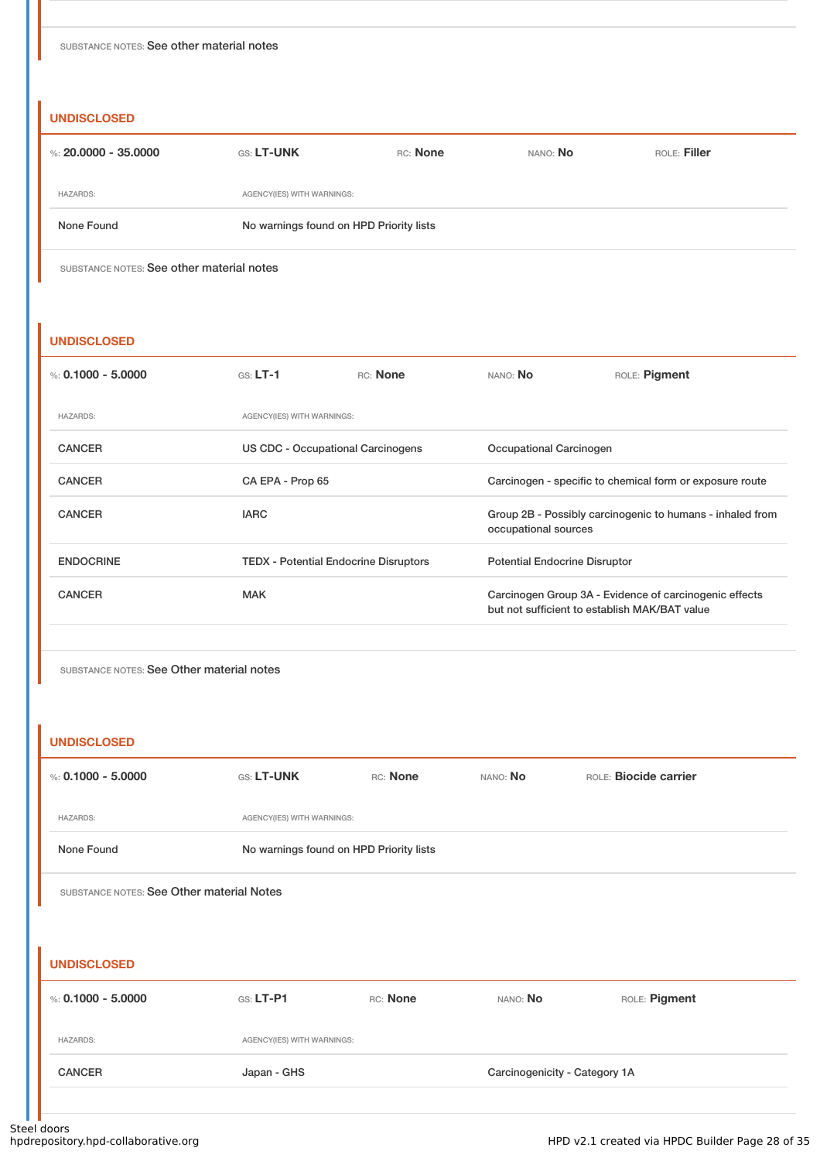#### **UNDISCLOSED**

| %: 20,0000 - 35,0000 | <b>GS: LT-UNK</b>                       | RC: None | NANO: No | ROLE: Filler |
|----------------------|-----------------------------------------|----------|----------|--------------|
| <b>HAZARDS:</b>      | AGENCY(IES) WITH WARNINGS:              |          |          |              |
| None Found           | No warnings found on HPD Priority lists |          |          |              |
|                      |                                         |          |          |              |

SUBSTANCE NOTES: See other material notes

#### **UNDISCLOSED**

| %: 0.1000 - 5.0000 | $GS: LT-1$                                   | RC: None | NANO: No                                      | ROLE: Pigment                                             |
|--------------------|----------------------------------------------|----------|-----------------------------------------------|-----------------------------------------------------------|
| <b>HAZARDS:</b>    | AGENCY(IES) WITH WARNINGS:                   |          |                                               |                                                           |
| <b>CANCER</b>      | US CDC - Occupational Carcinogens            |          | Occupational Carcinogen                       |                                                           |
| <b>CANCER</b>      | CA EPA - Prop 65                             |          |                                               | Carcinogen - specific to chemical form or exposure route  |
| <b>CANCER</b>      | <b>IARC</b>                                  |          | occupational sources                          | Group 2B - Possibly carcinogenic to humans - inhaled from |
| <b>ENDOCRINE</b>   | <b>TEDX - Potential Endocrine Disruptors</b> |          | <b>Potential Endocrine Disruptor</b>          |                                                           |
| <b>CANCER</b>      | <b>MAK</b>                                   |          | but not sufficient to establish MAK/BAT value | Carcinogen Group 3A - Evidence of carcinogenic effects    |

SUBSTANCE NOTES: See Other material notes

#### **UNDISCLOSED**

| %: 0.1000 - 5.0000 | <b>GS: LT-UNK</b>                       | RC: None | NANO: No | ROLE: <b>Biocide carrier</b> |
|--------------------|-----------------------------------------|----------|----------|------------------------------|
| <b>HAZARDS:</b>    | AGENCY(IES) WITH WARNINGS:              |          |          |                              |
| None Found         | No warnings found on HPD Priority lists |          |          |                              |

SUBSTANCE NOTES: See Other material Notes

# **UNDISCLOSED** %: **0.1000 - 5.0000** GS: **LT-P1** RC: **None** NANO: **No** ROLE: **Pigment** HAZARDS: AGENCY(IES) WITH WARNINGS: CANCER Japan - GHS Japan - GHS Carcinogenicity - Category 1A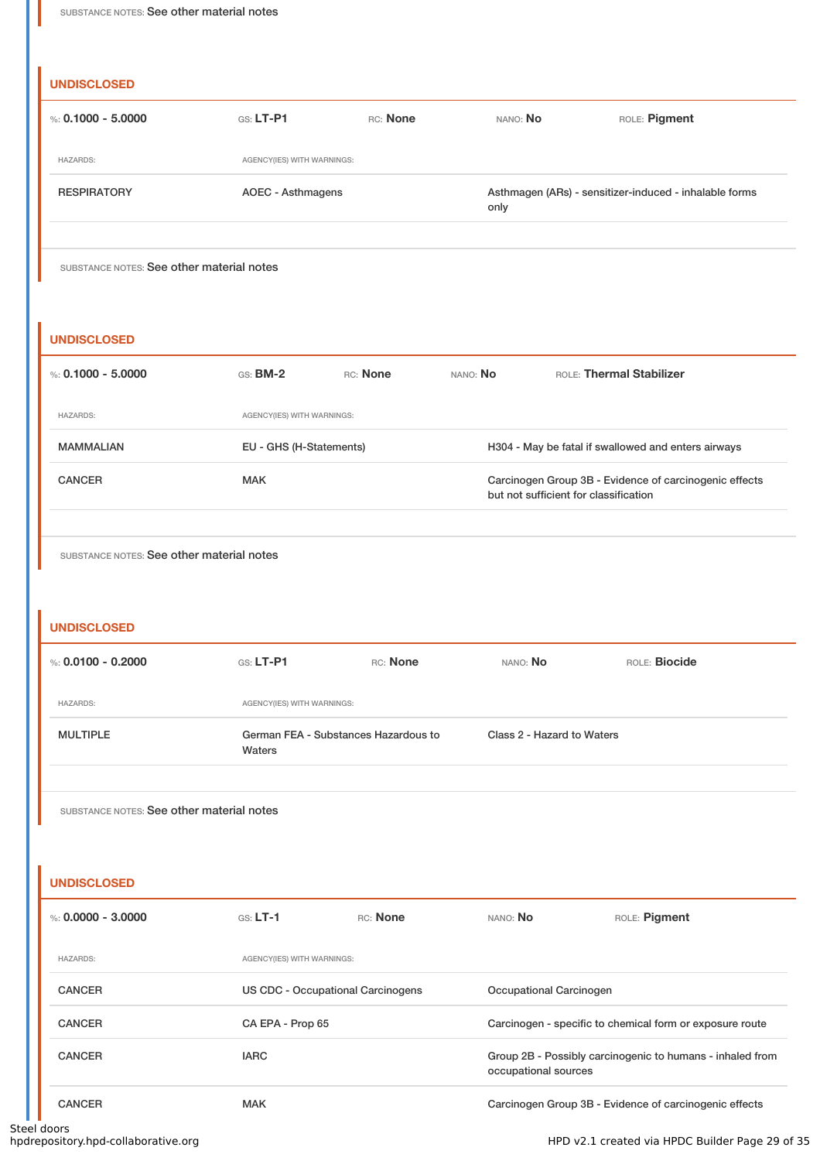#### **UNDISCLOSED**

| %: $0.1000 - 5.0000$                      | $G.S.$ LT-P1               | RC: None | NANO: No | ROLE: Pigment                                          |
|-------------------------------------------|----------------------------|----------|----------|--------------------------------------------------------|
| <b>HAZARDS:</b>                           | AGENCY(IES) WITH WARNINGS: |          |          |                                                        |
| <b>RESPIRATORY</b>                        | AOEC - Asthmagens          |          | only     | Asthmagen (ARs) - sensitizer-induced - inhalable forms |
|                                           |                            |          |          |                                                        |
| SUBSTANCE NOTES: See other material notes |                            |          |          |                                                        |

#### **UNDISCLOSED**

| %: 0.1000 - 5.0000 | $GS:$ BM-2                 | RC: None | NANO: <b>No</b> | <b>ROLE: Thermal Stabilizer</b>                                                                 |
|--------------------|----------------------------|----------|-----------------|-------------------------------------------------------------------------------------------------|
| <b>HAZARDS:</b>    | AGENCY(IES) WITH WARNINGS: |          |                 |                                                                                                 |
| <b>MAMMALIAN</b>   | EU - GHS (H-Statements)    |          |                 | H304 - May be fatal if swallowed and enters airways                                             |
| <b>CANCER</b>      | <b>MAK</b>                 |          |                 | Carcinogen Group 3B - Evidence of carcinogenic effects<br>but not sufficient for classification |

SUBSTANCE NOTES: See other material notes

#### **UNDISCLOSED**

| %: $0.0100 - 0.2000$ | $GS: LT-P1$                                    | RC: None | NANO: No                   | ROLE: Biocide |
|----------------------|------------------------------------------------|----------|----------------------------|---------------|
| <b>HAZARDS:</b>      | AGENCY(IES) WITH WARNINGS:                     |          |                            |               |
| <b>MULTIPLE</b>      | German FEA - Substances Hazardous to<br>Waters |          | Class 2 - Hazard to Waters |               |
|                      |                                                |          |                            |               |

SUBSTANCE NOTES: See other material notes

**UNDISCLOSED**

| %: $0.0000 - 3.0000$ | $GS: LT-1$                        | RC: None | NANO: NO                | ROLE: Pigment                                             |
|----------------------|-----------------------------------|----------|-------------------------|-----------------------------------------------------------|
| <b>HAZARDS:</b>      | AGENCY(IES) WITH WARNINGS:        |          |                         |                                                           |
| <b>CANCER</b>        | US CDC - Occupational Carcinogens |          | Occupational Carcinogen |                                                           |
| <b>CANCER</b>        | CA EPA - Prop 65                  |          |                         | Carcinogen - specific to chemical form or exposure route  |
| <b>CANCER</b>        | <b>IARC</b>                       |          | occupational sources    | Group 2B - Possibly carcinogenic to humans - inhaled from |
| <b>CANCER</b>        | <b>MAK</b>                        |          |                         | Carcinogen Group 3B - Evidence of carcinogenic effects    |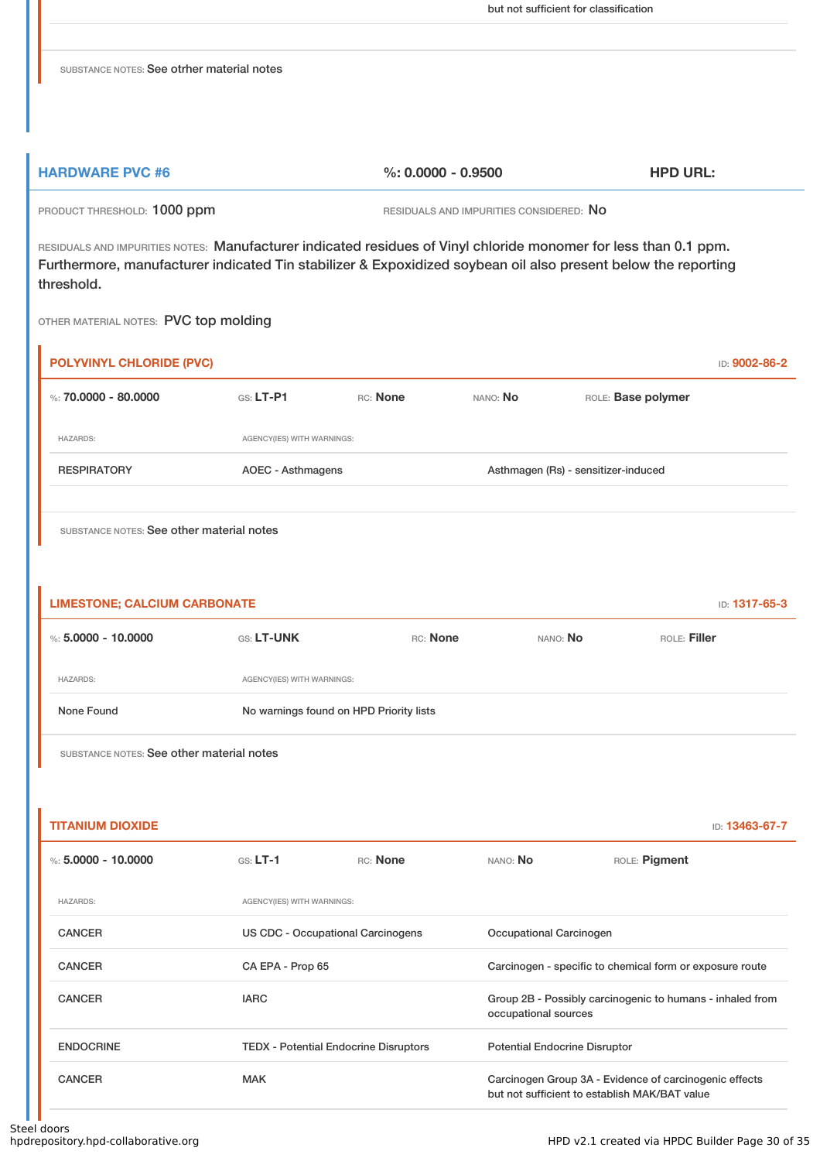but not sufficient for classification

SUBSTANCE NOTES: See otrher material notes

| <b>HARDWARE PVC #6</b> | %: 0.0000 - 0.9500 | <b>HPD URL:</b> |
|------------------------|--------------------|-----------------|
|                        |                    |                 |

PRODUCT THRESHOLD: 1000 ppm RESIDUALS AND IMPURITIES CONSIDERED: No

RESIDUALS AND IMPURITIES NOTES: Manufacturer indicated residues of Vinyl chloride monomer for less than 0.1 ppm. Furthermore, manufacturer indicated Tin stabilizer & Expoxidized soybean oil also present below the reporting threshold.

OTHER MATERIAL NOTES: PVC top molding

| <b>POLYVINYL CHLORIDE (PVC)</b> |                            |          |                 |                                     | ID: 9002-86-2 |
|---------------------------------|----------------------------|----------|-----------------|-------------------------------------|---------------|
| %: $70.0000 - 80.0000$          | $GS: LT-P1$                | RC: None | NANO: <b>No</b> | ROLE: Base polymer                  |               |
| <b>HAZARDS:</b>                 | AGENCY(IES) WITH WARNINGS: |          |                 |                                     |               |
| <b>RESPIRATORY</b>              | AOEC - Asthmagens          |          |                 | Asthmagen (Rs) - sensitizer-induced |               |
|                                 |                            |          |                 |                                     |               |

SUBSTANCE NOTES: See other material notes

| <b>LIMESTONE; CALCIUM CARBONATE</b> |                                         |          |          | ID: 1317-65-3 |
|-------------------------------------|-----------------------------------------|----------|----------|---------------|
| %: $5.0000 - 10.0000$               | <b>GS: LT-UNK</b>                       | RC: None | NANO: No | ROLE: Filler  |
| <b>HAZARDS:</b>                     | AGENCY(IES) WITH WARNINGS:              |          |          |               |
| None Found                          | No warnings found on HPD Priority lists |          |          |               |
|                                     |                                         |          |          |               |

| <b>TITANIUM DIOXIDE</b> |                                              |          |                                      | ID: <b>13463-67-7</b>                                                                                   |
|-------------------------|----------------------------------------------|----------|--------------------------------------|---------------------------------------------------------------------------------------------------------|
| %: 5.0000 - 10.0000     | $GS: LT-1$                                   | RC: None | NANO: <b>No</b>                      | ROLE: Pigment                                                                                           |
| <b>HAZARDS:</b>         | AGENCY(IES) WITH WARNINGS:                   |          |                                      |                                                                                                         |
| <b>CANCER</b>           | US CDC - Occupational Carcinogens            |          | Occupational Carcinogen              |                                                                                                         |
| <b>CANCER</b>           | CA EPA - Prop 65                             |          |                                      | Carcinogen - specific to chemical form or exposure route                                                |
| <b>CANCER</b>           | <b>IARC</b>                                  |          | occupational sources                 | Group 2B - Possibly carcinogenic to humans - inhaled from                                               |
| <b>ENDOCRINE</b>        | <b>TEDX - Potential Endocrine Disruptors</b> |          | <b>Potential Endocrine Disruptor</b> |                                                                                                         |
| <b>CANCER</b>           | <b>MAK</b>                                   |          |                                      | Carcinogen Group 3A - Evidence of carcinogenic effects<br>but not sufficient to establish MAK/BAT value |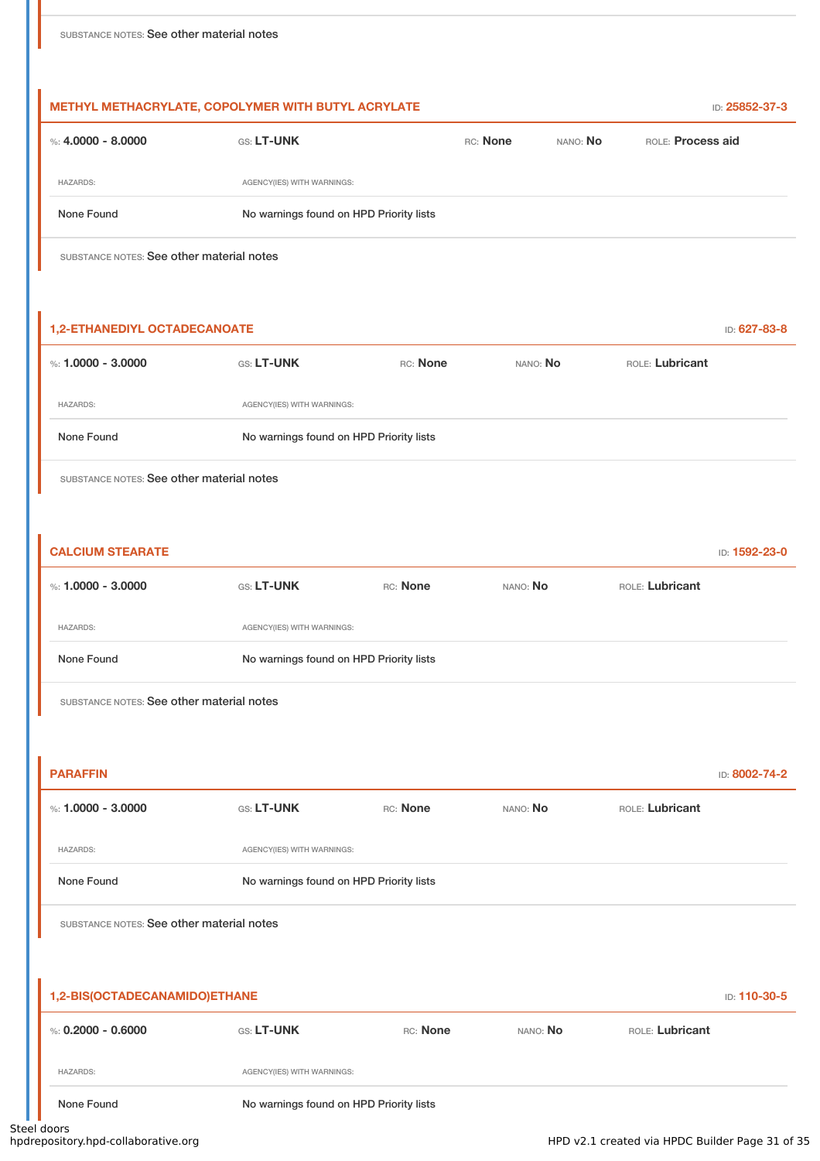| %: $4.0000 - 8.0000$                                    | GS: LT-UNK                              |          | RC: None | NANO: No | ROLE: Process aid |               |
|---------------------------------------------------------|-----------------------------------------|----------|----------|----------|-------------------|---------------|
| <b>HAZARDS:</b>                                         | AGENCY(IES) WITH WARNINGS:              |          |          |          |                   |               |
| None Found                                              | No warnings found on HPD Priority lists |          |          |          |                   |               |
| SUBSTANCE NOTES: See other material notes               |                                         |          |          |          |                   |               |
| <b>1,2-ETHANEDIYL OCTADECANOATE</b>                     |                                         |          |          |          |                   | ID: 627-83-8  |
| %: $1.0000 - 3.0000$                                    | GS: LT-UNK                              | RC: None | NANO: No |          | ROLE: Lubricant   |               |
| <b>HAZARDS:</b>                                         | AGENCY(IES) WITH WARNINGS:              |          |          |          |                   |               |
|                                                         |                                         |          |          |          |                   |               |
| None Found<br>SUBSTANCE NOTES: See other material notes | No warnings found on HPD Priority lists |          |          |          |                   |               |
| <b>CALCIUM STEARATE</b><br>%: $1.0000 - 3.0000$         | GS: LT-UNK                              | RC: None | NANO: No |          | ROLE: Lubricant   |               |
| <b>HAZARDS:</b>                                         | AGENCY(IES) WITH WARNINGS:              |          |          |          |                   |               |
| None Found                                              | No warnings found on HPD Priority lists |          |          |          |                   | ID: 1592-23-0 |
| SUBSTANCE NOTES: See other material notes               |                                         |          |          |          |                   |               |
|                                                         |                                         |          |          |          |                   |               |
| <b>PARAFFIN</b><br>%: 1.0000 - 3.0000                   | GS: LT-UNK                              | RC: None | NANO: No |          | ROLE: Lubricant   | ID: 8002-74-2 |
| <b>HAZARDS:</b>                                         | AGENCY(IES) WITH WARNINGS:              |          |          |          |                   |               |

| 1,2-BIS(OCTADECANAMIDO)ETHANE<br>ID: 110-30-5 |                                         |          |                 |                 |  |
|-----------------------------------------------|-----------------------------------------|----------|-----------------|-----------------|--|
| %: 0.2000 - 0.6000                            | <b>GS: LT-UNK</b>                       | RC: None | NANO: <b>No</b> | ROLE: Lubricant |  |
| <b>HAZARDS:</b>                               | AGENCY(IES) WITH WARNINGS:              |          |                 |                 |  |
| None Found                                    | No warnings found on HPD Priority lists |          |                 |                 |  |

steel doors<br>hpdrepository.hpd-collaborative.org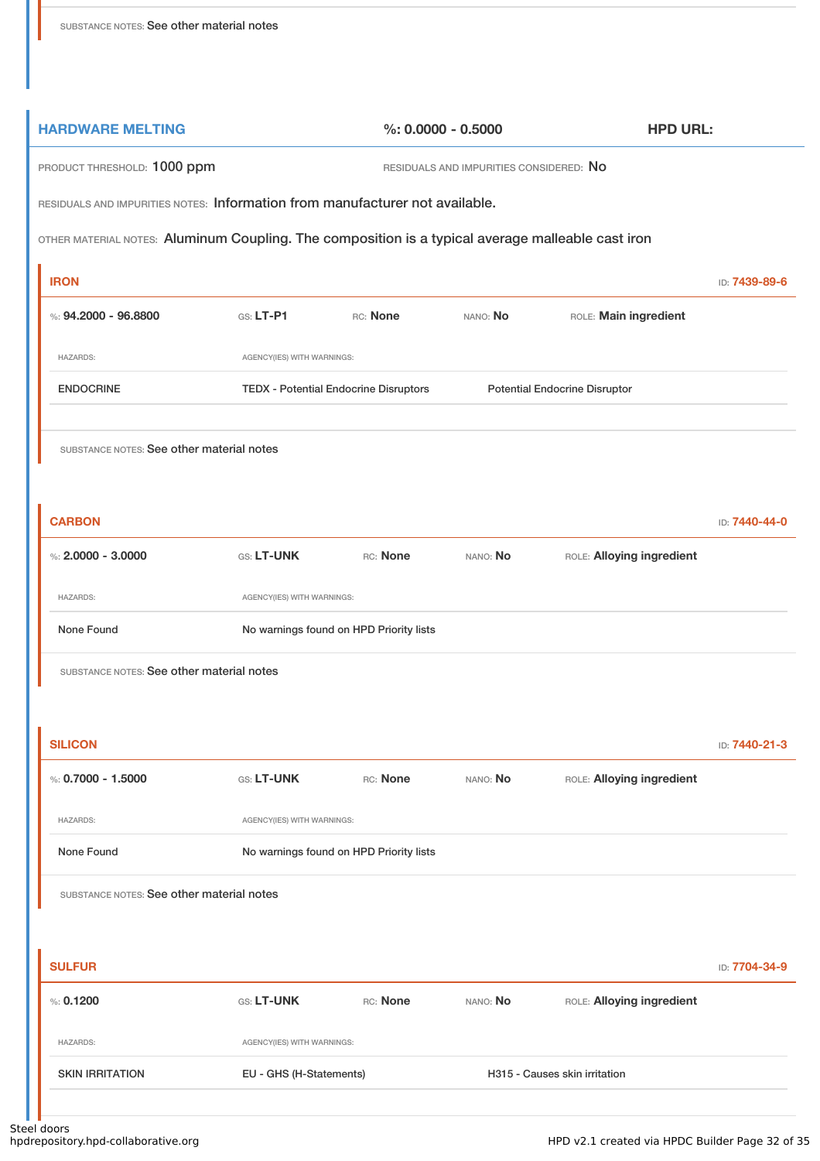| <b>HARDWARE MELTING</b>                                                                           | $%: 0.0000 - 0.5000$                    |                                              |          | <b>HPD URL:</b>                      |               |
|---------------------------------------------------------------------------------------------------|-----------------------------------------|----------------------------------------------|----------|--------------------------------------|---------------|
| PRODUCT THRESHOLD: 1000 ppm<br>RESIDUALS AND IMPURITIES CONSIDERED: NO                            |                                         |                                              |          |                                      |               |
| RESIDUALS AND IMPURITIES NOTES: Information from manufacturer not available.                      |                                         |                                              |          |                                      |               |
| OTHER MATERIAL NOTES: Aluminum Coupling. The composition is a typical average malleable cast iron |                                         |                                              |          |                                      |               |
| <b>IRON</b>                                                                                       |                                         |                                              |          |                                      | ID: 7439-89-6 |
| %: 94.2000 - 96.8800                                                                              | $G.S. LT-P1$                            | RC: None                                     | NANO: No | ROLE: Main ingredient                |               |
| <b>HAZARDS:</b>                                                                                   | AGENCY(IES) WITH WARNINGS:              |                                              |          |                                      |               |
| <b>ENDOCRINE</b>                                                                                  |                                         | <b>TEDX - Potential Endocrine Disruptors</b> |          | <b>Potential Endocrine Disruptor</b> |               |
| SUBSTANCE NOTES: See other material notes                                                         |                                         |                                              |          |                                      |               |
| <b>CARBON</b>                                                                                     |                                         |                                              |          |                                      | ID: 7440-44-0 |
| %: $2.0000 - 3.0000$                                                                              | GS: LT-UNK                              | RC: None                                     | NANO: No | ROLE: Alloying ingredient            |               |
| <b>HAZARDS:</b>                                                                                   | AGENCY(IES) WITH WARNINGS:              |                                              |          |                                      |               |
| None Found                                                                                        |                                         | No warnings found on HPD Priority lists      |          |                                      |               |
| SUBSTANCE NOTES: See other material notes                                                         |                                         |                                              |          |                                      |               |
|                                                                                                   |                                         |                                              |          |                                      |               |
| <b>SILICON</b>                                                                                    |                                         |                                              |          |                                      | ID: 7440-21-3 |
| %: $0.7000 - 1.5000$                                                                              | GS: LT-UNK                              | RC: None                                     | NANO: No | ROLE: Alloying ingredient            |               |
| <b>HAZARDS:</b>                                                                                   | AGENCY(IES) WITH WARNINGS:              |                                              |          |                                      |               |
| None Found                                                                                        | No warnings found on HPD Priority lists |                                              |          |                                      |               |
| SUBSTANCE NOTES: See other material notes                                                         |                                         |                                              |          |                                      |               |
|                                                                                                   |                                         |                                              |          |                                      |               |
| <b>SULFUR</b>                                                                                     |                                         |                                              |          |                                      | ID: 7704-34-9 |
| %: 0.1200                                                                                         | GS: LT-UNK                              | RC: None                                     | NANO: No | ROLE: Alloying ingredient            |               |
| <b>HAZARDS:</b>                                                                                   | AGENCY(IES) WITH WARNINGS:              |                                              |          |                                      |               |

SKIN IRRITATION EU - GHS (H-Statements) H315 - Causes skin irritation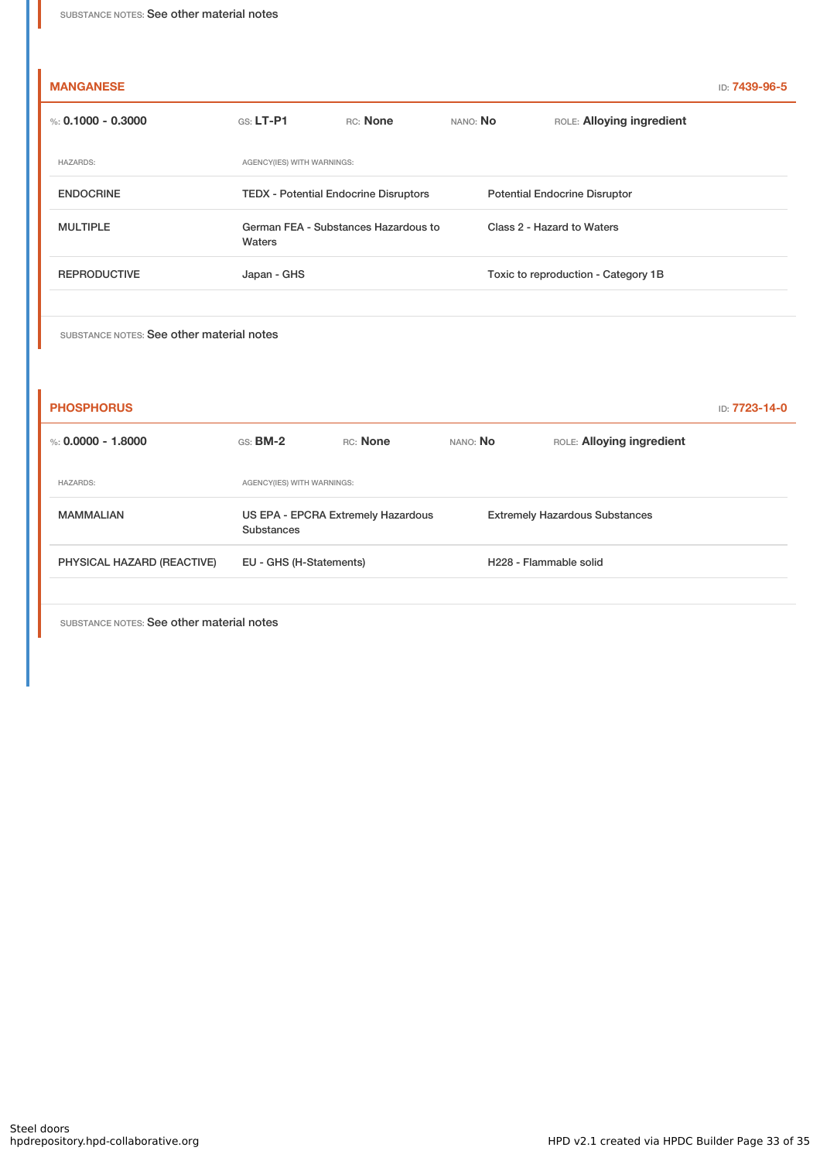| <b>MANGANESE</b>     |                                                |          |          |                                      | ID: <b>7439-96-5</b> |
|----------------------|------------------------------------------------|----------|----------|--------------------------------------|----------------------|
| %: $0.1000 - 0.3000$ | $G.S.$ LT-P1                                   | RC: None | NANO: No | ROLE: Alloying ingredient            |                      |
| <b>HAZARDS:</b>      | AGENCY(IES) WITH WARNINGS:                     |          |          |                                      |                      |
| <b>ENDOCRINE</b>     | <b>TEDX</b> - Potential Endocrine Disruptors   |          |          | <b>Potential Endocrine Disruptor</b> |                      |
| <b>MULTIPLE</b>      | German FEA - Substances Hazardous to<br>Waters |          |          | Class 2 - Hazard to Waters           |                      |
| <b>REPRODUCTIVE</b>  | Japan - GHS                                    |          |          | Toxic to reproduction - Category 1B  |                      |
|                      |                                                |          |          |                                      |                      |

| <b>PHOSPHORUS</b>          |                                                  |                 |          |                                       | ID: 7723-14-0 |
|----------------------------|--------------------------------------------------|-----------------|----------|---------------------------------------|---------------|
| %: 0.0000 - 1.8000         | $GS:$ BM-2                                       | <b>RC:</b> None | NANO: No | ROLE: Alloying ingredient             |               |
| <b>HAZARDS:</b>            | AGENCY(IES) WITH WARNINGS:                       |                 |          |                                       |               |
| <b>MAMMALIAN</b>           | US EPA - EPCRA Extremely Hazardous<br>Substances |                 |          | <b>Extremely Hazardous Substances</b> |               |
| PHYSICAL HAZARD (REACTIVE) | EU - GHS (H-Statements)                          |                 |          | H <sub>228</sub> - Flammable solid    |               |
|                            |                                                  |                 |          |                                       |               |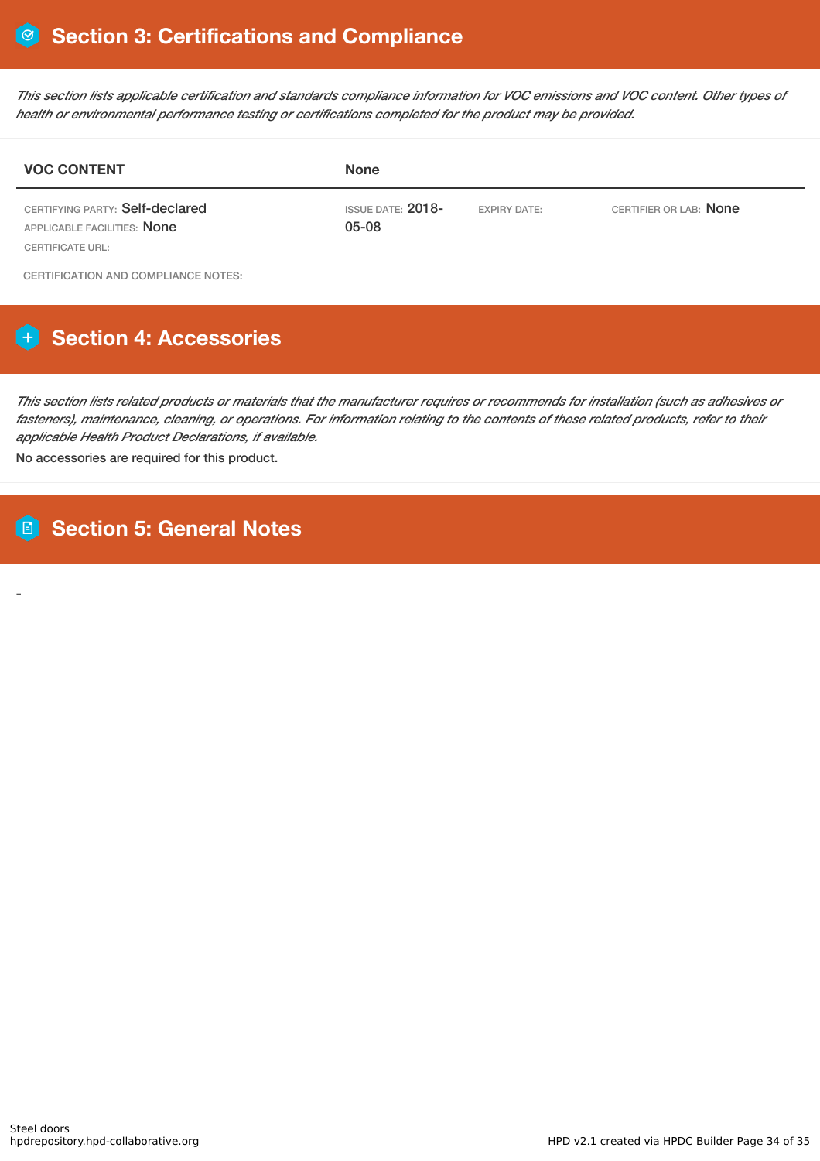This section lists applicable certification and standards compliance information for VOC emissions and VOC content. Other types of *health or environmental performance testing or certifications completed for the product may be provided.*

| <b>VOC CONTENT</b>                                                                 | <b>None</b>                       |                     |                        |
|------------------------------------------------------------------------------------|-----------------------------------|---------------------|------------------------|
| CERTIFYING PARTY: Self-declared<br>APPLICABLE FACILITIES: None<br>CERTIFICATE URL: | <b>ISSUE DATE: 2018-</b><br>05-08 | <b>EXPIRY DATE:</b> | CERTIFIER OR LAB: None |

CERTIFICATION AND COMPLIANCE NOTES:

# **Section 4: Accessories**

This section lists related products or materials that the manufacturer requires or recommends for installation (such as adhesives or fasteners), maintenance, cleaning, or operations. For information relating to the contents of these related products, refer to their *applicable Health Product Declarations, if available.*

No accessories are required for this product.

## **Section 5: General Notes**

-